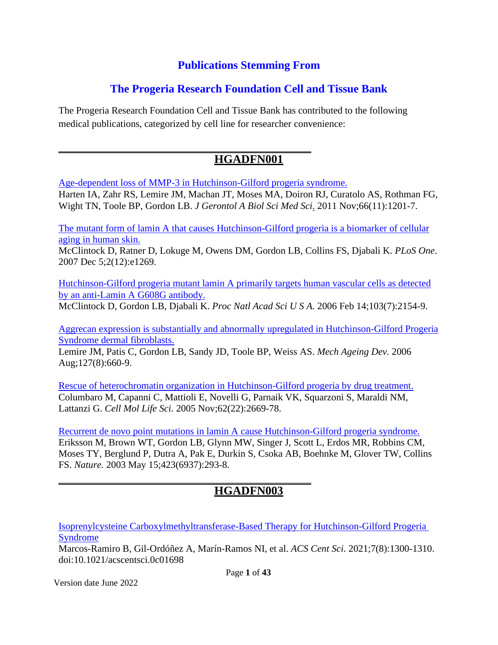#### **Publications Stemming From**

#### **The Progeria Research Foundation Cell and Tissue Bank**

The Progeria Research Foundation Cell and Tissue Bank has contributed to the following medical publications, categorized by cell line for researcher convenience:

#### **HGADFN001**

[Age-dependent loss of MMP-3 in Hutchinson-Gilford progeria syndrome.](http://www.ncbi.nlm.nih.gov/pubmed/21852285)

[Harten IA,](http://www.ncbi.nlm.nih.gov/pubmed?term=%22Harten%20IA%22%5BAuthor%5D) [Zahr RS,](http://www.ncbi.nlm.nih.gov/pubmed?term=%22Zahr%20RS%22%5BAuthor%5D) [Lemire JM,](http://www.ncbi.nlm.nih.gov/pubmed?term=%22Lemire%20JM%22%5BAuthor%5D) [Machan JT,](http://www.ncbi.nlm.nih.gov/pubmed?term=%22Machan%20JT%22%5BAuthor%5D) [Moses MA,](http://www.ncbi.nlm.nih.gov/pubmed?term=%22Moses%20MA%22%5BAuthor%5D) [Doiron RJ,](http://www.ncbi.nlm.nih.gov/pubmed?term=%22Doiron%20RJ%22%5BAuthor%5D) [Curatolo AS,](http://www.ncbi.nlm.nih.gov/pubmed?term=%22Curatolo%20AS%22%5BAuthor%5D) [Rothman FG,](http://www.ncbi.nlm.nih.gov/pubmed?term=%22Rothman%20FG%22%5BAuthor%5D) [Wight TN,](http://www.ncbi.nlm.nih.gov/pubmed?term=%22Wight%20TN%22%5BAuthor%5D) [Toole BP,](http://www.ncbi.nlm.nih.gov/pubmed?term=%22Toole%20BP%22%5BAuthor%5D) [Gordon LB.](http://www.ncbi.nlm.nih.gov/pubmed?term=%22Gordon%20LB%22%5BAuthor%5D) *[J Gerontol A Biol Sci Med Sci](http://www.ncbi.nlm.nih.gov/pubmed/21852285)*. 2011 Nov;66(11):1201-7.

[The mutant form of lamin A that causes Hutchinson-Gilford progeria is a biomarker of cellular](http://www.ncbi.nlm.nih.gov/pubmed/18060063) [aging in human skin.](http://www.ncbi.nlm.nih.gov/pubmed/18060063)

McClintock D, Ratner D, Lokuge M, Owens DM, Gordon LB, Collins FS, Djabali K. *PLoS One*. 2007 Dec 5;2(12):e1269.

[Hutchinson-Gilford progeria mutant lamin A primarily targets human vascular cells as detected](http://www.ncbi.nlm.nih.gov/pubmed/16461887) [by an anti-Lamin A G608G antibody.](http://www.ncbi.nlm.nih.gov/pubmed/16461887)

[McClintock D,](http://www.ncbi.nlm.nih.gov/pubmed?term=%22McClintock%20D%22%5BAuthor%5D) [Gordon LB,](http://www.ncbi.nlm.nih.gov/pubmed?term=%22Gordon%20LB%22%5BAuthor%5D) [Djabali K.](http://www.ncbi.nlm.nih.gov/pubmed?term=%22Djabali%20K%22%5BAuthor%5D) *[Proc Natl Acad Sci U S A.](http://www.ncbi.nlm.nih.gov/pubmed/16461887)* 2006 Feb 14;103(7):2154-9.

[Aggrecan expression is substantially and abnormally upregulated in Hutchinson-Gilford Progeria](http://www.ncbi.nlm.nih.gov/pubmed/16650460) [Syndrome dermal fibroblasts.](http://www.ncbi.nlm.nih.gov/pubmed/16650460)

[Lemire JM,](http://www.ncbi.nlm.nih.gov/pubmed?term=%22Lemire%20JM%22%5BAuthor%5D) [Patis C,](http://www.ncbi.nlm.nih.gov/pubmed?term=%22Patis%20C%22%5BAuthor%5D) [Gordon LB,](http://www.ncbi.nlm.nih.gov/pubmed?term=%22Gordon%20LB%22%5BAuthor%5D) [Sandy JD,](http://www.ncbi.nlm.nih.gov/pubmed?term=%22Sandy%20JD%22%5BAuthor%5D) [Toole BP,](http://www.ncbi.nlm.nih.gov/pubmed?term=%22Toole%20BP%22%5BAuthor%5D) [Weiss AS.](http://www.ncbi.nlm.nih.gov/pubmed?term=%22Weiss%20AS%22%5BAuthor%5D) *[Mech Ageing Dev.](http://www.ncbi.nlm.nih.gov/pubmed/16650460)* 2006 Aug;127(8):660-9.

[Rescue of heterochromatin organization in Hutchinson-Gilford progeria by drug treatment.](http://www.ncbi.nlm.nih.gov/pubmed/16261260) [Columbaro M,](http://www.ncbi.nlm.nih.gov/pubmed?term=%22Columbaro%20M%22%5BAuthor%5D) [Capanni C,](http://www.ncbi.nlm.nih.gov/pubmed?term=%22Capanni%20C%22%5BAuthor%5D) [Mattioli E,](http://www.ncbi.nlm.nih.gov/pubmed?term=%22Mattioli%20E%22%5BAuthor%5D) [Novelli G,](http://www.ncbi.nlm.nih.gov/pubmed?term=%22Novelli%20G%22%5BAuthor%5D) [Parnaik VK,](http://www.ncbi.nlm.nih.gov/pubmed?term=%22Parnaik%20VK%22%5BAuthor%5D) [Squarzoni S,](http://www.ncbi.nlm.nih.gov/pubmed?term=%22Squarzoni%20S%22%5BAuthor%5D) [Maraldi NM,](http://www.ncbi.nlm.nih.gov/pubmed?term=%22Maraldi%20NM%22%5BAuthor%5D) [Lattanzi G.](http://www.ncbi.nlm.nih.gov/pubmed?term=%22Lattanzi%20G%22%5BAuthor%5D) *[Cell Mol Life Sci.](http://www.ncbi.nlm.nih.gov/pubmed/16261260)* 2005 Nov;62(22):2669-78.

[Recurrent de novo point mutations in lamin A cause Hutchinson-Gilford progeria syndrome.](http://www.ncbi.nlm.nih.gov/pubmed/12714972) Eriksson M, Brown WT, Gordon LB, Glynn MW, Singer J, Scott L, Erdos MR, Robbins CM, Moses TY, Berglund P, Dutra A, Pak E, Durkin S, Csoka AB, Boehnke M, Glover TW, Collins FS. *Nature.* 2003 May 15;423(6937):293-8.

## **HGADFN003**

[Isoprenylcysteine Carboxylmethyltransferase-Based Therapy for Hutchinson-Gilford Progeria](https://pubmed.ncbi.nlm.nih.gov/34471675/)  [Syndrome](https://pubmed.ncbi.nlm.nih.gov/34471675/)

Marcos-Ramiro B, Gil-Ordóñez A, Marín-Ramos NI, et al. *ACS Cent Sci*. 2021;7(8):1300-1310. doi:10.1021/acscentsci.0c01698

Version date June 2022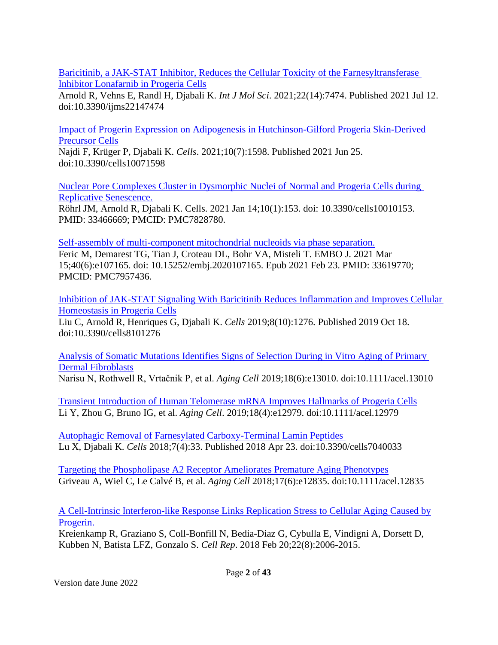[Baricitinib, a JAK-STAT Inhibitor, Reduces the Cellular Toxicity of the Farnesyltransferase](https://pubmed.ncbi.nlm.nih.gov/34299092/)  [Inhibitor Lonafarnib in Progeria Cells](https://pubmed.ncbi.nlm.nih.gov/34299092/)

Arnold R, Vehns E, Randl H, Djabali K. *Int J Mol Sci*. 2021;22(14):7474. Published 2021 Jul 12. doi:10.3390/ijms22147474

[Impact of Progerin Expression on Adipogenesis in Hutchinson-Gilford Progeria Skin-Derived](https://pubmed.ncbi.nlm.nih.gov/34202258/)  [Precursor Cells](https://pubmed.ncbi.nlm.nih.gov/34202258/)

Najdi F, Krüger P, Djabali K. *Cells*. 2021;10(7):1598. Published 2021 Jun 25. doi:10.3390/cells10071598

[Nuclear Pore Complexes Cluster in Dysmorphic Nuclei of Normal and Progeria Cells during](https://pubmed.ncbi.nlm.nih.gov/33466669/)  [Replicative Senescence.](https://pubmed.ncbi.nlm.nih.gov/33466669/)

Röhrl JM, Arnold R, Djabali K. Cells. 2021 Jan 14;10(1):153. doi: 10.3390/cells10010153. PMID: 33466669; PMCID: PMC7828780.

[Self-assembly of multi-component mitochondrial nucleoids via phase separation.](https://pubmed.ncbi.nlm.nih.gov/33619770/) Feric M, Demarest TG, Tian J, Croteau DL, Bohr VA, Misteli T. EMBO J. 2021 Mar 15;40(6):e107165. doi: 10.15252/embj.2020107165. Epub 2021 Feb 23. PMID: 33619770; PMCID: PMC7957436.

[Inhibition of JAK-STAT Signaling With Baricitinib Reduces Inflammation and Improves Cellular](https://pubmed.ncbi.nlm.nih.gov/31635416)  [Homeostasis in Progeria Cells](https://pubmed.ncbi.nlm.nih.gov/31635416)

Liu C, Arnold R, Henriques G, Djabali K. *Cells* 2019;8(10):1276. Published 2019 Oct 18. doi:10.3390/cells8101276

[Analysis of Somatic Mutations Identifies Signs of Selection During in Vitro Aging of Primary](https://pubmed.ncbi.nlm.nih.gov/31385397)  [Dermal Fibroblasts](https://pubmed.ncbi.nlm.nih.gov/31385397) Narisu N, Rothwell R, Vrtačnik P, et al. *Aging Cell* 2019;18(6):e13010. doi:10.1111/acel.13010

[Transient Introduction of Human Telomerase mRNA Improves Hallmarks of Progeria Cells](https://pubmed.ncbi.nlm.nih.gov/31152494) Li Y, Zhou G, Bruno IG, et al. *Aging Cell*. 2019;18(4):e12979. doi:10.1111/acel.12979

[Autophagic Removal of Farnesylated Carboxy-Terminal Lamin Peptides](https://pubmed.ncbi.nlm.nih.gov/29690642)  Lu X, Djabali K. *Cells* 2018;7(4):33. Published 2018 Apr 23. doi:10.3390/cells7040033

[Targeting the Phospholipase A2 Receptor Ameliorates Premature Aging Phenotypes](https://pubmed.ncbi.nlm.nih.gov/30216637) Griveau A, Wiel C, Le Calvé B, et al. *Aging Cell* 2018;17(6):e12835. doi:10.1111/acel.12835

[A Cell-Intrinsic Interferon-like Response Links Replication Stress to Cellular Aging Caused by](https://www.ncbi.nlm.nih.gov/pubmed/29466729) [Progerin.](https://www.ncbi.nlm.nih.gov/pubmed/29466729)

Kreienkamp R, Graziano S, Coll-Bonfill N, Bedia-Diaz G, Cybulla E, Vindigni A, Dorsett D, Kubben N, Batista LFZ, Gonzalo S. *Cell Rep*. 2018 Feb 20;22(8):2006-2015.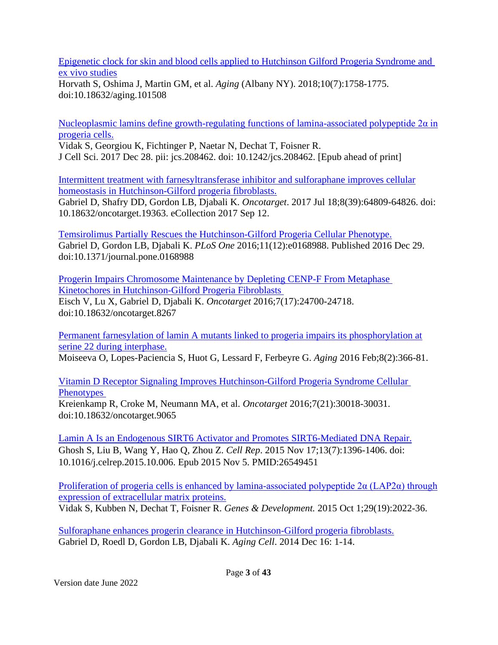[Epigenetic clock for skin and blood cells applied to Hutchinson Gilford Progeria Syndrome and](https://pubmed.ncbi.nlm.nih.gov/30048243/)  [ex vivo studies](https://pubmed.ncbi.nlm.nih.gov/30048243/)

Horvath S, Oshima J, Martin GM, et al. *Aging* (Albany NY). 2018;10(7):1758-1775. doi:10.18632/aging.101508

[Nucleoplasmic lamins define growth-regulating functions of lamina-associated polypeptide 2α in](https://www.ncbi.nlm.nih.gov/pubmed/29361532) [progeria cells.](https://www.ncbi.nlm.nih.gov/pubmed/29361532)

Vidak S, Georgiou K, Fichtinger P, Naetar N, Dechat T, Foisner R. J Cell Sci. 2017 Dec 28. pii: jcs.208462. doi: 10.1242/jcs.208462. [Epub ahead of print]

[Intermittent treatment with farnesyltransferase inhibitor and sulforaphane improves cellular](https://www.ncbi.nlm.nih.gov/pubmed/29029393) [homeostasis in Hutchinson-Gilford progeria fibroblasts.](https://www.ncbi.nlm.nih.gov/pubmed/29029393)

Gabriel D, Shafry DD, Gordon LB, Djabali K. *Oncotarget*. 2017 Jul 18;8(39):64809-64826. doi: 10.18632/oncotarget.19363. eCollection 2017 Sep 12.

[Temsirolimus Partially Rescues the Hutchinson-Gilford Progeria Cellular Phenotype.](https://pubmed.ncbi.nlm.nih.gov/28033363/) Gabriel D, Gordon LB, Djabali K. *PLoS One* 2016;11(12):e0168988. Published 2016 Dec 29. doi:10.1371/journal.pone.0168988

[Progerin Impairs Chromosome Maintenance by Depleting CENP-F From Metaphase](https://pubmed.ncbi.nlm.nih.gov/27015553/)  [Kinetochores in Hutchinson-Gilford Progeria Fibroblasts](https://pubmed.ncbi.nlm.nih.gov/27015553/)  Eisch V, Lu X, Gabriel D, Djabali K. *Oncotarget* 2016;7(17):24700-24718. doi:10.18632/oncotarget.8267

[Permanent farnesylation of lamin A mutants linked to progeria impairs its phosphorylation at](http://www.ncbi.nlm.nih.gov/pubmed/26922519) [serine 22 during interphase.](http://www.ncbi.nlm.nih.gov/pubmed/26922519)

Moiseeva O, Lopes-Paciencia S, Huot G, Lessard F, Ferbeyre G. *Aging* 2016 Feb;8(2):366-81.

[Vitamin D Receptor Signaling Improves Hutchinson-Gilford Progeria Syndrome Cellular](https://pubmed.ncbi.nlm.nih.gov/27145372/)  **Phenotypes** 

Kreienkamp R, Croke M, Neumann MA, et al. *Oncotarget* 2016;7(21):30018-30031. doi:10.18632/oncotarget.9065

[Lamin A Is an Endogenous SIRT6 Activator and Promotes SIRT6-Mediated DNA Repair.](https://www.ncbi.nlm.nih.gov/pubmed/26549451) Ghosh S, Liu B, Wang Y, Hao Q, Zhou Z. *Cell Rep*. 2015 Nov 17;13(7):1396-1406. doi: 10.1016/j.celrep.2015.10.006. Epub 2015 Nov 5. PMID:26549451

Proliferation of progeria cells is enhanced by lamina-associated polypeptide  $2\alpha$  (LAP2 $\alpha$ ) through [expression of extracellular matrix proteins.](http://www.ncbi.nlm.nih.gov/pubmed/26443848) Vidak S, Kubben N, Dechat T, Foisner R. *Genes & Development.* 2015 Oct 1;29(19):2022-36.

[Sulforaphane enhances progerin clearance in Hutchinson-Gilford progeria fibroblasts.](http://www.ncbi.nlm.nih.gov/pubmed/25510262) Gabriel D, Roedl D, Gordon LB, Djabali K. *Aging Cell*. 2014 Dec 16: 1-14.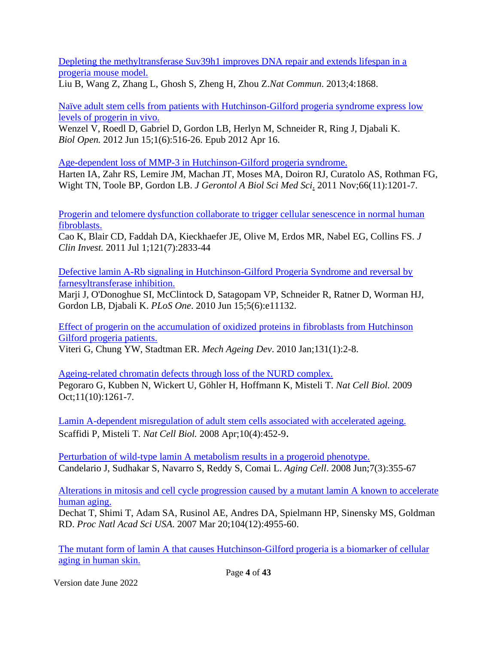[Depleting the methyltransferase Suv39h1 improves DNA repair and extends lifespan in a](http://www.ncbi.nlm.nih.gov/pubmed/23695662) [progeria mouse model.](http://www.ncbi.nlm.nih.gov/pubmed/23695662)

Liu B, Wang Z, Zhang L, Ghosh S, Zheng H, Zhou Z.*Nat Commun*. 2013;4:1868.

[Naïve adult stem cells from patients with Hutchinson-Gilford progeria syndrome express low](http://www.ncbi.nlm.nih.gov/pubmed/23213444) [levels of progerin in vivo.](http://www.ncbi.nlm.nih.gov/pubmed/23213444)

Wenzel V, Roedl D, Gabriel D, Gordon LB, Herlyn M, Schneider R, Ring J, Djabali K. *Biol Open.* 2012 Jun 15;1(6):516-26. Epub 2012 Apr 16.

[Age-dependent loss of MMP-3 in Hutchinson-Gilford progeria syndrome.](http://www.ncbi.nlm.nih.gov/pubmed/21852285)

[Harten IA,](http://www.ncbi.nlm.nih.gov/pubmed?term=%22Harten%20IA%22%5BAuthor%5D) [Zahr RS,](http://www.ncbi.nlm.nih.gov/pubmed?term=%22Zahr%20RS%22%5BAuthor%5D) [Lemire JM,](http://www.ncbi.nlm.nih.gov/pubmed?term=%22Lemire%20JM%22%5BAuthor%5D) [Machan JT,](http://www.ncbi.nlm.nih.gov/pubmed?term=%22Machan%20JT%22%5BAuthor%5D) [Moses MA,](http://www.ncbi.nlm.nih.gov/pubmed?term=%22Moses%20MA%22%5BAuthor%5D) [Doiron RJ,](http://www.ncbi.nlm.nih.gov/pubmed?term=%22Doiron%20RJ%22%5BAuthor%5D) [Curatolo AS,](http://www.ncbi.nlm.nih.gov/pubmed?term=%22Curatolo%20AS%22%5BAuthor%5D) [Rothman FG,](http://www.ncbi.nlm.nih.gov/pubmed?term=%22Rothman%20FG%22%5BAuthor%5D) [Wight TN,](http://www.ncbi.nlm.nih.gov/pubmed?term=%22Wight%20TN%22%5BAuthor%5D) [Toole BP,](http://www.ncbi.nlm.nih.gov/pubmed?term=%22Toole%20BP%22%5BAuthor%5D) [Gordon LB.](http://www.ncbi.nlm.nih.gov/pubmed?term=%22Gordon%20LB%22%5BAuthor%5D) *[J Gerontol A Biol Sci Med Sci](http://www.ncbi.nlm.nih.gov/pubmed/21852285)*. 2011 Nov;66(11):1201-7.

[Progerin and telomere dysfunction collaborate to trigger cellular senescence in normal human](http://www.ncbi.nlm.nih.gov/pubmed/21670498) [fibroblasts.](http://www.ncbi.nlm.nih.gov/pubmed/21670498)

[Cao K,](http://www.ncbi.nlm.nih.gov/pubmed?term=%22Cao%20K%22%5BAuthor%5D) [Blair CD,](http://www.ncbi.nlm.nih.gov/pubmed?term=%22Blair%20CD%22%5BAuthor%5D) [Faddah DA,](http://www.ncbi.nlm.nih.gov/pubmed?term=%22Faddah%20DA%22%5BAuthor%5D) [Kieckhaefer JE,](http://www.ncbi.nlm.nih.gov/pubmed?term=%22Kieckhaefer%20JE%22%5BAuthor%5D) [Olive M,](http://www.ncbi.nlm.nih.gov/pubmed?term=%22Olive%20M%22%5BAuthor%5D) [Erdos MR,](http://www.ncbi.nlm.nih.gov/pubmed?term=%22Erdos%20MR%22%5BAuthor%5D) [Nabel EG,](http://www.ncbi.nlm.nih.gov/pubmed?term=%22Nabel%20EG%22%5BAuthor%5D) [Collins FS.](http://www.ncbi.nlm.nih.gov/pubmed?term=%22Collins%20FS%22%5BAuthor%5D) *[J](http://www.ncbi.nlm.nih.gov/pubmed/21670498) [Clin Invest.](http://www.ncbi.nlm.nih.gov/pubmed/21670498)* 2011 Jul 1;121(7):2833-44

[Defective lamin A-Rb signaling in Hutchinson-Gilford Progeria Syndrome and reversal by](http://www.ncbi.nlm.nih.gov/pubmed/20559568) [farnesyltransferase inhibition.](http://www.ncbi.nlm.nih.gov/pubmed/20559568)

Marji J, O'Donoghue SI, McClintock D, Satagopam VP, Schneider R, Ratner D, Worman HJ, Gordon LB, Djabali K. *PLoS One*. 2010 Jun 15;5(6):e11132.

[Effect of progerin on the accumulation of oxidized proteins in](http://www.ncbi.nlm.nih.gov/pubmed/19958786) fibroblasts from Hutchinson [Gilford progeria patients.](http://www.ncbi.nlm.nih.gov/pubmed/19958786)

Viteri G, Chung YW, Stadtman ER. *Mech Ageing Dev*. 2010 Jan;131(1):2-8.

[Ageing-related chromatin defects through loss of the NURD complex.](http://www.ncbi.nlm.nih.gov/pubmed/19734887) [Pegoraro G,](http://www.ncbi.nlm.nih.gov/pubmed?term=%22Pegoraro%20G%22%5BAuthor%5D) [Kubben N,](http://www.ncbi.nlm.nih.gov/pubmed?term=%22Kubben%20N%22%5BAuthor%5D) [Wickert U,](http://www.ncbi.nlm.nih.gov/pubmed?term=%22Wickert%20U%22%5BAuthor%5D) [Göhler H,](http://www.ncbi.nlm.nih.gov/pubmed?term=%22G%C3%B6hler%20H%22%5BAuthor%5D) [Hoffmann K,](http://www.ncbi.nlm.nih.gov/pubmed?term=%22Hoffmann%20K%22%5BAuthor%5D) [Misteli T.](http://www.ncbi.nlm.nih.gov/pubmed?term=%22Misteli%20T%22%5BAuthor%5D) *[Nat Cell Biol.](http://www.ncbi.nlm.nih.gov/pubmed/19734887)* 2009 Oct;11(10):1261-7.

[Lamin A-dependent misregulation of adult stem cells associated with accelerated ageing.](http://www.ncbi.nlm.nih.gov/pubmed/18311132) Scaffidi P, Misteli T. *Nat Cell Biol.* 2008 Apr;10(4):452-9.

[Perturbation of wild-type lamin A metabolism results in a progeroid phenotype.](http://www.ncbi.nlm.nih.gov/pubmed/18363904) Candelario J, Sudhakar S, Navarro S, Reddy S, Comai L. *Aging Cell*. 2008 Jun;7(3):355-67

[Alterations in mitosis and cell cycle progression caused by a mutant lamin A known to accelerate](http://www.ncbi.nlm.nih.gov/pubmed/17360326) [human aging.](http://www.ncbi.nlm.nih.gov/pubmed/17360326)

Dechat T, Shimi T, Adam SA, Rusinol AE, Andres DA, Spielmann HP, Sinensky MS, Goldman RD. *Proc Natl Acad Sci USA*. 2007 Mar 20;104(12):4955-60.

The mutant form of lamin A [that causes Hutchinson-Gilford progeria is a biomarker of cellular](http://www.ncbi.nlm.nih.gov/pubmed/18060063) [aging in human skin.](http://www.ncbi.nlm.nih.gov/pubmed/18060063)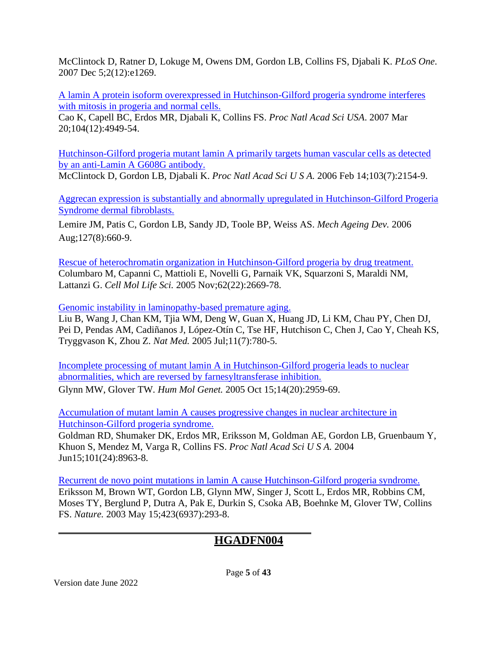McClintock D, Ratner D, Lokuge M, Owens DM, Gordon LB, Collins FS, Djabali K. *PLoS One*. 2007 Dec 5;2(12):e1269.

[A lamin A protein isoform overexpressed in Hutchinson-Gilford progeria syndrome interferes](http://www.ncbi.nlm.nih.gov/pubmed/17360355) [with mitosis in progeria and normal cells.](http://www.ncbi.nlm.nih.gov/pubmed/17360355)

Cao K, Capell BC, Erdos MR, Djabali K, Collins FS. *Proc Natl Acad Sci USA*. 2007 Mar 20;104(12):4949-54.

[Hutchinson-Gilford progeria mutant lamin A primarily targets human vascular cells as detected](http://www.ncbi.nlm.nih.gov/pubmed/16461887) [by an anti-Lamin A G608G antibody.](http://www.ncbi.nlm.nih.gov/pubmed/16461887)

[McClintock D,](http://www.ncbi.nlm.nih.gov/pubmed?term=%22McClintock%20D%22%5BAuthor%5D) [Gordon LB,](http://www.ncbi.nlm.nih.gov/pubmed?term=%22Gordon%20LB%22%5BAuthor%5D) [Djabali K.](http://www.ncbi.nlm.nih.gov/pubmed?term=%22Djabali%20K%22%5BAuthor%5D) *[Proc Natl Acad Sci U S A.](http://www.ncbi.nlm.nih.gov/pubmed/16461887)* 2006 Feb 14;103(7):2154-9.

[Aggrecan expression is substantially and abnormally upregulated in Hutchinson-Gilford Progeria](http://www.ncbi.nlm.nih.gov/pubmed/16650460) [Syndrome dermal fibroblasts.](http://www.ncbi.nlm.nih.gov/pubmed/16650460)

[Lemire JM,](http://www.ncbi.nlm.nih.gov/pubmed?term=%22Lemire%20JM%22%5BAuthor%5D) [Patis C,](http://www.ncbi.nlm.nih.gov/pubmed?term=%22Patis%20C%22%5BAuthor%5D) [Gordon LB,](http://www.ncbi.nlm.nih.gov/pubmed?term=%22Gordon%20LB%22%5BAuthor%5D) [Sandy JD,](http://www.ncbi.nlm.nih.gov/pubmed?term=%22Sandy%20JD%22%5BAuthor%5D) [Toole BP,](http://www.ncbi.nlm.nih.gov/pubmed?term=%22Toole%20BP%22%5BAuthor%5D) [Weiss AS.](http://www.ncbi.nlm.nih.gov/pubmed?term=%22Weiss%20AS%22%5BAuthor%5D) *[Mech Ageing Dev.](http://www.ncbi.nlm.nih.gov/pubmed/16650460)* 2006 Aug;127(8):660-9.

[Rescue of heterochromatin organization in Hutchinson-Gilford progeria by drug treatment.](http://www.ncbi.nlm.nih.gov/pubmed/16261260) [Columbaro M,](http://www.ncbi.nlm.nih.gov/pubmed?term=%22Columbaro%20M%22%5BAuthor%5D) [Capanni C,](http://www.ncbi.nlm.nih.gov/pubmed?term=%22Capanni%20C%22%5BAuthor%5D) [Mattioli E,](http://www.ncbi.nlm.nih.gov/pubmed?term=%22Mattioli%20E%22%5BAuthor%5D) [Novelli G,](http://www.ncbi.nlm.nih.gov/pubmed?term=%22Novelli%20G%22%5BAuthor%5D) [Parnaik VK,](http://www.ncbi.nlm.nih.gov/pubmed?term=%22Parnaik%20VK%22%5BAuthor%5D) [Squarzoni S,](http://www.ncbi.nlm.nih.gov/pubmed?term=%22Squarzoni%20S%22%5BAuthor%5D) [Maraldi NM,](http://www.ncbi.nlm.nih.gov/pubmed?term=%22Maraldi%20NM%22%5BAuthor%5D) [Lattanzi G.](http://www.ncbi.nlm.nih.gov/pubmed?term=%22Lattanzi%20G%22%5BAuthor%5D) *[Cell Mol Life Sci.](http://www.ncbi.nlm.nih.gov/pubmed/16261260)* 2005 Nov;62(22):2669-78.

[Genomic instability in laminopathy-based premature aging.](http://www.ncbi.nlm.nih.gov/pubmed/15980864)

Liu B, Wang J, Chan KM, Tjia WM, Deng W, Guan X, Huang JD, Li KM, Chau PY, Chen DJ, Pei D, Pendas AM, Cadiñanos J, López-Otín C, Tse HF, Hutchison C, Chen J, Cao Y, Cheah KS, Tryggvason K, Zhou Z. *Nat Med.* 2005 Jul;11(7):780-5.

[Incomplete processing of mutant lamin A in Hutchinson-Gilford progeria leads to nuclear](http://www.ncbi.nlm.nih.gov/pubmed/16126733) [abnormalities, which are reversed by farnesyltransferase inhibition.](http://www.ncbi.nlm.nih.gov/pubmed/16126733) Glynn MW, Glover TW. *Hum Mol Genet.* 2005 Oct 15;14(20):2959-69.

[Accumulation of mutant lamin A causes progressive changes in nuclear architecture in](http://www.ncbi.nlm.nih.gov/pubmed/15184648) [Hutchinson-Gilford progeria syndrome.](http://www.ncbi.nlm.nih.gov/pubmed/15184648)

[Goldman RD,](http://www.ncbi.nlm.nih.gov/pubmed?term=%22Goldman%20RD%22%5BAuthor%5D) [Shumaker DK,](http://www.ncbi.nlm.nih.gov/pubmed?term=%22Shumaker%20DK%22%5BAuthor%5D) [Erdos MR,](http://www.ncbi.nlm.nih.gov/pubmed?term=%22Erdos%20MR%22%5BAuthor%5D) [Eriksson M,](http://www.ncbi.nlm.nih.gov/pubmed?term=%22Eriksson%20M%22%5BAuthor%5D) [Goldman AE,](http://www.ncbi.nlm.nih.gov/pubmed?term=%22Goldman%20AE%22%5BAuthor%5D) [Gordon LB,](http://www.ncbi.nlm.nih.gov/pubmed?term=%22Gordon%20LB%22%5BAuthor%5D) [Gruenbaum Y,](http://www.ncbi.nlm.nih.gov/pubmed?term=%22Gruenbaum%20Y%22%5BAuthor%5D) [Khuon S,](http://www.ncbi.nlm.nih.gov/pubmed?term=%22Khuon%20S%22%5BAuthor%5D) [Mendez M,](http://www.ncbi.nlm.nih.gov/pubmed?term=%22Mendez%20M%22%5BAuthor%5D) [Varga R,](http://www.ncbi.nlm.nih.gov/pubmed?term=%22Varga%20R%22%5BAuthor%5D) [Collins FS.](http://www.ncbi.nlm.nih.gov/pubmed?term=%22Collins%20FS%22%5BAuthor%5D) *[Proc Natl Acad Sci U S A.](http://www.ncbi.nlm.nih.gov/pubmed/15184648)* 2004 Jun15;101(24):8963-8.

[Recurrent de novo point mutations in lamin A cause Hutchinson-Gilford progeria syndrome.](http://www.ncbi.nlm.nih.gov/pubmed/12714972) Eriksson M, Brown WT, Gordon LB, Glynn MW, Singer J, Scott L, Erdos MR, Robbins CM, Moses TY, Berglund P, Dutra A, Pak E, Durkin S, Csoka AB, Boehnke M, Glover TW, Collins FS. *Nature.* 2003 May 15;423(6937):293-8.

#### **HGADFN004**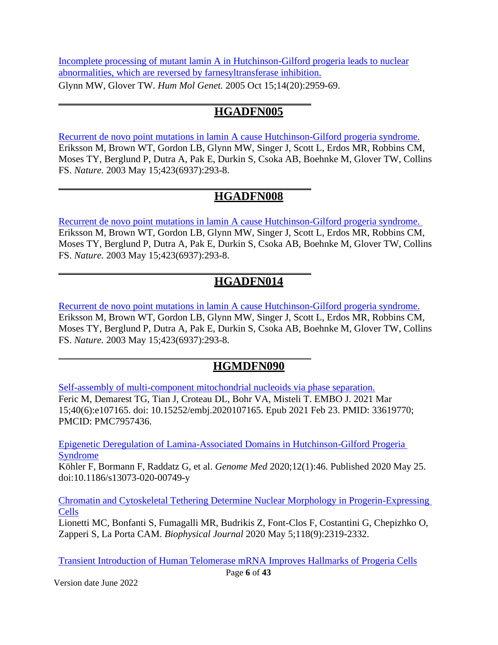[Incomplete processing of mutant lamin A in Hutchinson-Gilford progeria leads to nuclear](http://www.ncbi.nlm.nih.gov/pubmed/16126733) [abnormalities, which are reversed by farnesyltransferase inhibition.](http://www.ncbi.nlm.nih.gov/pubmed/16126733) Glynn MW, Glover TW. *Hum Mol Genet.* 2005 Oct 15;14(20):2959-69.

#### **HGADFN005**

[Recurrent de novo point mutations in lamin A cause Hutchinson-Gilford progeria syndrome.](http://www.ncbi.nlm.nih.gov/pubmed/12714972) Eriksson M, Brown WT, Gordon LB, Glynn MW, Singer J, Scott L, Erdos MR, Robbins CM, Moses TY, Berglund P, Dutra A, Pak E, Durkin S, Csoka AB, Boehnke M, Glover TW, Collins FS. *Nature.* 2003 May 15;423(6937):293-8.

## **HGADFN008**

[Recurrent de novo point mutations in lamin A cause Hutchinson-Gilford progeria syndrome.](http://www.ncbi.nlm.nih.gov/pubmed/12714972) Eriksson M, Brown WT, Gordon LB, Glynn MW, Singer J, Scott L, Erdos MR, Robbins CM, Moses TY, Berglund P, Dutra A, Pak E, Durkin S, Csoka AB, Boehnke M, Glover TW, Collins FS. *Nature.* 2003 May 15;423(6937):293-8.

## **HGADFN014**

[Recurrent de novo point mutations in lamin A cause Hutchinson-Gilford progeria syndrome.](http://www.ncbi.nlm.nih.gov/pubmed/12714972) Eriksson M, Brown WT, Gordon LB, Glynn MW, Singer J, Scott L, Erdos MR, Robbins CM, Moses TY, Berglund P, Dutra A, Pak E, Durkin S, Csoka AB, Boehnke M, Glover TW, Collins FS. *Nature.* 2003 May 15;423(6937):293-8.

## **HGMDFN090**

[Self-assembly of multi-component mitochondrial nucleoids via phase separation.](https://pubmed.ncbi.nlm.nih.gov/33619770/) Feric M, Demarest TG, Tian J, Croteau DL, Bohr VA, Misteli T. EMBO J. 2021 Mar 15;40(6):e107165. doi: 10.15252/embj.2020107165. Epub 2021 Feb 23. PMID: 33619770; PMCID: PMC7957436.

[Epigenetic Deregulation of Lamina-Associated Domains in Hutchinson-Gilford Progeria](https://pubmed.ncbi.nlm.nih.gov/32450911/)  [Syndrome](https://pubmed.ncbi.nlm.nih.gov/32450911/)

Köhler F, Bormann F, Raddatz G, et al. *Genome Med* 2020;12(1):46. Published 2020 May 25. doi:10.1186/s13073-020-00749-y

[Chromatin and Cytoskeletal Tethering Determine Nuclear Morphology in Progerin-Expressing](https://pubmed.ncbi.nlm.nih.gov/32320674/)  [Cells](https://pubmed.ncbi.nlm.nih.gov/32320674/)

Lionetti MC, Bonfanti S, Fumagalli MR, Budrikis Z, Font-Clos F, Costantini G, Chepizhko O, Zapperi S, La Porta CAM. *Biophysical Journal* 2020 May 5;118(9):2319-2332.

[Transient Introduction of Human Telomerase mRNA Improves Hallmarks of Progeria Cells](https://pubmed.ncbi.nlm.nih.gov/31152494)

Version date June 2022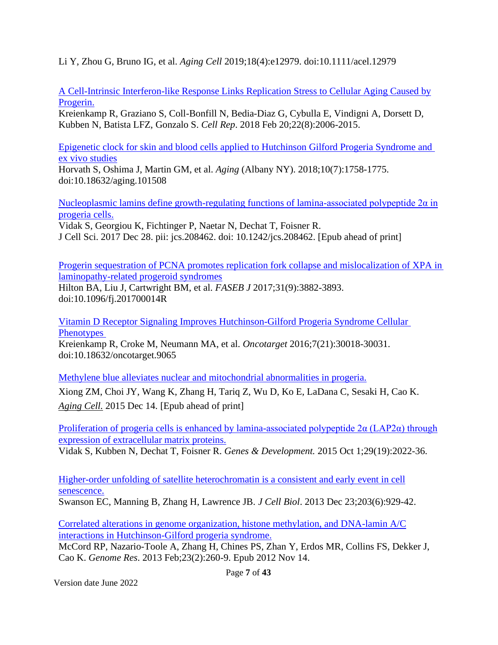Li Y, Zhou G, Bruno IG, et al. *Aging Cell* 2019;18(4):e12979. doi:10.1111/acel.12979

[A Cell-Intrinsic Interferon-like Response Links Replication Stress to Cellular Aging Caused by](https://www.ncbi.nlm.nih.gov/pubmed/29466729) [Progerin.](https://www.ncbi.nlm.nih.gov/pubmed/29466729)

Kreienkamp R, Graziano S, Coll-Bonfill N, Bedia-Diaz G, Cybulla E, Vindigni A, Dorsett D, Kubben N, Batista LFZ, Gonzalo S. *Cell Rep*. 2018 Feb 20;22(8):2006-2015.

[Epigenetic clock for skin and blood cells applied to Hutchinson Gilford Progeria Syndrome and](https://pubmed.ncbi.nlm.nih.gov/30048243/)  [ex vivo studies](https://pubmed.ncbi.nlm.nih.gov/30048243/)

Horvath S, Oshima J, Martin GM, et al. *Aging* (Albany NY). 2018;10(7):1758-1775. doi:10.18632/aging.101508

Nucleoplasmic lamins define growth-regulating functions of lamina-associated polypeptide  $2\alpha$  in [progeria cells.](https://www.ncbi.nlm.nih.gov/pubmed/29361532)

Vidak S, Georgiou K, Fichtinger P, Naetar N, Dechat T, Foisner R. J Cell Sci. 2017 Dec 28. pii: jcs.208462. doi: 10.1242/jcs.208462. [Epub ahead of print]

[Progerin sequestration of PCNA promotes replication fork collapse and mislocalization of XPA in](https://pubmed.ncbi.nlm.nih.gov/28515154/)  [laminopathy-related progeroid syndromes](https://pubmed.ncbi.nlm.nih.gov/28515154/)

Hilton BA, Liu J, Cartwright BM, et al. *FASEB J* 2017;31(9):3882-3893. doi:10.1096/fj.201700014R

[Vitamin D Receptor Signaling Improves Hutchinson-Gilford Progeria Syndrome Cellular](https://pubmed.ncbi.nlm.nih.gov/27145372/)  **Phenotypes** Kreienkamp R, Croke M, Neumann MA, et al. *Oncotarget* 2016;7(21):30018-30031. doi:10.18632/oncotarget.9065

[Methylene blue alleviates nuclear and mitochondrial abnormalities in progeria.](http://www.ncbi.nlm.nih.gov/pubmed/26663466) Xiong ZM, Choi JY, Wang K, Zhang H, Tariq Z, Wu D, Ko E, LaDana C, Sesaki H, Cao K. *[Aging Cell.](http://www.ncbi.nlm.nih.gov/pubmed/26663466)* 2015 Dec 14. [Epub ahead of print]

Proliferation of progeria cells is enhanced by lamina-associated polypeptide  $2\alpha$  (LAP2 $\alpha$ ) through [expression of extracellular matrix proteins.](http://www.ncbi.nlm.nih.gov/pubmed/26443848)

Vidak S, Kubben N, Dechat T, Foisner R. *Genes & Development.* 2015 Oct 1;29(19):2022-36.

[Higher-order unfolding of satellite heterochromatin is a consistent and early event in cell](http://www.ncbi.nlm.nih.gov/pubmed/24344186) [senescence.](http://www.ncbi.nlm.nih.gov/pubmed/24344186)

Swanson EC, Manning B, Zhang H, Lawrence JB. *J Cell Biol*. 2013 Dec 23;203(6):929-42.

[Correlated alterations in genome organization, histone methylation, and DNA-lamin A/C](http://www.ncbi.nlm.nih.gov/pubmed/23152449) [interactions in Hutchinson-Gilford progeria syndrome.](http://www.ncbi.nlm.nih.gov/pubmed/23152449)

McCord RP, Nazario-Toole A, Zhang H, Chines PS, Zhan Y, Erdos MR, Collins FS, Dekker J, Cao K. *Genome Res*. 2013 Feb;23(2):260-9. Epub 2012 Nov 14.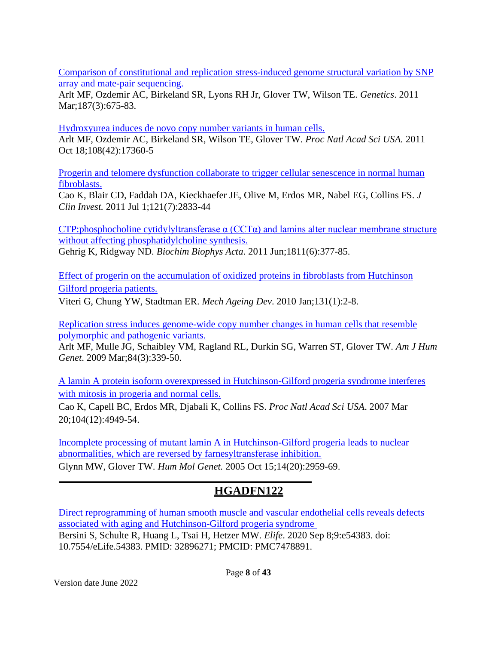[Comparison of constitutional and replication stress-induced genome structural variation by SNP](http://www.ncbi.nlm.nih.gov/pubmed/21212237) [array and mate-pair sequencing.](http://www.ncbi.nlm.nih.gov/pubmed/21212237)

Arlt MF, Ozdemir AC, Birkeland SR, Lyons RH Jr, Glover TW, Wilson TE. *Genetics*. 2011 Mar; 187(3): 675-83.

[Hydroxyurea induces de novo copy number variants in human cells.](http://www.ncbi.nlm.nih.gov/pubmed/21987784)

Arlt MF, Ozdemir AC, Birkeland SR, Wilson TE, Glover TW. *Proc Natl Acad Sci USA.* 2011 Oct 18;108(42):17360-5

[Progerin and telomere dysfunction collaborate to trigger cellular senescence in normal human](http://www.ncbi.nlm.nih.gov/pubmed/21670498) [fibroblasts.](http://www.ncbi.nlm.nih.gov/pubmed/21670498)

[Cao K,](http://www.ncbi.nlm.nih.gov/pubmed?term=%22Cao%20K%22%5BAuthor%5D) [Blair CD,](http://www.ncbi.nlm.nih.gov/pubmed?term=%22Blair%20CD%22%5BAuthor%5D) [Faddah DA,](http://www.ncbi.nlm.nih.gov/pubmed?term=%22Faddah%20DA%22%5BAuthor%5D) [Kieckhaefer JE,](http://www.ncbi.nlm.nih.gov/pubmed?term=%22Kieckhaefer%20JE%22%5BAuthor%5D) [Olive M,](http://www.ncbi.nlm.nih.gov/pubmed?term=%22Olive%20M%22%5BAuthor%5D) [Erdos MR,](http://www.ncbi.nlm.nih.gov/pubmed?term=%22Erdos%20MR%22%5BAuthor%5D) [Nabel EG,](http://www.ncbi.nlm.nih.gov/pubmed?term=%22Nabel%20EG%22%5BAuthor%5D) [Collins FS.](http://www.ncbi.nlm.nih.gov/pubmed?term=%22Collins%20FS%22%5BAuthor%5D) *[J](http://www.ncbi.nlm.nih.gov/pubmed/21670498) [Clin Invest.](http://www.ncbi.nlm.nih.gov/pubmed/21670498)* 2011 Jul 1;121(7):2833-44

CTP:phosphocholine cytidylyltransferase  $\alpha$  (CCT $\alpha$ ) and lamins alter nuclear membrane structure [without affecting phosphatidylcholine synthesis.](http://www.ncbi.nlm.nih.gov/pubmed/21504799) Gehrig K, Ridgway ND. *Biochim Biophys Acta*. 2011 Jun;1811(6):377-85.

[Effect of progerin on the accumulation of oxidized proteins in fibroblasts from Hutchinson](http://www.ncbi.nlm.nih.gov/pubmed/19958786) [Gilford progeria patients.](http://www.ncbi.nlm.nih.gov/pubmed/19958786)

Viteri G, Chung YW, Stadtman ER. *Mech Ageing Dev*. 2010 Jan;131(1):2-8.

[Replication stress induces genome-wide copy number changes in human cells that resemble](http://www.ncbi.nlm.nih.gov/pubmed/19232554) [polymorphic and pathogenic variants.](http://www.ncbi.nlm.nih.gov/pubmed/19232554)

Arlt MF, Mulle JG, Schaibley VM, Ragland RL, Durkin SG, Warren ST, Glover TW. *Am J Hum Genet*. 2009 Mar;84(3):339-50.

[A lamin A protein isoform overexpressed in Hutchinson-Gilford progeria syndrome interferes](http://www.ncbi.nlm.nih.gov/pubmed/17360355) [with mitosis in progeria and normal cells.](http://www.ncbi.nlm.nih.gov/pubmed/17360355)

Cao K, Capell BC, Erdos MR, Djabali K, Collins FS. *Proc Natl Acad Sci USA*. 2007 Mar 20;104(12):4949-54.

[Incomplete processing of mutant lamin A in Hutchinson-Gilford progeria leads to nuclear](http://www.ncbi.nlm.nih.gov/pubmed/16126733) [abnormalities, which are reversed by farnesyltransferase inhibition.](http://www.ncbi.nlm.nih.gov/pubmed/16126733) Glynn MW, Glover TW. *Hum Mol Genet.* 2005 Oct 15;14(20):2959-69.

## **HGADFN122**

[Direct reprogramming of human smooth muscle and vascular endothelial cells reveals defects](https://pubmed.ncbi.nlm.nih.gov/32896271/)  [associated with aging and Hutchinson-Gilford progeria syndrome](https://pubmed.ncbi.nlm.nih.gov/32896271/)  Bersini S, Schulte R, Huang L, Tsai H, Hetzer MW. *Elife*. 2020 Sep 8;9:e54383. doi: 10.7554/eLife.54383. PMID: 32896271; PMCID: PMC7478891.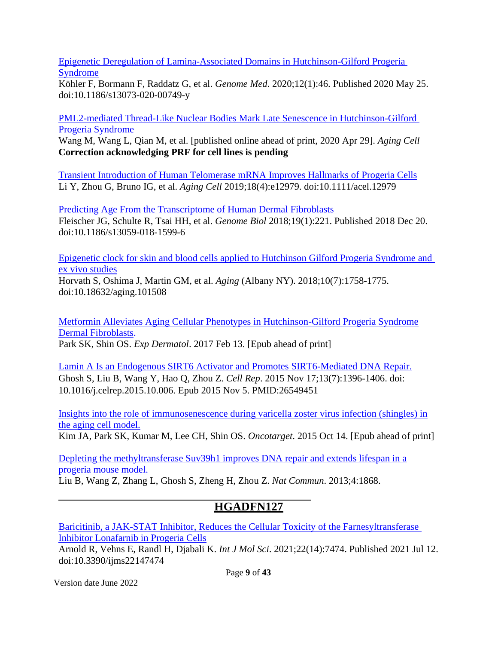[Epigenetic Deregulation of Lamina-Associated Domains in Hutchinson-Gilford Progeria](https://pubmed.ncbi.nlm.nih.gov/32450911/)  [Syndrome](https://pubmed.ncbi.nlm.nih.gov/32450911/)

Köhler F, Bormann F, Raddatz G, et al. *Genome Med*. 2020;12(1):46. Published 2020 May 25. doi:10.1186/s13073-020-00749-y

[PML2-mediated Thread-Like Nuclear Bodies Mark Late Senescence in Hutchinson-Gilford](https://pubmed.ncbi.nlm.nih.gov/32351002/)  [Progeria Syndrome](https://pubmed.ncbi.nlm.nih.gov/32351002/)

Wang M, Wang L, Qian M, et al. [published online ahead of print, 2020 Apr 29]. *Aging Cell* **Correction acknowledging PRF for cell lines is pending**

[Transient Introduction of Human Telomerase mRNA Improves Hallmarks of Progeria Cells](https://pubmed.ncbi.nlm.nih.gov/31152494) Li Y, Zhou G, Bruno IG, et al. *Aging Cell* 2019;18(4):e12979. doi:10.1111/acel.12979

[Predicting Age From the Transcriptome of Human Dermal Fibroblasts](https://pubmed.ncbi.nlm.nih.gov/30567591/)  Fleischer JG, Schulte R, Tsai HH, et al. *Genome Biol* 2018;19(1):221. Published 2018 Dec 20. doi:10.1186/s13059-018-1599-6

[Epigenetic clock for skin and blood cells applied to Hutchinson Gilford Progeria Syndrome and](https://pubmed.ncbi.nlm.nih.gov/30048243/)  [ex vivo studies](https://pubmed.ncbi.nlm.nih.gov/30048243/)

Horvath S, Oshima J, Martin GM, et al. *Aging* (Albany NY). 2018;10(7):1758-1775. doi:10.18632/aging.101508

[Metformin Alleviates Aging Cellular Phenotypes in Hutchinson-Gilford Progeria Syndrome](https://www.ncbi.nlm.nih.gov/pubmed/28192606) [Dermal Fibroblasts.](https://www.ncbi.nlm.nih.gov/pubmed/28192606) Park SK, Shin OS. *Exp Dermatol*. 2017 Feb 13. [Epub ahead of print]

[Lamin A Is an Endogenous SIRT6 Activator and Promotes SIRT6-Mediated DNA Repair.](https://www.ncbi.nlm.nih.gov/pubmed/26549451) Ghosh S, Liu B, Wang Y, Hao Q, Zhou Z. *Cell Rep*. 2015 Nov 17;13(7):1396-1406. doi: 10.1016/j.celrep.2015.10.006. Epub 2015 Nov 5. PMID:26549451

[Insights into the role of immunosenescence during varicella zoster virus infection \(shingles\) in](http://www.ncbi.nlm.nih.gov/pubmed/26473290) [the aging cell model.](http://www.ncbi.nlm.nih.gov/pubmed/26473290)

Kim JA, Park SK, Kumar M, Lee CH, Shin OS. *Oncotarget*. 2015 Oct 14. [Epub ahead of print]

[Depleting the methyltransferase Suv39h1 improves DNA repair and extends lifespan in a](http://www.ncbi.nlm.nih.gov/pubmed/23695662) [progeria mouse model.](http://www.ncbi.nlm.nih.gov/pubmed/23695662)

Liu B, Wang Z, Zhang L, Ghosh S, Zheng H, Zhou Z. *Nat Commun*. 2013;4:1868.

## **HGADFN127**

[Baricitinib, a JAK-STAT Inhibitor, Reduces the Cellular Toxicity of the Farnesyltransferase](https://pubmed.ncbi.nlm.nih.gov/34299092/)  [Inhibitor Lonafarnib in Progeria Cells](https://pubmed.ncbi.nlm.nih.gov/34299092/)

Arnold R, Vehns E, Randl H, Djabali K. *Int J Mol Sci*. 2021;22(14):7474. Published 2021 Jul 12. doi:10.3390/ijms22147474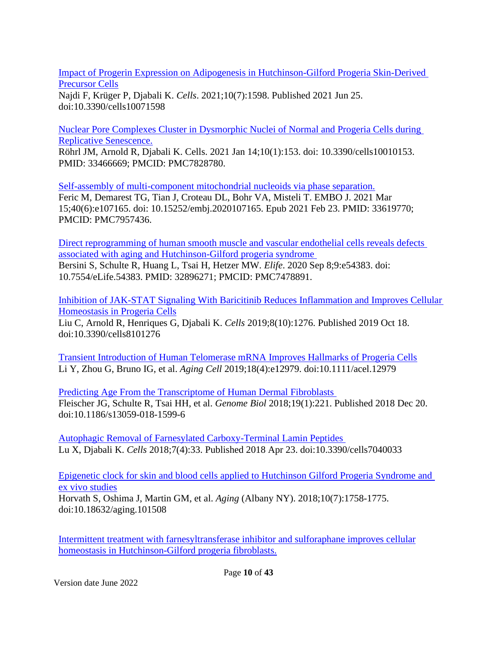[Impact of Progerin Expression on Adipogenesis in Hutchinson-Gilford Progeria Skin-Derived](https://pubmed.ncbi.nlm.nih.gov/34202258/)  [Precursor Cells](https://pubmed.ncbi.nlm.nih.gov/34202258/)

Najdi F, Krüger P, Djabali K. *Cells*. 2021;10(7):1598. Published 2021 Jun 25. doi:10.3390/cells10071598

[Nuclear Pore Complexes Cluster in Dysmorphic Nuclei of Normal and Progeria Cells during](https://pubmed.ncbi.nlm.nih.gov/33466669/)  [Replicative Senescence.](https://pubmed.ncbi.nlm.nih.gov/33466669/)

Röhrl JM, Arnold R, Djabali K. Cells. 2021 Jan 14;10(1):153. doi: 10.3390/cells10010153. PMID: 33466669; PMCID: PMC7828780.

[Self-assembly of multi-component mitochondrial nucleoids via phase separation.](https://pubmed.ncbi.nlm.nih.gov/33619770/) Feric M, Demarest TG, Tian J, Croteau DL, Bohr VA, Misteli T. EMBO J. 2021 Mar 15;40(6):e107165. doi: 10.15252/embj.2020107165. Epub 2021 Feb 23. PMID: 33619770; PMCID: PMC7957436.

[Direct reprogramming of human smooth muscle and vascular endothelial cells reveals defects](https://pubmed.ncbi.nlm.nih.gov/32896271/)  [associated with aging and Hutchinson-Gilford progeria syndrome](https://pubmed.ncbi.nlm.nih.gov/32896271/)  Bersini S, Schulte R, Huang L, Tsai H, Hetzer MW. *Elife*. 2020 Sep 8;9:e54383. doi: 10.7554/eLife.54383. PMID: 32896271; PMCID: PMC7478891.

[Inhibition of JAK-STAT Signaling With Baricitinib Reduces Inflammation and Improves Cellular](https://pubmed.ncbi.nlm.nih.gov/31635416)  [Homeostasis in Progeria Cells](https://pubmed.ncbi.nlm.nih.gov/31635416)

Liu C, Arnold R, Henriques G, Djabali K. *Cells* 2019;8(10):1276. Published 2019 Oct 18. doi:10.3390/cells8101276

[Transient Introduction of Human Telomerase mRNA Improves Hallmarks of Progeria Cells](https://pubmed.ncbi.nlm.nih.gov/31152494) Li Y, Zhou G, Bruno IG, et al. *Aging Cell* 2019;18(4):e12979. doi:10.1111/acel.12979

[Predicting Age From the Transcriptome of Human Dermal Fibroblasts](https://pubmed.ncbi.nlm.nih.gov/30567591/)  Fleischer JG, Schulte R, Tsai HH, et al. *Genome Biol* 2018;19(1):221. Published 2018 Dec 20. doi:10.1186/s13059-018-1599-6

[Autophagic Removal of Farnesylated Carboxy-Terminal Lamin Peptides](https://pubmed.ncbi.nlm.nih.gov/29690642)  Lu X, Djabali K. *Cells* 2018;7(4):33. Published 2018 Apr 23. doi:10.3390/cells7040033

[Epigenetic clock for skin and blood cells applied to Hutchinson Gilford Progeria Syndrome and](https://pubmed.ncbi.nlm.nih.gov/30048243/)  [ex vivo studies](https://pubmed.ncbi.nlm.nih.gov/30048243/)

Horvath S, Oshima J, Martin GM, et al. *Aging* (Albany NY). 2018;10(7):1758-1775. doi:10.18632/aging.101508

[Intermittent treatment with farnesyltransferase inhibitor and sulforaphane improves cellular](https://www.ncbi.nlm.nih.gov/pubmed/29029393) [homeostasis in Hutchinson-Gilford progeria fibroblasts.](https://www.ncbi.nlm.nih.gov/pubmed/29029393)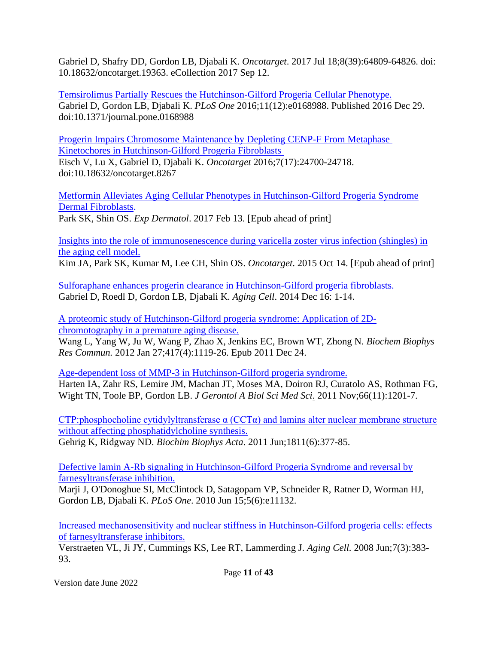Gabriel D, Shafry DD, Gordon LB, Djabali K. *Oncotarget*. 2017 Jul 18;8(39):64809-64826. doi: 10.18632/oncotarget.19363. eCollection 2017 Sep 12.

[Temsirolimus Partially Rescues the Hutchinson-Gilford Progeria Cellular Phenotype.](https://pubmed.ncbi.nlm.nih.gov/28033363/) Gabriel D, Gordon LB, Djabali K. *PLoS One* 2016;11(12):e0168988. Published 2016 Dec 29. doi:10.1371/journal.pone.0168988

[Progerin Impairs Chromosome Maintenance by Depleting CENP-F From Metaphase](https://pubmed.ncbi.nlm.nih.gov/27015553/)  [Kinetochores in Hutchinson-Gilford Progeria Fibroblasts](https://pubmed.ncbi.nlm.nih.gov/27015553/) 

Eisch V, Lu X, Gabriel D, Djabali K. *Oncotarget* 2016;7(17):24700-24718. doi:10.18632/oncotarget.8267

[Metformin Alleviates Aging Cellular Phenotypes in Hutchinson-Gilford Progeria Syndrome](https://www.ncbi.nlm.nih.gov/pubmed/28192606) [Dermal Fibroblasts.](https://www.ncbi.nlm.nih.gov/pubmed/28192606)

Park SK, Shin OS. *Exp Dermatol*. 2017 Feb 13. [Epub ahead of print]

[Insights into the role of immunosenescence during varicella zoster virus infection \(shingles\) in](http://www.ncbi.nlm.nih.gov/pubmed/26473290) [the aging cell model.](http://www.ncbi.nlm.nih.gov/pubmed/26473290)

Kim JA, Park SK, Kumar M, Lee CH, Shin OS. *Oncotarget*. 2015 Oct 14. [Epub ahead of print]

[Sulforaphane enhances progerin clearance in Hutchinson-Gilford progeria fibroblasts.](http://www.ncbi.nlm.nih.gov/pubmed/25510262) Gabriel D, Roedl D, Gordon LB, Djabali K. *Aging Cell*. 2014 Dec 16: 1-14.

[A proteomic study of Hutchinson-Gilford progeria syndrome: Application of 2D](http://www.ncbi.nlm.nih.gov/pubmed/22210539)[chromotography in a premature aging disease.](http://www.ncbi.nlm.nih.gov/pubmed/22210539)

Wang L, Yang W, Ju W, Wang P, Zhao X, Jenkins EC, Brown WT, Zhong N. *Biochem Biophys Res Commun.* 2012 Jan 27;417(4):1119-26. Epub 2011 Dec 24.

[Age-dependent loss of MMP-3 in Hutchinson-Gilford progeria syndrome.](http://www.ncbi.nlm.nih.gov/pubmed/21852285)

[Harten IA,](http://www.ncbi.nlm.nih.gov/pubmed?term=%22Harten%20IA%22%5BAuthor%5D) [Zahr RS,](http://www.ncbi.nlm.nih.gov/pubmed?term=%22Zahr%20RS%22%5BAuthor%5D) [Lemire JM,](http://www.ncbi.nlm.nih.gov/pubmed?term=%22Lemire%20JM%22%5BAuthor%5D) [Machan JT,](http://www.ncbi.nlm.nih.gov/pubmed?term=%22Machan%20JT%22%5BAuthor%5D) [Moses MA,](http://www.ncbi.nlm.nih.gov/pubmed?term=%22Moses%20MA%22%5BAuthor%5D) [Doiron RJ,](http://www.ncbi.nlm.nih.gov/pubmed?term=%22Doiron%20RJ%22%5BAuthor%5D) [Curatolo AS,](http://www.ncbi.nlm.nih.gov/pubmed?term=%22Curatolo%20AS%22%5BAuthor%5D) [Rothman FG,](http://www.ncbi.nlm.nih.gov/pubmed?term=%22Rothman%20FG%22%5BAuthor%5D) [Wight TN,](http://www.ncbi.nlm.nih.gov/pubmed?term=%22Wight%20TN%22%5BAuthor%5D) [Toole BP,](http://www.ncbi.nlm.nih.gov/pubmed?term=%22Toole%20BP%22%5BAuthor%5D) [Gordon LB.](http://www.ncbi.nlm.nih.gov/pubmed?term=%22Gordon%20LB%22%5BAuthor%5D) *[J Gerontol A Biol Sci Med Sci](http://www.ncbi.nlm.nih.gov/pubmed/21852285)*. 2011 Nov;66(11):1201-7.

CTP:phosphocholine cytidylyltransferase  $\alpha$  (CCT $\alpha$ ) and lamins alter nuclear membrane structure [without affecting phosphatidylcholine synthesis.](http://www.ncbi.nlm.nih.gov/pubmed/21504799) Gehrig K, Ridgway ND. *Biochim Biophys Acta*. 2011 Jun;1811(6):377-85.

[Defective lamin A-Rb signaling in Hutchinson-Gilford Progeria Syndrome and reversal by](http://www.ncbi.nlm.nih.gov/pubmed/20559568) [farnesyltransferase inhibition.](http://www.ncbi.nlm.nih.gov/pubmed/20559568)

Marji J, O'Donoghue SI, McClintock D, Satagopam VP, Schneider R, Ratner D, Worman HJ, Gordon LB, Djabali K. *PLoS One*. 2010 Jun 15;5(6):e11132.

[Increased mechanosensitivity and nuclear stiffness in Hutchinson-Gilford progeria cells: effects](http://www.ncbi.nlm.nih.gov/pubmed/18331619) [of farnesyltransferase inhibitors.](http://www.ncbi.nlm.nih.gov/pubmed/18331619)

Verstraeten VL, Ji JY, Cummings KS, Lee RT, Lammerding J. *Aging Cell.* 2008 Jun;7(3):383- 93.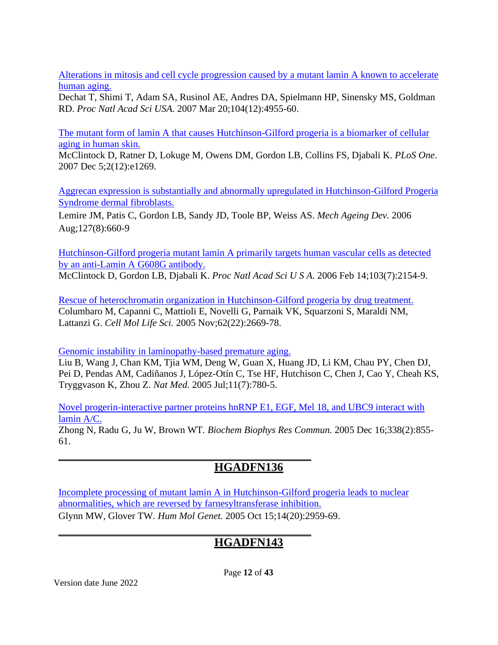[Alterations in mitosis and cell cycle progression caused by a mutant lamin A known to accelerate](http://www.ncbi.nlm.nih.gov/pubmed/17360326) [human aging.](http://www.ncbi.nlm.nih.gov/pubmed/17360326)

Dechat T, Shimi T, Adam SA, Rusinol AE, Andres DA, Spielmann HP, Sinensky MS, Goldman RD. *Proc Natl Acad Sci USA*. 2007 Mar 20;104(12):4955-60.

[The mutant form of lamin A that causes Hutchinson-Gilford progeria is a biomarker of cellular](http://www.ncbi.nlm.nih.gov/pubmed/18060063) [aging in human skin.](http://www.ncbi.nlm.nih.gov/pubmed/18060063)

McClintock D, Ratner D, Lokuge M, Owens DM, Gordon LB, Collins FS, Djabali K. *PLoS One*. 2007 Dec 5;2(12):e1269.

[Aggrecan expression is substantially and abnormally upregulated in Hutchinson-Gilford Progeria](http://www.ncbi.nlm.nih.gov/pubmed/16650460) [Syndrome dermal fibroblasts.](http://www.ncbi.nlm.nih.gov/pubmed/16650460)

[Lemire JM,](http://www.ncbi.nlm.nih.gov/pubmed?term=%22Lemire%20JM%22%5BAuthor%5D) [Patis C,](http://www.ncbi.nlm.nih.gov/pubmed?term=%22Patis%20C%22%5BAuthor%5D) [Gordon LB,](http://www.ncbi.nlm.nih.gov/pubmed?term=%22Gordon%20LB%22%5BAuthor%5D) [Sandy JD,](http://www.ncbi.nlm.nih.gov/pubmed?term=%22Sandy%20JD%22%5BAuthor%5D) [Toole BP,](http://www.ncbi.nlm.nih.gov/pubmed?term=%22Toole%20BP%22%5BAuthor%5D) [Weiss AS.](http://www.ncbi.nlm.nih.gov/pubmed?term=%22Weiss%20AS%22%5BAuthor%5D) *[Mech Ageing Dev.](http://www.ncbi.nlm.nih.gov/pubmed/16650460)* 2006 Aug;127(8):660-9

[Hutchinson-Gilford progeria mutant lamin A primarily targets human vascular cells as detected](http://www.ncbi.nlm.nih.gov/pubmed/16461887) [by an anti-Lamin A G608G antibody.](http://www.ncbi.nlm.nih.gov/pubmed/16461887) [McClintock D,](http://www.ncbi.nlm.nih.gov/pubmed?term=%22McClintock%20D%22%5BAuthor%5D) [Gordon LB,](http://www.ncbi.nlm.nih.gov/pubmed?term=%22Gordon%20LB%22%5BAuthor%5D) [Djabali K.](http://www.ncbi.nlm.nih.gov/pubmed?term=%22Djabali%20K%22%5BAuthor%5D) *[Proc Natl Acad Sci U S A.](http://www.ncbi.nlm.nih.gov/pubmed/16461887)* 2006 Feb 14;103(7):2154-9.

[Rescue of heterochromatin organization in Hutchinson-Gilford progeria by drug treatment.](http://www.ncbi.nlm.nih.gov/pubmed/16261260) [Columbaro M,](http://www.ncbi.nlm.nih.gov/pubmed?term=%22Columbaro%20M%22%5BAuthor%5D) [Capanni C,](http://www.ncbi.nlm.nih.gov/pubmed?term=%22Capanni%20C%22%5BAuthor%5D) [Mattioli E,](http://www.ncbi.nlm.nih.gov/pubmed?term=%22Mattioli%20E%22%5BAuthor%5D) [Novelli G,](http://www.ncbi.nlm.nih.gov/pubmed?term=%22Novelli%20G%22%5BAuthor%5D) [Parnaik VK,](http://www.ncbi.nlm.nih.gov/pubmed?term=%22Parnaik%20VK%22%5BAuthor%5D) [Squarzoni S,](http://www.ncbi.nlm.nih.gov/pubmed?term=%22Squarzoni%20S%22%5BAuthor%5D) [Maraldi NM,](http://www.ncbi.nlm.nih.gov/pubmed?term=%22Maraldi%20NM%22%5BAuthor%5D) [Lattanzi G.](http://www.ncbi.nlm.nih.gov/pubmed?term=%22Lattanzi%20G%22%5BAuthor%5D) *[Cell Mol Life Sci.](http://www.ncbi.nlm.nih.gov/pubmed/16261260)* 2005 Nov;62(22):2669-78.

[Genomic instability in laminopathy-based premature aging.](http://www.ncbi.nlm.nih.gov/pubmed/15980864)

Liu B, Wang J, Chan KM, Tjia WM, Deng W, Guan X, Huang JD, Li KM, Chau PY, Chen DJ, Pei D, Pendas AM, Cadiñanos J, López-Otín C, Tse HF, Hutchison C, Chen J, Cao Y, Cheah KS, Tryggvason K, Zhou Z. *Nat Med.* 2005 Jul;11(7):780-5.

[Novel progerin-interactive partner proteins hnRNP E1, EGF, Mel 18, and UBC9 interact with](http://www.ncbi.nlm.nih.gov/pubmed/16248985) [lamin A/C.](http://www.ncbi.nlm.nih.gov/pubmed/16248985)

Zhong N, Radu G, Ju W, Brown WT*. Biochem Biophys Res Commun.* 2005 Dec 16;338(2):855- 61.

# **HGADFN136**

[Incomplete processing of mutant lamin A in Hutchinson-Gilford progeria leads to nuclear](http://www.ncbi.nlm.nih.gov/pubmed/16126733) [abnormalities, which are reversed by farnesyltransferase inhibition.](http://www.ncbi.nlm.nih.gov/pubmed/16126733) Glynn MW, Glover TW. *Hum Mol Genet.* 2005 Oct 15;14(20):2959-69.

## **HGADFN143**

Page **12** of **43**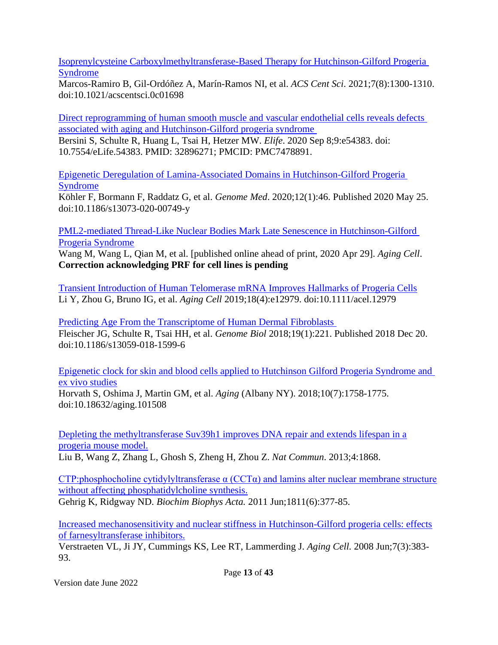[Isoprenylcysteine Carboxylmethyltransferase-Based Therapy for Hutchinson-Gilford Progeria](https://pubmed.ncbi.nlm.nih.gov/34471675/)  [Syndrome](https://pubmed.ncbi.nlm.nih.gov/34471675/)

Marcos-Ramiro B, Gil-Ordóñez A, Marín-Ramos NI, et al. *ACS Cent Sci*. 2021;7(8):1300-1310. doi:10.1021/acscentsci.0c01698

[Direct reprogramming of human smooth muscle and vascular endothelial cells reveals defects](https://pubmed.ncbi.nlm.nih.gov/32896271/)  [associated with aging and Hutchinson-Gilford progeria syndrome](https://pubmed.ncbi.nlm.nih.gov/32896271/) 

Bersini S, Schulte R, Huang L, Tsai H, Hetzer MW. *Elife*. 2020 Sep 8;9:e54383. doi: 10.7554/eLife.54383. PMID: 32896271; PMCID: PMC7478891.

[Epigenetic Deregulation of Lamina-Associated Domains in Hutchinson-Gilford Progeria](https://pubmed.ncbi.nlm.nih.gov/32450911/)  [Syndrome](https://pubmed.ncbi.nlm.nih.gov/32450911/)

Köhler F, Bormann F, Raddatz G, et al. *Genome Med*. 2020;12(1):46. Published 2020 May 25. doi:10.1186/s13073-020-00749-y

[PML2-mediated Thread-Like Nuclear Bodies Mark Late Senescence in Hutchinson-Gilford](https://pubmed.ncbi.nlm.nih.gov/32351002/)  [Progeria Syndrome](https://pubmed.ncbi.nlm.nih.gov/32351002/)

Wang M, Wang L, Qian M, et al. [published online ahead of print, 2020 Apr 29]. *Aging Cell*. **Correction acknowledging PRF for cell lines is pending**

[Transient Introduction of Human Telomerase mRNA Improves Hallmarks of Progeria Cells](https://pubmed.ncbi.nlm.nih.gov/31152494) Li Y, Zhou G, Bruno IG, et al. *Aging Cell* 2019;18(4):e12979. doi:10.1111/acel.12979

[Predicting Age From the Transcriptome of Human Dermal Fibroblasts](https://pubmed.ncbi.nlm.nih.gov/30567591/)  Fleischer JG, Schulte R, Tsai HH, et al. *Genome Biol* 2018;19(1):221. Published 2018 Dec 20. doi:10.1186/s13059-018-1599-6

[Epigenetic clock for skin and blood cells applied to Hutchinson Gilford Progeria Syndrome and](https://pubmed.ncbi.nlm.nih.gov/30048243/)  [ex vivo studies](https://pubmed.ncbi.nlm.nih.gov/30048243/)

Horvath S, Oshima J, Martin GM, et al. *Aging* (Albany NY). 2018;10(7):1758-1775. doi:10.18632/aging.101508

[Depleting the methyltransferase Suv39h1 improves DNA repair and extends lifespan in a](http://www.ncbi.nlm.nih.gov/pubmed/23695662) [progeria mouse model.](http://www.ncbi.nlm.nih.gov/pubmed/23695662) Liu B, Wang Z, Zhang L, Ghosh S, Zheng H, Zhou Z. *Nat Commun*. 2013;4:1868.

CTP:phosphocholine cytidylyltransferase  $\alpha$  (CCT $\alpha$ ) and lamins alter nuclear membrane structure [without affecting phosphatidylcholine synthesis.](http://www.ncbi.nlm.nih.gov/pubmed/21504799)

Gehrig K, Ridgway ND. *Biochim Biophys Acta.* 2011 Jun;1811(6):377-85.

[Increased mechanosensitivity and nuclear stiffness in Hutchinson-Gilford progeria cells: effects](http://www.ncbi.nlm.nih.gov/pubmed/18331619) [of farnesyltransferase inhibitors.](http://www.ncbi.nlm.nih.gov/pubmed/18331619)

Verstraeten VL, Ji JY, Cummings KS, Lee RT, Lammerding J. *Aging Cell.* 2008 Jun;7(3):383- 93.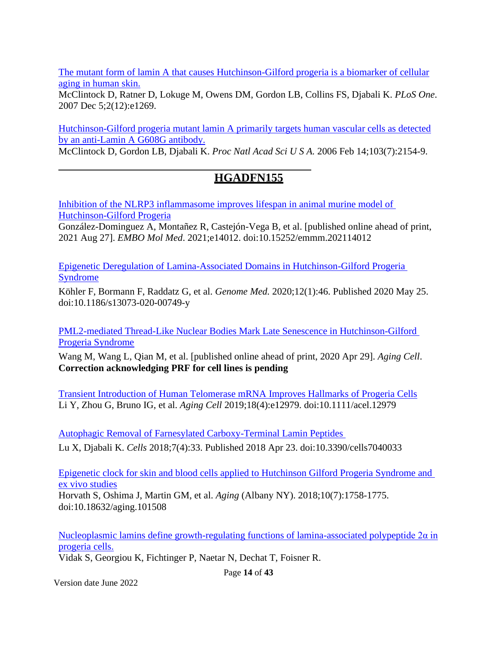[The mutant form of lamin A that causes Hutchinson-Gilford progeria is a biomarker of cellular](http://www.ncbi.nlm.nih.gov/pubmed/18060063) [aging in human skin.](http://www.ncbi.nlm.nih.gov/pubmed/18060063)

McClintock D, Ratner D, Lokuge M, Owens DM, Gordon LB, Collins FS, Djabali K. *PLoS One*. 2007 Dec 5;2(12):e1269.

[Hutchinson-Gilford progeria mutant lamin A primarily targets human vascular cells as detected](http://www.ncbi.nlm.nih.gov/pubmed/16461887) [by an anti-Lamin A G608G antibody.](http://www.ncbi.nlm.nih.gov/pubmed/16461887)

[McClintock D,](http://www.ncbi.nlm.nih.gov/pubmed?term=%22McClintock%20D%22%5BAuthor%5D) [Gordon LB,](http://www.ncbi.nlm.nih.gov/pubmed?term=%22Gordon%20LB%22%5BAuthor%5D) [Djabali K.](http://www.ncbi.nlm.nih.gov/pubmed?term=%22Djabali%20K%22%5BAuthor%5D) *[Proc Natl Acad Sci U S A.](http://www.ncbi.nlm.nih.gov/pubmed/16461887)* 2006 Feb 14;103(7):2154-9.

## **HGADFN155**

[Inhibition of the NLRP3 inflammasome improves lifespan in animal murine model of](https://pubmed.ncbi.nlm.nih.gov/34448355/)  [Hutchinson-Gilford Progeria](https://pubmed.ncbi.nlm.nih.gov/34448355/)

González-Dominguez A, Montañez R, Castejón-Vega B, et al. [published online ahead of print, 2021 Aug 27]. *EMBO Mol Med*. 2021;e14012. doi:10.15252/emmm.202114012

[Epigenetic Deregulation of Lamina-Associated Domains in Hutchinson-Gilford Progeria](https://pubmed.ncbi.nlm.nih.gov/32450911/)  **[Syndrome](https://pubmed.ncbi.nlm.nih.gov/32450911/)** 

Köhler F, Bormann F, Raddatz G, et al. *Genome Med.* 2020;12(1):46. Published 2020 May 25. doi:10.1186/s13073-020-00749-y

[PML2-mediated Thread-Like Nuclear Bodies Mark Late Senescence in Hutchinson-Gilford](https://pubmed.ncbi.nlm.nih.gov/32351002/)  [Progeria Syndrome](https://pubmed.ncbi.nlm.nih.gov/32351002/)

Wang M, Wang L, Qian M, et al. [published online ahead of print, 2020 Apr 29]. *Aging Cell*. **Correction acknowledging PRF for cell lines is pending**

[Transient Introduction of Human Telomerase mRNA Improves Hallmarks of Progeria Cells](https://pubmed.ncbi.nlm.nih.gov/31152494) Li Y, Zhou G, Bruno IG, et al. *Aging Cell* 2019;18(4):e12979. doi:10.1111/acel.12979

[Autophagic Removal of Farnesylated Carboxy-Terminal Lamin Peptides](https://pubmed.ncbi.nlm.nih.gov/29690642)  Lu X, Djabali K. *Cells* 2018;7(4):33. Published 2018 Apr 23. doi:10.3390/cells7040033

[Epigenetic clock for skin and blood cells applied to Hutchinson Gilford Progeria Syndrome and](https://pubmed.ncbi.nlm.nih.gov/30048243/)  [ex vivo studies](https://pubmed.ncbi.nlm.nih.gov/30048243/)

Horvath S, Oshima J, Martin GM, et al. *Aging* (Albany NY). 2018;10(7):1758-1775. doi:10.18632/aging.101508

Nucleoplasmic lamins define growth-regulating functions of lamina-associated polypeptide  $2α$  in [progeria cells.](https://www.ncbi.nlm.nih.gov/pubmed/29361532)

Vidak S, Georgiou K, Fichtinger P, Naetar N, Dechat T, Foisner R.

Page **14** of **43**

Version date June 2022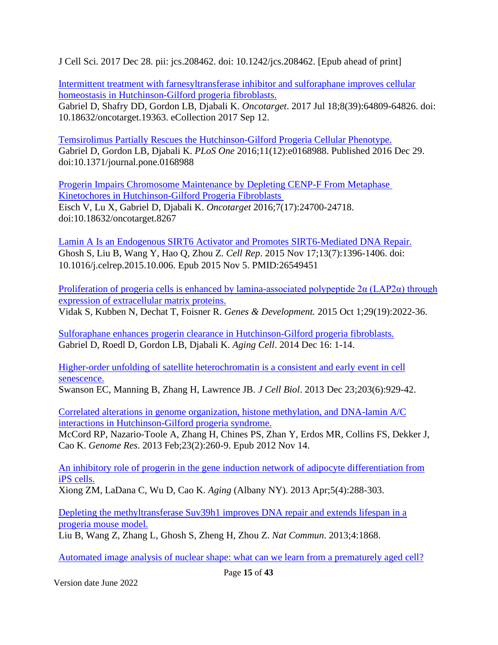J Cell Sci. 2017 Dec 28. pii: jcs.208462. doi: 10.1242/jcs.208462. [Epub ahead of print]

[Intermittent treatment with farnesyltransferase inhibitor and sulforaphane improves cellular](https://www.ncbi.nlm.nih.gov/pubmed/29029393) [homeostasis in Hutchinson-Gilford progeria fibroblasts.](https://www.ncbi.nlm.nih.gov/pubmed/29029393)

Gabriel D, Shafry DD, Gordon LB, Djabali K. *Oncotarget*. 2017 Jul 18;8(39):64809-64826. doi: 10.18632/oncotarget.19363. eCollection 2017 Sep 12.

Temsirolimus Partially Rescues the [Hutchinson-Gilford Progeria Cellular Phenotype.](https://pubmed.ncbi.nlm.nih.gov/28033363/) Gabriel D, Gordon LB, Djabali K. *PLoS One* 2016;11(12):e0168988. Published 2016 Dec 29. doi:10.1371/journal.pone.0168988

[Progerin Impairs Chromosome Maintenance by Depleting CENP-F From Metaphase](https://pubmed.ncbi.nlm.nih.gov/27015553/)  [Kinetochores in Hutchinson-Gilford Progeria Fibroblasts](https://pubmed.ncbi.nlm.nih.gov/27015553/)  Eisch V, Lu X, Gabriel D, Djabali K. *Oncotarget* 2016;7(17):24700-24718. doi:10.18632/oncotarget.8267

[Lamin A Is an Endogenous SIRT6 Activator and Promotes SIRT6-Mediated DNA Repair.](https://www.ncbi.nlm.nih.gov/pubmed/26549451) Ghosh S, Liu B, Wang Y, Hao Q, Zhou Z. *Cell Rep*. 2015 Nov 17;13(7):1396-1406. doi: 10.1016/j.celrep.2015.10.006. Epub 2015 Nov 5. PMID:26549451

Proliferation of progeria cells is enhanced by lamina-associated polypeptide  $2\alpha$  (LAP2 $\alpha$ ) through [expression of extracellular matrix proteins.](http://www.ncbi.nlm.nih.gov/pubmed/26443848)

Vidak S, Kubben N, Dechat T, Foisner R. *Genes & Development.* 2015 Oct 1;29(19):2022-36.

[Sulforaphane enhances progerin clearance in Hutchinson-Gilford progeria fibroblasts.](http://www.ncbi.nlm.nih.gov/pubmed/25510262) Gabriel D, Roedl D, Gordon LB, Djabali K. *Aging Cell*. 2014 Dec 16: 1-14.

[Higher-order unfolding of satellite heterochromatin is a consistent and early event in cell](http://www.ncbi.nlm.nih.gov/pubmed/24344186) [senescence.](http://www.ncbi.nlm.nih.gov/pubmed/24344186)

Swanson EC, Manning B, Zhang H, Lawrence JB. *J Cell Biol*. 2013 Dec 23;203(6):929-42.

[Correlated alterations in genome organization, histone methylation, and DNA-lamin A/C](http://www.ncbi.nlm.nih.gov/pubmed/23152449) [interactions in Hutchinson-Gilford progeria syndrome.](http://www.ncbi.nlm.nih.gov/pubmed/23152449)

McCord RP, Nazario-Toole A, Zhang H, Chines PS, Zhan Y, Erdos MR, Collins FS, Dekker J, Cao K. *Genome Res*. 2013 Feb;23(2):260-9. Epub 2012 Nov 14.

[An inhibitory role of progerin in the gene induction network of adipocyte differentiation from](http://www.ncbi.nlm.nih.gov/pubmed/23596277) [iPS cells.](http://www.ncbi.nlm.nih.gov/pubmed/23596277)

Xiong ZM, LaDana C, Wu D, Cao K. *Aging* (Albany NY). 2013 Apr;5(4):288-303.

[Depleting the methyltransferase Suv39h1 improves DNA repair and extends lifespan in a](http://www.ncbi.nlm.nih.gov/pubmed/23695662) [progeria mouse model.](http://www.ncbi.nlm.nih.gov/pubmed/23695662)

Liu B, Wang Z, Zhang L, Ghosh S, Zheng H, Zhou Z. *Nat Commun*. 2013;4:1868.

[Automated image analysis of nuclear shape: what can we learn from a prematurely aged cell?](http://www.ncbi.nlm.nih.gov/pubmed/22354768)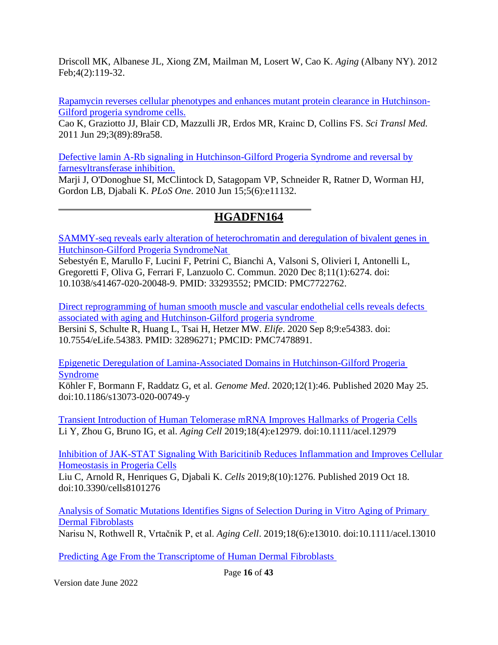Driscoll MK, Albanese JL, Xiong ZM, Mailman M, Losert W, Cao K. *Aging* (Albany NY). 2012 Feb;4(2):119-32.

[Rapamycin reverses cellular phenotypes and enhances mutant protein clearance in Hutchinson-](http://www.ncbi.nlm.nih.gov/pubmed/21715679)[Gilford progeria syndrome cells.](http://www.ncbi.nlm.nih.gov/pubmed/21715679)

Cao K, Graziotto JJ, Blair CD, Mazzulli JR, Erdos MR, Krainc D, Collins FS. *Sci Transl Med.* 2011 Jun 29;3(89):89ra58.

[Defective lamin A-Rb signaling in Hutchinson-Gilford Progeria Syndrome and reversal by](http://www.ncbi.nlm.nih.gov/pubmed/20559568) [farnesyltransferase inhibition.](http://www.ncbi.nlm.nih.gov/pubmed/20559568)

Marji J, O'Donoghue SI, McClintock D, Satagopam VP, Schneider R, Ratner D, Worman HJ, Gordon LB, Djabali K. *PLoS One*. 2010 Jun 15;5(6):e11132.

## **HGADFN164**

[SAMMY-seq reveals early alteration of heterochromatin and deregulation of bivalent genes in](https://pubmed.ncbi.nlm.nih.gov/33293552/)  [Hutchinson-Gilford Progeria SyndromeNat](https://pubmed.ncbi.nlm.nih.gov/33293552/) 

Sebestyén E, Marullo F, Lucini F, Petrini C, Bianchi A, Valsoni S, Olivieri I, Antonelli L, Gregoretti F, Oliva G, Ferrari F, Lanzuolo C. Commun. 2020 Dec 8;11(1):6274. doi: 10.1038/s41467-020-20048-9. PMID: 33293552; PMCID: PMC7722762.

[Direct reprogramming of human smooth muscle and vascular endothelial cells reveals defects](https://pubmed.ncbi.nlm.nih.gov/32896271/)  [associated with aging and Hutchinson-Gilford progeria syndrome](https://pubmed.ncbi.nlm.nih.gov/32896271/)  Bersini S, Schulte R, Huang L, Tsai H, Hetzer MW. *Elife*. 2020 Sep 8;9:e54383. doi: 10.7554/eLife.54383. PMID: 32896271; PMCID: PMC7478891.

[Epigenetic Deregulation of Lamina-Associated Domains in Hutchinson-Gilford Progeria](https://pubmed.ncbi.nlm.nih.gov/32450911/)  [Syndrome](https://pubmed.ncbi.nlm.nih.gov/32450911/)

Köhler F, Bormann F, Raddatz G, et al. *Genome Med*. 2020;12(1):46. Published 2020 May 25. doi:10.1186/s13073-020-00749-y

[Transient Introduction of Human Telomerase mRNA Improves Hallmarks of Progeria Cells](https://pubmed.ncbi.nlm.nih.gov/31152494) Li Y, Zhou G, Bruno IG, et al. *Aging Cell* 2019;18(4):e12979. doi:10.1111/acel.12979

[Inhibition of JAK-STAT Signaling With Baricitinib Reduces Inflammation and Improves Cellular](https://pubmed.ncbi.nlm.nih.gov/31635416)  [Homeostasis in Progeria Cells](https://pubmed.ncbi.nlm.nih.gov/31635416)

Liu C, Arnold R, Henriques G, Djabali K. *Cells* 2019;8(10):1276. Published 2019 Oct 18. doi:10.3390/cells8101276

[Analysis of Somatic Mutations Identifies Signs of Selection During in Vitro Aging of Primary](https://pubmed.ncbi.nlm.nih.gov/31385397)  [Dermal Fibroblasts](https://pubmed.ncbi.nlm.nih.gov/31385397)

Narisu N, Rothwell R, Vrtačnik P, et al. *Aging Cell*. 2019;18(6):e13010. doi:10.1111/acel.13010

[Predicting Age From the Transcriptome of Human Dermal Fibroblasts](https://pubmed.ncbi.nlm.nih.gov/30567591/)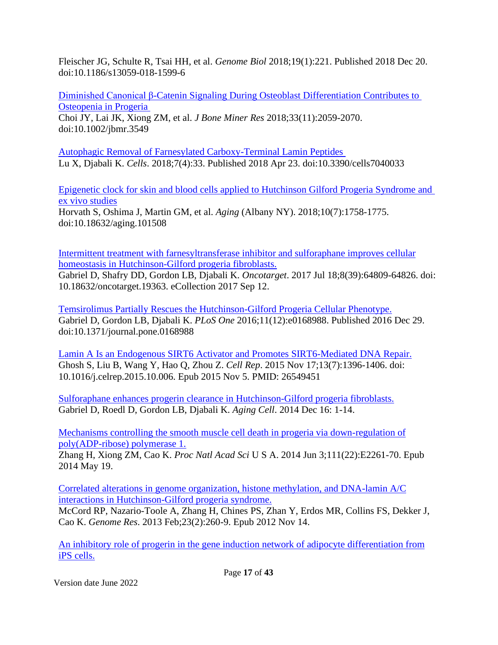Fleischer JG, Schulte R, Tsai HH, et al. *Genome Biol* 2018;19(1):221. Published 2018 Dec 20. doi:10.1186/s13059-018-1599-6

[Diminished Canonical β-Catenin Signaling During Osteoblast Differentiation](https://pubmed.ncbi.nlm.nih.gov/30001457/) Contributes to [Osteopenia in Progeria](https://pubmed.ncbi.nlm.nih.gov/30001457/)  Choi JY, Lai JK, Xiong ZM, et al. *J Bone Miner Res* 2018;33(11):2059-2070. doi:10.1002/jbmr.3549

[Autophagic Removal of Farnesylated Carboxy-Terminal Lamin Peptides](https://pubmed.ncbi.nlm.nih.gov/29690642)  Lu X, Djabali K. *Cells*. 2018;7(4):33. Published 2018 Apr 23. doi:10.3390/cells7040033

[Epigenetic clock for skin and blood cells applied to Hutchinson Gilford Progeria Syndrome and](https://pubmed.ncbi.nlm.nih.gov/30048243/)  [ex vivo studies](https://pubmed.ncbi.nlm.nih.gov/30048243/) Horvath S, Oshima J, Martin GM, et al. *Aging* (Albany NY). 2018;10(7):1758-1775. doi:10.18632/aging.101508

[Intermittent treatment with farnesyltransferase inhibitor and sulforaphane improves cellular](https://www.ncbi.nlm.nih.gov/pubmed/29029393) [homeostasis in Hutchinson-Gilford progeria fibroblasts.](https://www.ncbi.nlm.nih.gov/pubmed/29029393) Gabriel D, Shafry DD, Gordon LB, Djabali K. *Oncotarget*. 2017 Jul 18;8(39):64809-64826. doi: 10.18632/oncotarget.19363. eCollection 2017 Sep 12.

[Temsirolimus Partially Rescues the Hutchinson-Gilford Progeria Cellular Phenotype.](https://pubmed.ncbi.nlm.nih.gov/28033363/) Gabriel D, Gordon LB, Djabali K. *PLoS One* 2016;11(12):e0168988. Published 2016 Dec 29. doi:10.1371/journal.pone.0168988

[Lamin A Is an Endogenous SIRT6 Activator and Promotes SIRT6-Mediated DNA Repair.](https://www.ncbi.nlm.nih.gov/pubmed/26549451) Ghosh S, Liu B, Wang Y, Hao Q, Zhou Z. *Cell Rep*. 2015 Nov 17;13(7):1396-1406. doi: 10.1016/j.celrep.2015.10.006. Epub 2015 Nov 5. PMID: 26549451

[Sulforaphane enhances progerin clearance in Hutchinson-Gilford progeria fibroblasts.](http://www.ncbi.nlm.nih.gov/pubmed/25510262) Gabriel D, Roedl D, Gordon LB, Djabali K. *Aging Cell*. 2014 Dec 16: 1-14.

[Mechanisms controlling the smooth muscle cell death in progeria via down-regulation of](http://www.ncbi.nlm.nih.gov/pubmed/24843141) [poly\(ADP-ribose\) polymerase 1.](http://www.ncbi.nlm.nih.gov/pubmed/24843141)

Zhang H, Xiong ZM, Cao K. *Proc Natl Acad Sci* U S A. 2014 Jun 3;111(22):E2261-70. Epub 2014 May 19.

[Correlated alterations in genome organization, histone methylation, and DNA-lamin A/C](http://www.ncbi.nlm.nih.gov/pubmed/23152449) [interactions in Hutchinson-Gilford progeria syndrome.](http://www.ncbi.nlm.nih.gov/pubmed/23152449)

McCord RP, Nazario-Toole A, Zhang H, Chines PS, Zhan Y, Erdos MR, Collins FS, Dekker J, Cao K. *Genome Res*. 2013 Feb;23(2):260-9. Epub 2012 Nov 14.

[An inhibitory role of progerin in the gene induction network of adipocyte differentiation from](http://www.ncbi.nlm.nih.gov/pubmed/23596277) [iPS cells.](http://www.ncbi.nlm.nih.gov/pubmed/23596277)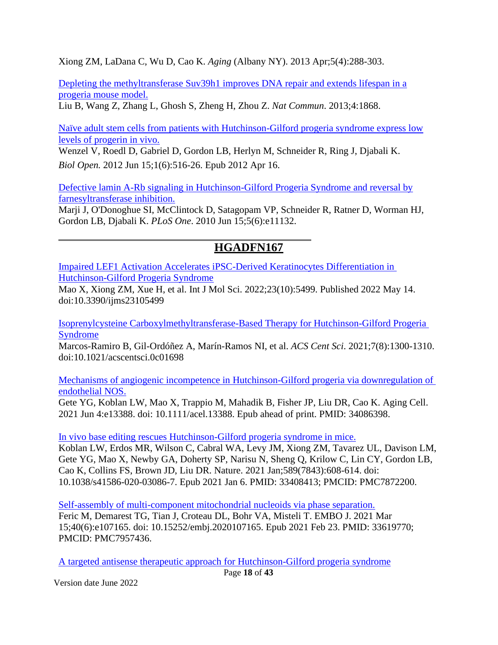Xiong ZM, LaDana C, Wu D, Cao K. *Aging* (Albany NY). 2013 Apr;5(4):288-303.

[Depleting the methyltransferase Suv39h1 improves DNA repair and extends lifespan in a](http://www.ncbi.nlm.nih.gov/pubmed/23695662) [progeria mouse model.](http://www.ncbi.nlm.nih.gov/pubmed/23695662)

Liu B, Wang Z, Zhang L, Ghosh S, Zheng H, Zhou Z. *Nat Commun*. 2013;4:1868.

[Naïve adult stem cells from patients with Hutchinson-Gilford progeria syndrome express low](http://www.ncbi.nlm.nih.gov/pubmed/23213444) [levels of progerin in vivo.](http://www.ncbi.nlm.nih.gov/pubmed/23213444)

Wenzel V, Roedl D, Gabriel D, Gordon LB, Herlyn M, Schneider R, Ring J, Djabali K. *Biol Open.* 2012 Jun 15;1(6):516-26. Epub 2012 Apr 16.

[Defective lamin A-Rb signaling in Hutchinson-Gilford Progeria Syndrome and reversal by](http://www.ncbi.nlm.nih.gov/pubmed/20559568) [farnesyltransferase inhibition.](http://www.ncbi.nlm.nih.gov/pubmed/20559568)

Marji J, O'Donoghue SI, McClintock D, Satagopam VP, Schneider R, Ratner D, Worman HJ, Gordon LB, Djabali K. *PLoS One*. 2010 Jun 15;5(6):e11132.

## **HGADFN167**

[Impaired LEF1 Activation Accelerates iPSC-Derived Keratinocytes Differentiation in](https://pubmed.ncbi.nlm.nih.gov/35628310/)  [Hutchinson-Gilford Progeria Syndrome](https://pubmed.ncbi.nlm.nih.gov/35628310/)

Mao X, Xiong ZM, Xue H, et al. Int J Mol Sci. 2022;23(10):5499. Published 2022 May 14. doi:10.3390/ijms23105499

[Isoprenylcysteine Carboxylmethyltransferase-Based Therapy for Hutchinson-Gilford Progeria](https://pubmed.ncbi.nlm.nih.gov/34471675/)  [Syndrome](https://pubmed.ncbi.nlm.nih.gov/34471675/)

Marcos-Ramiro B, Gil-Ordóñez A, Marín-Ramos NI, et al. *ACS Cent Sci*. 2021;7(8):1300-1310. doi:10.1021/acscentsci.0c01698

[Mechanisms of angiogenic incompetence in Hutchinson-Gilford progeria via downregulation of](https://pubmed.ncbi.nlm.nih.gov/34086398/)  [endothelial NOS.](https://pubmed.ncbi.nlm.nih.gov/34086398/)

Gete YG, Koblan LW, Mao X, Trappio M, Mahadik B, Fisher JP, Liu DR, Cao K. Aging Cell. 2021 Jun 4:e13388. doi: 10.1111/acel.13388. Epub ahead of print. PMID: 34086398.

[In vivo base editing rescues Hutchinson-Gilford progeria syndrome in mice.](https://pubmed.ncbi.nlm.nih.gov/33408413/)

Koblan LW, Erdos MR, Wilson C, Cabral WA, Levy JM, Xiong ZM, Tavarez UL, Davison LM, Gete YG, Mao X, Newby GA, Doherty SP, Narisu N, Sheng Q, Krilow C, Lin CY, Gordon LB, Cao K, Collins FS, Brown JD, Liu DR. Nature. 2021 Jan;589(7843):608-614. doi: 10.1038/s41586-020-03086-7. Epub 2021 Jan 6. PMID: 33408413; PMCID: PMC7872200.

[Self-assembly of multi-component mitochondrial nucleoids via phase separation.](https://pubmed.ncbi.nlm.nih.gov/33619770/) Feric M, Demarest TG, Tian J, Croteau DL, Bohr VA, Misteli T. EMBO J. 2021 Mar 15;40(6):e107165. doi: 10.15252/embj.2020107165. Epub 2021 Feb 23. PMID: 33619770; PMCID: PMC7957436.

[A targeted antisense therapeutic approach for Hutchinson-Gilford progeria](https://pubmed.ncbi.nlm.nih.gov/33707773/) syndrome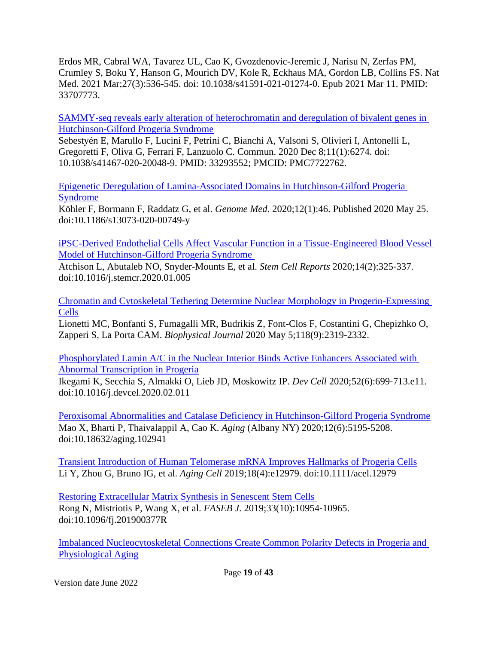Erdos MR, Cabral WA, Tavarez UL, Cao K, Gvozdenovic-Jeremic J, Narisu N, Zerfas PM, Crumley S, Boku Y, Hanson G, Mourich DV, Kole R, Eckhaus MA, Gordon LB, Collins FS. Nat Med. 2021 Mar;27(3):536-545. doi: 10.1038/s41591-021-01274-0. Epub 2021 Mar 11. PMID: 33707773.

SAMMY-seq reveals early alteration of heterochromatin and deregulation of bivalent genes in Hutchinson-Gilford Progeria Syndrome

Sebestyén E, Marullo F, Lucini F, Petrini C, Bianchi A, Valsoni S, Olivieri I, Antonelli L, Gregoretti F, Oliva G, Ferrari F, Lanzuolo C. Commun. 2020 Dec 8;11(1):6274. doi: 10.1038/s41467-020-20048-9. PMID: 33293552; PMCID: PMC7722762.

[Epigenetic Deregulation of Lamina-Associated Domains in Hutchinson-Gilford Progeria](https://pubmed.ncbi.nlm.nih.gov/32450911/)  [Syndrome](https://pubmed.ncbi.nlm.nih.gov/32450911/)

Köhler F, Bormann F, Raddatz G, et al. *Genome Med*. 2020;12(1):46. Published 2020 May 25. doi:10.1186/s13073-020-00749-y

[iPSC-Derived Endothelial Cells Affect Vascular Function in a Tissue-Engineered Blood Vessel](https://pubmed.ncbi.nlm.nih.gov/32032552)  [Model of Hutchinson-Gilford Progeria Syndrome](https://pubmed.ncbi.nlm.nih.gov/32032552) 

Atchison L, Abutaleb NO, Snyder-Mounts E, et al. *Stem Cell Reports* 2020;14(2):325‐337. doi:10.1016/j.stemcr.2020.01.005

[Chromatin and Cytoskeletal Tethering Determine Nuclear Morphology in Progerin-Expressing](https://pubmed.ncbi.nlm.nih.gov/32320674/)  [Cells](https://pubmed.ncbi.nlm.nih.gov/32320674/)

Lionetti MC, Bonfanti S, Fumagalli MR, Budrikis Z, Font-Clos F, Costantini G, Chepizhko O, Zapperi S, La Porta CAM. *Biophysical Journal* 2020 May 5;118(9):2319-2332.

[Phosphorylated Lamin A/C in the Nuclear Interior Binds Active Enhancers Associated with](https://pubmed.ncbi.nlm.nih.gov/32208162)  [Abnormal Transcription in Progeria](https://pubmed.ncbi.nlm.nih.gov/32208162)

Ikegami K, Secchia S, Almakki O, Lieb JD, Moskowitz IP. *Dev Cell* 2020;52(6):699‐713.e11. doi:10.1016/j.devcel.2020.02.011

[Peroxisomal Abnormalities and Catalase Deficiency in Hutchinson-Gilford Progeria Syndrome](https://pubmed.ncbi.nlm.nih.gov/32186522) Mao X, Bharti P, Thaivalappil A, Cao K. *Aging* (Albany NY) 2020;12(6):5195‐5208. doi:10.18632/aging.102941

[Transient Introduction of Human Telomerase mRNA Improves Hallmarks of Progeria Cells](https://pubmed.ncbi.nlm.nih.gov/31152494) Li Y, Zhou G, Bruno IG, et al. *Aging Cell* 2019;18(4):e12979. doi:10.1111/acel.12979

[Restoring Extracellular Matrix Synthesis in Senescent Stem Cells](https://pubmed.ncbi.nlm.nih.gov/31287964)  Rong N, Mistriotis P, Wang X, et al. *FASEB J*. 2019;33(10):10954‐10965. doi:10.1096/fj.201900377R

[Imbalanced Nucleocytoskeletal Connections Create Common Polarity Defects in Progeria and](https://pubmed.ncbi.nlm.nih.gov/30808750)  [Physiological Aging](https://pubmed.ncbi.nlm.nih.gov/30808750)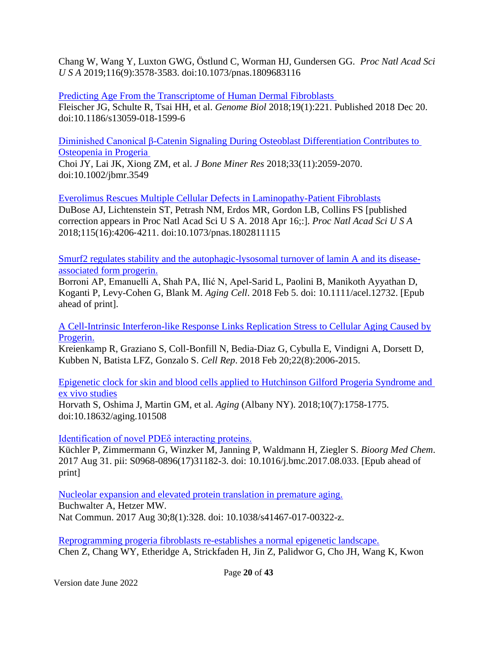Chang W, Wang Y, Luxton GWG, Östlund C, Worman HJ, Gundersen GG. *Proc Natl Acad Sci U S A* 2019;116(9):3578‐3583. doi:10.1073/pnas.1809683116

[Predicting Age From the Transcriptome of Human Dermal Fibroblasts](https://pubmed.ncbi.nlm.nih.gov/30567591/)  Fleischer JG, Schulte R, Tsai HH, et al. *Genome Biol* 2018;19(1):221. Published 2018 Dec 20. doi:10.1186/s13059-018-1599-6

[Diminished Canonical β-Catenin Signaling During Osteoblast Differentiation Contributes to](https://pubmed.ncbi.nlm.nih.gov/30001457/)  [Osteopenia in Progeria](https://pubmed.ncbi.nlm.nih.gov/30001457/) 

Choi JY, Lai JK, Xiong ZM, et al. *J Bone Miner Res* 2018;33(11):2059-2070. doi:10.1002/jbmr.3549

[Everolimus Rescues Multiple Cellular Defects in Laminopathy-Patient Fibroblasts](https://pubmed.ncbi.nlm.nih.gov/29581305) DuBose AJ, Lichtenstein ST, Petrash NM, Erdos MR, Gordon LB, Collins FS [published correction appears in Proc Natl Acad Sci U S A. 2018 Apr 16;:]. *Proc Natl Acad Sci U S A* 2018;115(16):4206‐4211. doi:10.1073/pnas.1802811115

[Smurf2 regulates stability and the autophagic-lysosomal turnover of lamin A and its disease](https://www.ncbi.nlm.nih.gov/pubmed/29405587)[associated form progerin.](https://www.ncbi.nlm.nih.gov/pubmed/29405587)

Borroni AP, Emanuelli A, Shah PA, Ilić N, Apel-Sarid L, Paolini B, Manikoth Ayyathan D, Koganti P, Levy-Cohen G, Blank M. *Aging Cell*. 2018 Feb 5. doi: 10.1111/acel.12732. [Epub ahead of print].

[A Cell-Intrinsic Interferon-like Response Links Replication Stress to Cellular Aging Caused by](https://www.ncbi.nlm.nih.gov/pubmed/29466729) [Progerin.](https://www.ncbi.nlm.nih.gov/pubmed/29466729)

Kreienkamp R, Graziano S, Coll-Bonfill N, Bedia-Diaz G, Cybulla E, Vindigni A, Dorsett D, Kubben N, Batista LFZ, Gonzalo S. *Cell Rep*. 2018 Feb 20;22(8):2006-2015.

[Epigenetic clock for skin and blood cells applied to Hutchinson Gilford Progeria Syndrome and](https://pubmed.ncbi.nlm.nih.gov/30048243/)  [ex vivo studies](https://pubmed.ncbi.nlm.nih.gov/30048243/)

Horvath S, Oshima J, Martin GM, et al. *Aging* (Albany NY). 2018;10(7):1758-1775. doi:10.18632/aging.101508

#### [Identification of novel PDEδ interacting proteins.](https://www.ncbi.nlm.nih.gov/pubmed/28935183)

Küchler P, Zimmermann G, Winzker M, Janning P, Waldmann H, Ziegler S. *Bioorg Med Chem*. 2017 Aug 31. pii: S0968-0896(17)31182-3. doi: 10.1016/j.bmc.2017.08.033. [Epub ahead of print]

[Nucleolar expansion and elevated protein translation in premature aging.](https://www.ncbi.nlm.nih.gov/pubmed/28855503) Buchwalter A, Hetzer MW. Nat Commun. 2017 Aug 30;8(1):328. doi: 10.1038/s41467-017-00322-z.

[Reprogramming progeria fibroblasts re-establishes a normal epigenetic landscape.](https://www.ncbi.nlm.nih.gov/pubmed/28597562) Chen Z, Chang WY, Etheridge A, Strickfaden H, Jin Z, Palidwor G, Cho JH, Wang K, Kwon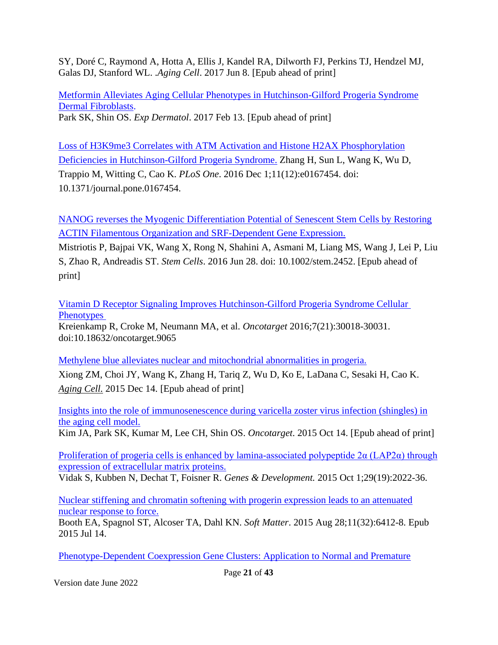SY, Doré C, Raymond A, Hotta A, Ellis J, Kandel RA, Dilworth FJ, Perkins TJ, Hendzel MJ, Galas DJ, Stanford WL. .*Aging Cell*. 2017 Jun 8. [Epub ahead of print]

[Metformin Alleviates Aging Cellular Phenotypes in Hutchinson-Gilford Progeria Syndrome](https://www.ncbi.nlm.nih.gov/pubmed/28192606) [Dermal Fibroblasts.](https://www.ncbi.nlm.nih.gov/pubmed/28192606) Park SK, Shin OS. *Exp Dermatol*. 2017 Feb 13. [Epub ahead of print]

[Loss of H3K9me3 Correlates with ATM Activation and Histone H2AX Phosphorylation](https://www.ncbi.nlm.nih.gov/pubmed/27907109) [Deficiencies in Hutchinson-Gilford Progeria Syndrome.](https://www.ncbi.nlm.nih.gov/pubmed/27907109) Zhang H, Sun L, Wang K, Wu D, Trappio M, Witting C, Cao K. *PLoS One*. 2016 Dec 1;11(12):e0167454. doi: 10.1371/journal.pone.0167454.

[NANOG reverses the Myogenic Differentiation Potential of Senescent Stem Cells by Restoring](http://www.ncbi.nlm.nih.gov/pubmed/27350449) [ACTIN Filamentous Organization and SRF-Dependent Gene Expression.](http://www.ncbi.nlm.nih.gov/pubmed/27350449)

Mistriotis P, Bajpai VK, Wang X, Rong N, Shahini A, Asmani M, Liang MS, Wang J, Lei P, Liu S, Zhao R, Andreadis ST. *Stem Cells*. 2016 Jun 28. doi: 10.1002/stem.2452. [Epub ahead of print]

[Vitamin D Receptor Signaling Improves Hutchinson-Gilford Progeria Syndrome Cellular](https://pubmed.ncbi.nlm.nih.gov/27145372/)  **Phenotypes** 

Kreienkamp R, Croke M, Neumann MA, et al. *Oncotarget* 2016;7(21):30018-30031. doi:10.18632/oncotarget.9065

[Methylene blue alleviates nuclear and mitochondrial abnormalities in progeria.](http://www.ncbi.nlm.nih.gov/pubmed/26663466)

Xiong ZM, Choi JY, Wang K, Zhang H, Tariq Z, Wu D, Ko E, LaDana C, Sesaki H, Cao K. *[Aging Cell.](http://www.ncbi.nlm.nih.gov/pubmed/26663466)* 2015 Dec 14. [Epub ahead of print]

[Insights into the role of immunosenescence during varicella zoster virus infection \(shingles\) in](http://www.ncbi.nlm.nih.gov/pubmed/26473290) [the aging cell model.](http://www.ncbi.nlm.nih.gov/pubmed/26473290)

Kim JA, Park SK, Kumar M, Lee CH, Shin OS. *Oncotarget*. 2015 Oct 14. [Epub ahead of print]

Proliferation of progeria cells is enhanced by lamina-associated polypeptide  $2\alpha$  (LAP2 $\alpha$ ) through [expression of extracellular matrix proteins.](http://www.ncbi.nlm.nih.gov/pubmed/26443848)

Vidak S, Kubben N, Dechat T, Foisner R. *Genes & Development.* 2015 Oct 1;29(19):2022-36.

[Nuclear stiffening and chromatin softening with progerin expression leads to an attenuated](http://www.ncbi.nlm.nih.gov/pubmed/26171741) [nuclear response to force.](http://www.ncbi.nlm.nih.gov/pubmed/26171741)

Booth EA, Spagnol ST, Alcoser TA, Dahl KN. *Soft Matter*. 2015 Aug 28;11(32):6412-8. Epub 2015 Jul 14.

[Phenotype-Dependent Coexpression Gene Clusters: Application to Normal and Premature](http://www.ncbi.nlm.nih.gov/pubmed/26357076)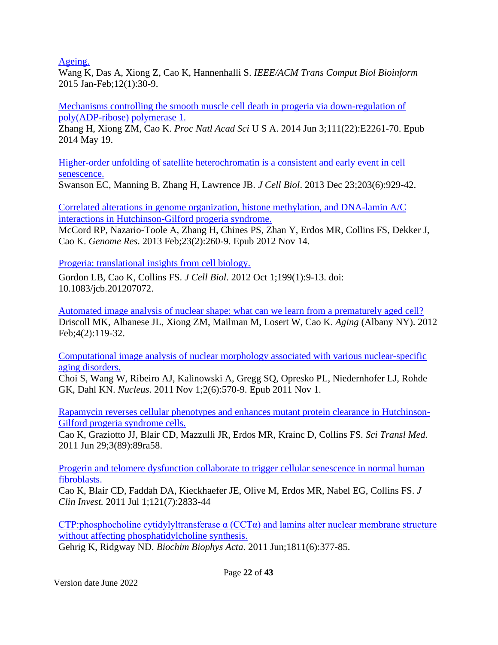[Ageing.](http://www.ncbi.nlm.nih.gov/pubmed/26357076)

Wang K, Das A, Xiong Z, Cao K, Hannenhalli S. *IEEE/ACM Trans Comput Biol Bioinform* 2015 Jan-Feb;12(1):30-9.

[Mechanisms controlling the smooth muscle cell death in progeria via down-regulation of](http://www.ncbi.nlm.nih.gov/pubmed/24843141) [poly\(ADP-ribose\) polymerase 1.](http://www.ncbi.nlm.nih.gov/pubmed/24843141)

Zhang H, Xiong ZM, Cao K. *Proc Natl Acad Sci* U S A. 2014 Jun 3;111(22):E2261-70. Epub 2014 May 19.

[Higher-order unfolding of satellite heterochromatin is a consistent and early event in cell](http://www.ncbi.nlm.nih.gov/pubmed/24344186) [senescence.](http://www.ncbi.nlm.nih.gov/pubmed/24344186)

Swanson EC, Manning B, Zhang H, Lawrence JB. *J Cell Biol*. 2013 Dec 23;203(6):929-42.

[Correlated alterations in genome organization, histone methylation, and DNA-lamin A/C](http://www.ncbi.nlm.nih.gov/pubmed/23152449) [interactions in Hutchinson-Gilford progeria syndrome.](http://www.ncbi.nlm.nih.gov/pubmed/23152449)

McCord RP, Nazario-Toole A, Zhang H, Chines PS, Zhan Y, Erdos MR, Collins FS, Dekker J, Cao K. *Genome Res*. 2013 Feb;23(2):260-9. Epub 2012 Nov 14.

[Progeria: translational insights from cell biology.](http://www.ncbi.nlm.nih.gov/pubmed/23027899)

Gordon LB, Cao K, Collins FS. *J Cell Biol*. 2012 Oct 1;199(1):9-13. doi: 10.1083/jcb.201207072.

[Automated image analysis of nuclear shape: what can we learn from a prematurely aged cell?](http://www.ncbi.nlm.nih.gov/pubmed/22354768) Driscoll MK, Albanese JL, Xiong ZM, Mailman M, Losert W, Cao K. *Aging* (Albany NY). 2012 Feb;4(2):119-32.

[Computational image analysis of nuclear morphology associated with various nuclear-specific](http://www.ncbi.nlm.nih.gov/pubmed/22127259) [aging disorders.](http://www.ncbi.nlm.nih.gov/pubmed/22127259)

Choi S, Wang W, Ribeiro AJ, Kalinowski A, Gregg SQ, Opresko PL, Niedernhofer LJ, Rohde GK, Dahl KN. *Nucleus*. 2011 Nov 1;2(6):570-9. Epub 2011 Nov 1.

[Rapamycin reverses cellular phenotypes and enhances mutant protein clearance in Hutchinson-](http://www.ncbi.nlm.nih.gov/pubmed/21715679)[Gilford progeria syndrome cells.](http://www.ncbi.nlm.nih.gov/pubmed/21715679)

Cao K, Graziotto JJ, Blair CD, Mazzulli JR, Erdos MR, Krainc D, Collins FS. *Sci Transl Med.* 2011 Jun 29;3(89):89ra58.

[Progerin and telomere dysfunction collaborate to trigger cellular senescence in normal human](http://www.ncbi.nlm.nih.gov/pubmed/21670498) [fibroblasts.](http://www.ncbi.nlm.nih.gov/pubmed/21670498)

[Cao K,](http://www.ncbi.nlm.nih.gov/pubmed?term=%22Cao%20K%22%5BAuthor%5D) [Blair CD,](http://www.ncbi.nlm.nih.gov/pubmed?term=%22Blair%20CD%22%5BAuthor%5D) [Faddah DA,](http://www.ncbi.nlm.nih.gov/pubmed?term=%22Faddah%20DA%22%5BAuthor%5D) [Kieckhaefer JE,](http://www.ncbi.nlm.nih.gov/pubmed?term=%22Kieckhaefer%20JE%22%5BAuthor%5D) [Olive M,](http://www.ncbi.nlm.nih.gov/pubmed?term=%22Olive%20M%22%5BAuthor%5D) [Erdos MR,](http://www.ncbi.nlm.nih.gov/pubmed?term=%22Erdos%20MR%22%5BAuthor%5D) [Nabel EG,](http://www.ncbi.nlm.nih.gov/pubmed?term=%22Nabel%20EG%22%5BAuthor%5D) [Collins FS.](http://www.ncbi.nlm.nih.gov/pubmed?term=%22Collins%20FS%22%5BAuthor%5D) *[J](http://www.ncbi.nlm.nih.gov/pubmed/21670498) [Clin Invest.](http://www.ncbi.nlm.nih.gov/pubmed/21670498)* 2011 Jul 1;121(7):2833-44

CTP:phosphocholine cytidylyltransferase  $\alpha$  (CCT $\alpha$ ) and lamins alter nuclear membrane structure [without affecting phosphatidylcholine synthesis.](http://www.ncbi.nlm.nih.gov/pubmed/21504799)

Gehrig K, Ridgway ND. *Biochim Biophys Acta*. 2011 Jun;1811(6):377-85.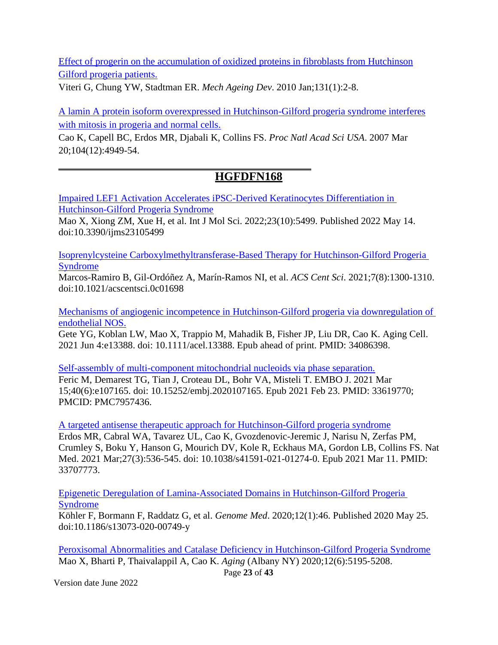[Effect of progerin on the accumulation of oxidized proteins in fibroblasts from Hutchinson](http://www.ncbi.nlm.nih.gov/pubmed/19958786) [Gilford progeria patients.](http://www.ncbi.nlm.nih.gov/pubmed/19958786)

Viteri G, Chung YW, Stadtman ER. *Mech Ageing Dev*. 2010 Jan;131(1):2-8.

[A lamin A protein isoform overexpressed in Hutchinson-Gilford progeria syndrome interferes](http://www.ncbi.nlm.nih.gov/pubmed/17360355) [with mitosis in progeria and normal cells.](http://www.ncbi.nlm.nih.gov/pubmed/17360355)

Cao K, Capell BC, Erdos MR, Djabali K, Collins FS. *Proc Natl Acad Sci USA*. 2007 Mar 20;104(12):4949-54.

#### **HGFDFN168**

[Impaired LEF1 Activation Accelerates iPSC-Derived Keratinocytes Differentiation in](https://pubmed.ncbi.nlm.nih.gov/35628310/)  [Hutchinson-Gilford Progeria Syndrome](https://pubmed.ncbi.nlm.nih.gov/35628310/)

Mao X, Xiong ZM, Xue H, et al. Int J Mol Sci. 2022;23(10):5499. Published 2022 May 14. doi:10.3390/ijms23105499

[Isoprenylcysteine Carboxylmethyltransferase-Based Therapy for Hutchinson-Gilford Progeria](https://pubmed.ncbi.nlm.nih.gov/34471675/)  [Syndrome](https://pubmed.ncbi.nlm.nih.gov/34471675/)

Marcos-Ramiro B, Gil-Ordóñez A, Marín-Ramos NI, et al. *ACS Cent Sci*. 2021;7(8):1300-1310. doi:10.1021/acscentsci.0c01698

[Mechanisms of angiogenic incompetence in Hutchinson-Gilford progeria via downregulation of](https://pubmed.ncbi.nlm.nih.gov/34086398/)  [endothelial NOS.](https://pubmed.ncbi.nlm.nih.gov/34086398/)

Gete YG, Koblan LW, Mao X, Trappio M, Mahadik B, Fisher JP, Liu DR, Cao K. Aging Cell. 2021 Jun 4:e13388. doi: 10.1111/acel.13388. Epub ahead of print. PMID: 34086398.

[Self-assembly of multi-component mitochondrial nucleoids via phase separation.](https://pubmed.ncbi.nlm.nih.gov/33619770/)

Feric M, Demarest TG, Tian J, Croteau DL, Bohr VA, Misteli T. EMBO J. 2021 Mar 15;40(6):e107165. doi: 10.15252/embj.2020107165. Epub 2021 Feb 23. PMID: 33619770; PMCID: PMC7957436.

[A targeted antisense therapeutic approach for Hutchinson-Gilford progeria syndrome](https://pubmed.ncbi.nlm.nih.gov/33707773/) Erdos MR, Cabral WA, Tavarez UL, Cao K, Gvozdenovic-Jeremic J, Narisu N, Zerfas PM, Crumley S, Boku Y, Hanson G, Mourich DV, Kole R, Eckhaus MA, Gordon LB, Collins FS. Nat Med. 2021 Mar;27(3):536-545. doi: 10.1038/s41591-021-01274-0. Epub 2021 Mar 11. PMID: 33707773.

[Epigenetic Deregulation of Lamina-Associated Domains in Hutchinson-Gilford Progeria](https://pubmed.ncbi.nlm.nih.gov/32450911/)  [Syndrome](https://pubmed.ncbi.nlm.nih.gov/32450911/)

Köhler F, Bormann F, Raddatz G, et al. *Genome Med*. 2020;12(1):46. Published 2020 May 25. doi:10.1186/s13073-020-00749-y

[Peroxisomal Abnormalities and Catalase Deficiency in Hutchinson-Gilford Progeria Syndrome](https://pubmed.ncbi.nlm.nih.gov/32186522) Mao X, Bharti P, Thaivalappil A, Cao K. *Aging* (Albany NY) 2020;12(6):5195‐5208.

Page **23** of **43**

Version date June 2022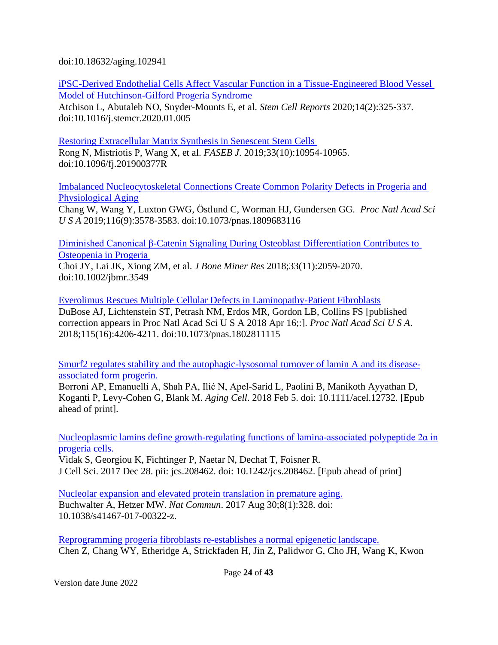doi:10.18632/aging.102941

[iPSC-Derived Endothelial Cells Affect Vascular Function in a Tissue-Engineered Blood Vessel](https://pubmed.ncbi.nlm.nih.gov/32032552)  [Model of Hutchinson-Gilford Progeria Syndrome](https://pubmed.ncbi.nlm.nih.gov/32032552) 

Atchison L, Abutaleb NO, Snyder-Mounts E, et al. *Stem Cell Reports* 2020;14(2):325‐337. doi:10.1016/j.stemcr.2020.01.005

[Restoring Extracellular Matrix Synthesis in Senescent Stem Cells](https://pubmed.ncbi.nlm.nih.gov/31287964)  Rong N, Mistriotis P, Wang X, et al. *FASEB J*. 2019;33(10):10954‐10965. doi:10.1096/fj.201900377R

[Imbalanced Nucleocytoskeletal Connections Create Common Polarity Defects in Progeria and](https://pubmed.ncbi.nlm.nih.gov/30808750)  [Physiological Aging](https://pubmed.ncbi.nlm.nih.gov/30808750)

Chang W, Wang Y, Luxton GWG, Östlund C, Worman HJ, Gundersen GG. *Proc Natl Acad Sci U S A* 2019;116(9):3578‐3583. doi:10.1073/pnas.1809683116

[Diminished Canonical β-Catenin Signaling During Osteoblast Differentiation Contributes to](https://pubmed.ncbi.nlm.nih.gov/30001457/)  [Osteopenia in Progeria](https://pubmed.ncbi.nlm.nih.gov/30001457/) 

Choi JY, Lai JK, Xiong ZM, et al. *J Bone Miner Res* 2018;33(11):2059-2070. doi:10.1002/jbmr.3549

[Everolimus Rescues Multiple Cellular Defects in Laminopathy-Patient Fibroblasts](https://pubmed.ncbi.nlm.nih.gov/29581305) DuBose AJ, Lichtenstein ST, Petrash NM, Erdos MR, Gordon LB, Collins FS [published correction appears in Proc Natl Acad Sci U S A 2018 Apr 16;:]. *Proc Natl Acad Sci U S A*. 2018;115(16):4206‐4211. doi:10.1073/pnas.1802811115

[Smurf2 regulates stability and the autophagic-lysosomal turnover of lamin A and its disease](https://www.ncbi.nlm.nih.gov/pubmed/29405587)[associated form progerin.](https://www.ncbi.nlm.nih.gov/pubmed/29405587)

Borroni AP, Emanuelli A, Shah PA, Ilić N, Apel-Sarid L, Paolini B, Manikoth Ayyathan D, Koganti P, Levy-Cohen G, Blank M. *Aging Cell*. 2018 Feb 5. doi: 10.1111/acel.12732. [Epub ahead of print].

[Nucleoplasmic lamins define growth-regulating functions of lamina-associated polypeptide 2α in](https://www.ncbi.nlm.nih.gov/pubmed/29361532) [progeria cells.](https://www.ncbi.nlm.nih.gov/pubmed/29361532)

Vidak S, Georgiou K, Fichtinger P, Naetar N, Dechat T, Foisner R. J Cell Sci. 2017 Dec 28. pii: jcs.208462. doi: 10.1242/jcs.208462. [Epub ahead of print]

[Nucleolar expansion and elevated protein translation in premature aging.](https://www.ncbi.nlm.nih.gov/pubmed/28855503) Buchwalter A, Hetzer MW. *Nat Commun*. 2017 Aug 30;8(1):328. doi: 10.1038/s41467-017-00322-z.

[Reprogramming progeria fibroblasts re-establishes a normal epigenetic landscape.](https://www.ncbi.nlm.nih.gov/pubmed/28597562) Chen Z, Chang WY, Etheridge A, Strickfaden H, Jin Z, Palidwor G, Cho JH, Wang K, Kwon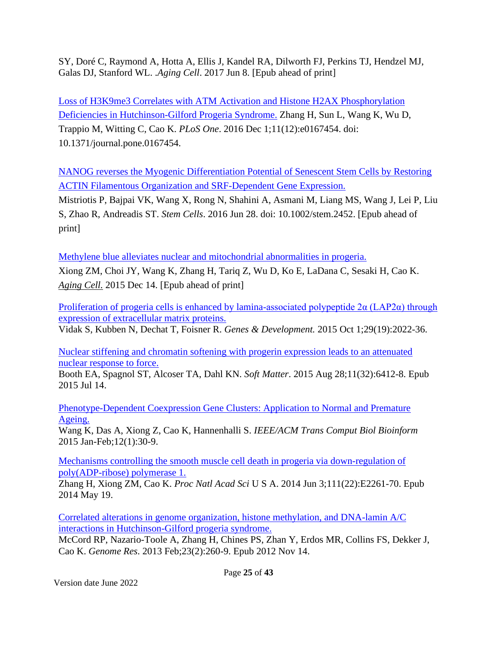SY, Doré C, Raymond A, Hotta A, Ellis J, Kandel RA, Dilworth FJ, Perkins TJ, Hendzel MJ, Galas DJ, Stanford WL. .*Aging Cell*. 2017 Jun 8. [Epub ahead of print]

[Loss of H3K9me3 Correlates with ATM Activation and Histone H2AX Phosphorylation](https://www.ncbi.nlm.nih.gov/pubmed/27907109) [Deficiencies in Hutchinson-Gilford Progeria Syndrome.](https://www.ncbi.nlm.nih.gov/pubmed/27907109) Zhang H, Sun L, Wang K, Wu D, Trappio M, Witting C, Cao K. *PLoS One*. 2016 Dec 1;11(12):e0167454. doi: 10.1371/journal.pone.0167454.

[NANOG reverses the Myogenic Differentiation Potential of Senescent Stem Cells by Restoring](http://www.ncbi.nlm.nih.gov/pubmed/27350449) [ACTIN Filamentous Organization and SRF-Dependent Gene Expression.](http://www.ncbi.nlm.nih.gov/pubmed/27350449)

Mistriotis P, Bajpai VK, Wang X, Rong N, Shahini A, Asmani M, Liang MS, Wang J, Lei P, Liu S, Zhao R, Andreadis ST. *Stem Cells*. 2016 Jun 28. doi: 10.1002/stem.2452. [Epub ahead of print]

[Methylene blue alleviates nuclear and mitochondrial abnormalities in progeria.](http://www.ncbi.nlm.nih.gov/pubmed/26663466)

Xiong ZM, Choi JY, Wang K, Zhang H, Tariq Z, Wu D, Ko E, LaDana C, Sesaki H, Cao K. *[Aging Cell.](http://www.ncbi.nlm.nih.gov/pubmed/26663466)* 2015 Dec 14. [Epub ahead of print]

Proliferation of progeria cells is enhanced by lamina-associated polypeptide  $2\alpha$  (LAP2 $\alpha$ ) through [expression of extracellular matrix proteins.](http://www.ncbi.nlm.nih.gov/pubmed/26443848)

Vidak S, Kubben N, Dechat T, Foisner R. *Genes & Development.* 2015 Oct 1;29(19):2022-36.

[Nuclear stiffening and chromatin softening with progerin expression leads to an attenuated](http://www.ncbi.nlm.nih.gov/pubmed/26171741) [nuclear response to force.](http://www.ncbi.nlm.nih.gov/pubmed/26171741)

Booth EA, Spagnol ST, Alcoser TA, Dahl KN. *Soft Matter*. 2015 Aug 28;11(32):6412-8. Epub 2015 Jul 14.

[Phenotype-Dependent Coexpression Gene Clusters: Application to Normal and Premature](http://www.ncbi.nlm.nih.gov/pubmed/26357076) [Ageing.](http://www.ncbi.nlm.nih.gov/pubmed/26357076)

Wang K, Das A, Xiong Z, Cao K, Hannenhalli S. *IEEE/ACM Trans Comput Biol Bioinform* 2015 Jan-Feb;12(1):30-9.

[Mechanisms controlling the smooth muscle cell death in progeria via down-regulation of](http://www.ncbi.nlm.nih.gov/pubmed/24843141) [poly\(ADP-ribose\) polymerase 1.](http://www.ncbi.nlm.nih.gov/pubmed/24843141)

Zhang H, Xiong ZM, Cao K. *Proc Natl Acad Sci* U S A. 2014 Jun 3;111(22):E2261-70. Epub 2014 May 19.

[Correlated alterations in genome organization, histone methylation, and DNA-lamin A/C](http://www.ncbi.nlm.nih.gov/pubmed/23152449) [interactions in Hutchinson-Gilford progeria syndrome.](http://www.ncbi.nlm.nih.gov/pubmed/23152449)

McCord RP, Nazario-Toole A, Zhang H, Chines PS, Zhan Y, Erdos MR, Collins FS, Dekker J, Cao K. *Genome Res*. 2013 Feb;23(2):260-9. Epub 2012 Nov 14.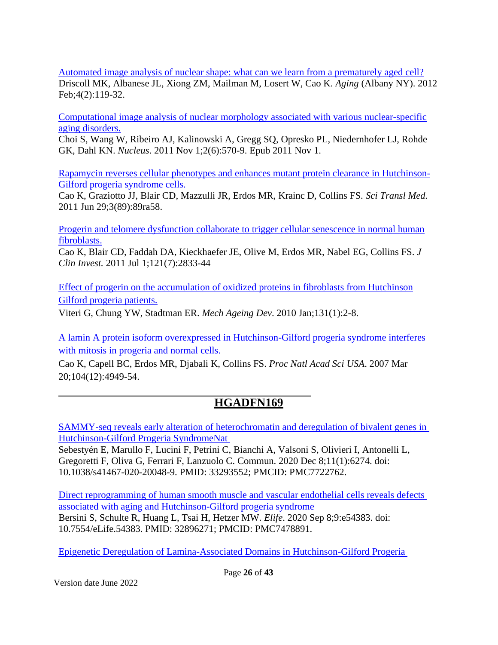[Automated image analysis of nuclear shape: what can we learn from a prematurely aged cell?](http://www.ncbi.nlm.nih.gov/pubmed/22354768) Driscoll MK, Albanese JL, Xiong ZM, Mailman M, Losert W, Cao K. *Aging* (Albany NY). 2012 Feb;4(2):119-32.

[Computational image analysis of nuclear morphology associated with various](http://www.ncbi.nlm.nih.gov/pubmed/22127259) nuclear-specific [aging disorders.](http://www.ncbi.nlm.nih.gov/pubmed/22127259)

Choi S, Wang W, Ribeiro AJ, Kalinowski A, Gregg SQ, Opresko PL, Niedernhofer LJ, Rohde GK, Dahl KN. *Nucleus*. 2011 Nov 1;2(6):570-9. Epub 2011 Nov 1.

[Rapamycin reverses cellular phenotypes and enhances mutant protein clearance in Hutchinson-](http://www.ncbi.nlm.nih.gov/pubmed/21715679)[Gilford progeria syndrome cells.](http://www.ncbi.nlm.nih.gov/pubmed/21715679)

Cao K, Graziotto JJ, Blair CD, Mazzulli JR, Erdos MR, Krainc D, Collins FS. *Sci Transl Med.* 2011 Jun 29;3(89):89ra58.

[Progerin and telomere dysfunction collaborate to trigger cellular senescence in normal human](http://www.ncbi.nlm.nih.gov/pubmed/21670498) [fibroblasts.](http://www.ncbi.nlm.nih.gov/pubmed/21670498)

[Cao K,](http://www.ncbi.nlm.nih.gov/pubmed?term=%22Cao%20K%22%5BAuthor%5D) [Blair CD,](http://www.ncbi.nlm.nih.gov/pubmed?term=%22Blair%20CD%22%5BAuthor%5D) [Faddah DA,](http://www.ncbi.nlm.nih.gov/pubmed?term=%22Faddah%20DA%22%5BAuthor%5D) [Kieckhaefer JE,](http://www.ncbi.nlm.nih.gov/pubmed?term=%22Kieckhaefer%20JE%22%5BAuthor%5D) [Olive M,](http://www.ncbi.nlm.nih.gov/pubmed?term=%22Olive%20M%22%5BAuthor%5D) [Erdos MR,](http://www.ncbi.nlm.nih.gov/pubmed?term=%22Erdos%20MR%22%5BAuthor%5D) [Nabel EG,](http://www.ncbi.nlm.nih.gov/pubmed?term=%22Nabel%20EG%22%5BAuthor%5D) [Collins FS.](http://www.ncbi.nlm.nih.gov/pubmed?term=%22Collins%20FS%22%5BAuthor%5D) *[J](http://www.ncbi.nlm.nih.gov/pubmed/21670498) [Clin Invest.](http://www.ncbi.nlm.nih.gov/pubmed/21670498)* 2011 Jul 1;121(7):2833-44

[Effect of progerin on the accumulation of oxidized proteins in fibroblasts from Hutchinson](http://www.ncbi.nlm.nih.gov/pubmed/19958786) [Gilford progeria patients.](http://www.ncbi.nlm.nih.gov/pubmed/19958786)

Viteri G, Chung YW, Stadtman ER. *Mech Ageing Dev*. 2010 Jan;131(1):2-8.

[A lamin A protein isoform overexpressed in Hutchinson-Gilford progeria syndrome interferes](http://www.ncbi.nlm.nih.gov/pubmed/17360355) [with mitosis in progeria and normal cells.](http://www.ncbi.nlm.nih.gov/pubmed/17360355)

Cao K, Capell BC, Erdos MR, Djabali K, Collins FS. *Proc Natl Acad Sci USA*. 2007 Mar 20;104(12):4949-54.

## **HGADFN169**

[SAMMY-seq reveals early alteration of heterochromatin and deregulation of bivalent genes in](https://pubmed.ncbi.nlm.nih.gov/33293552/)  [Hutchinson-Gilford Progeria SyndromeNat](https://pubmed.ncbi.nlm.nih.gov/33293552/) 

Sebestyén E, Marullo F, Lucini F, Petrini C, Bianchi A, Valsoni S, Olivieri I, Antonelli L, Gregoretti F, Oliva G, Ferrari F, Lanzuolo C. Commun. 2020 Dec 8;11(1):6274. doi: 10.1038/s41467-020-20048-9. PMID: 33293552; PMCID: PMC7722762.

[Direct reprogramming of human smooth muscle and vascular endothelial cells reveals defects](https://pubmed.ncbi.nlm.nih.gov/32896271/)  [associated with aging and Hutchinson-Gilford progeria syndrome](https://pubmed.ncbi.nlm.nih.gov/32896271/)  Bersini S, Schulte R, Huang L, Tsai H, Hetzer MW. *Elife*. 2020 Sep 8;9:e54383. doi: 10.7554/eLife.54383. PMID: 32896271; PMCID: PMC7478891.

[Epigenetic Deregulation of Lamina-Associated Domains in Hutchinson-Gilford Progeria](https://pubmed.ncbi.nlm.nih.gov/32450911/)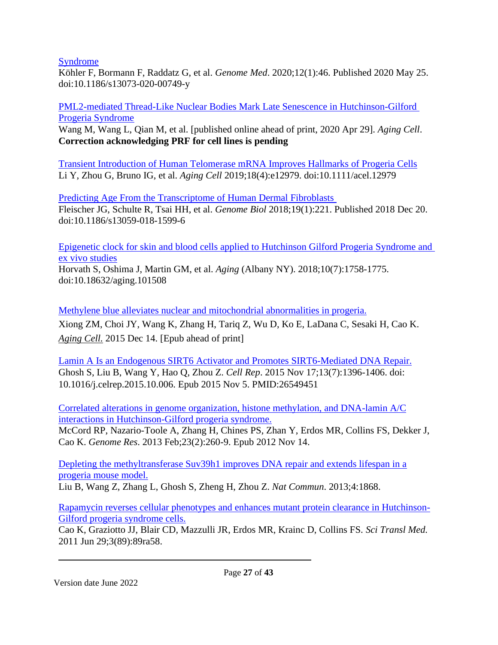[Syndrome](https://pubmed.ncbi.nlm.nih.gov/32450911/)

Köhler F, Bormann F, Raddatz G, et al. *Genome Med*. 2020;12(1):46. Published 2020 May 25. doi:10.1186/s13073-020-00749-y

[PML2-mediated Thread-Like Nuclear Bodies Mark Late Senescence in Hutchinson-Gilford](https://pubmed.ncbi.nlm.nih.gov/32351002/)  [Progeria Syndrome](https://pubmed.ncbi.nlm.nih.gov/32351002/)

Wang M, Wang L, Qian M, et al. [published online ahead of print, 2020 Apr 29]. *Aging Cell*. **Correction acknowledging PRF for cell lines is pending**

[Transient Introduction of Human Telomerase mRNA Improves Hallmarks of Progeria Cells](https://pubmed.ncbi.nlm.nih.gov/31152494) Li Y, Zhou G, Bruno IG, et al. *Aging Cell* 2019;18(4):e12979. doi:10.1111/acel.12979

[Predicting Age From the Transcriptome of Human Dermal Fibroblasts](https://pubmed.ncbi.nlm.nih.gov/30567591/)  Fleischer JG, Schulte R, Tsai HH, et al. *Genome Biol* 2018;19(1):221. Published 2018 Dec 20. doi:10.1186/s13059-018-1599-6

[Epigenetic clock for skin and blood cells applied to Hutchinson Gilford Progeria Syndrome and](https://pubmed.ncbi.nlm.nih.gov/30048243/)  [ex vivo studies](https://pubmed.ncbi.nlm.nih.gov/30048243/)

Horvath S, Oshima J, Martin GM, et al. *Aging* (Albany NY). 2018;10(7):1758-1775. doi:10.18632/aging.101508

[Methylene blue alleviates nuclear and mitochondrial abnormalities in progeria.](http://www.ncbi.nlm.nih.gov/pubmed/26663466) Xiong ZM, Choi JY, Wang K, Zhang H, Tariq Z, Wu D, Ko E, LaDana C, Sesaki H, Cao K. *[Aging Cell.](http://www.ncbi.nlm.nih.gov/pubmed/26663466)* 2015 Dec 14. [Epub ahead of print]

[Lamin A Is an Endogenous SIRT6 Activator and Promotes SIRT6-Mediated DNA Repair.](https://www.ncbi.nlm.nih.gov/pubmed/26549451) Ghosh S, Liu B, Wang Y, Hao Q, Zhou Z. *Cell Rep*. 2015 Nov 17;13(7):1396-1406. doi: 10.1016/j.celrep.2015.10.006. Epub 2015 Nov 5. PMID:26549451

[Correlated alterations in genome organization, histone methylation, and DNA-lamin A/C](http://www.ncbi.nlm.nih.gov/pubmed/23152449) [interactions in Hutchinson-Gilford progeria syndrome.](http://www.ncbi.nlm.nih.gov/pubmed/23152449)

McCord RP, Nazario-Toole A, Zhang H, Chines PS, Zhan Y, Erdos MR, Collins FS, Dekker J, Cao K. *Genome Res*. 2013 Feb;23(2):260-9. Epub 2012 Nov 14.

[Depleting the methyltransferase Suv39h1 improves DNA repair and extends lifespan in a](http://www.ncbi.nlm.nih.gov/pubmed/23695662) [progeria mouse model.](http://www.ncbi.nlm.nih.gov/pubmed/23695662)

Liu B, Wang Z, Zhang L, Ghosh S, Zheng H, Zhou Z. *Nat Commun*. 2013;4:1868.

[Rapamycin reverses cellular phenotypes and enhances mutant protein clearance in Hutchinson-](http://www.ncbi.nlm.nih.gov/pubmed/21715679)[Gilford progeria syndrome cells.](http://www.ncbi.nlm.nih.gov/pubmed/21715679)

Cao K, Graziotto JJ, Blair CD, Mazzulli JR, Erdos MR, Krainc D, Collins FS. *Sci Transl Med.* 2011 Jun 29;3(89):89ra58.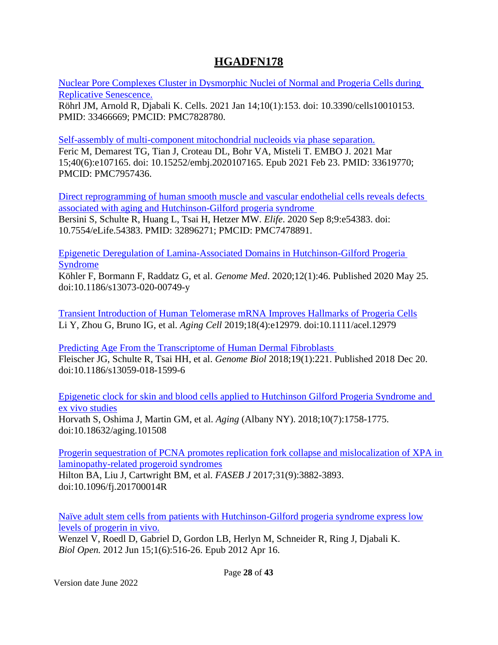## **HGADFN178**

Nuclear [Pore Complexes Cluster in Dysmorphic Nuclei of Normal and Progeria Cells during](https://pubmed.ncbi.nlm.nih.gov/33466669/)  [Replicative Senescence.](https://pubmed.ncbi.nlm.nih.gov/33466669/)

Röhrl JM, Arnold R, Djabali K. Cells. 2021 Jan 14;10(1):153. doi: 10.3390/cells10010153. PMID: 33466669; PMCID: PMC7828780.

[Self-assembly of multi-component mitochondrial nucleoids via phase separation.](https://pubmed.ncbi.nlm.nih.gov/33619770/)

Feric M, Demarest TG, Tian J, Croteau DL, Bohr VA, Misteli T. EMBO J. 2021 Mar 15;40(6):e107165. doi: 10.15252/embj.2020107165. Epub 2021 Feb 23. PMID: 33619770; PMCID: PMC7957436.

[Direct reprogramming of human smooth muscle and vascular endothelial cells reveals defects](https://pubmed.ncbi.nlm.nih.gov/32896271/)  [associated with aging and Hutchinson-Gilford progeria syndrome](https://pubmed.ncbi.nlm.nih.gov/32896271/) 

Bersini S, Schulte R, Huang L, Tsai H, Hetzer MW. *Elife*. 2020 Sep 8;9:e54383. doi: 10.7554/eLife.54383. PMID: 32896271; PMCID: PMC7478891.

[Epigenetic Deregulation of Lamina-Associated Domains in Hutchinson-Gilford Progeria](https://pubmed.ncbi.nlm.nih.gov/32450911/)  [Syndrome](https://pubmed.ncbi.nlm.nih.gov/32450911/)

Köhler F, Bormann F, Raddatz G, et al. *Genome Med*. 2020;12(1):46. Published 2020 May 25. doi:10.1186/s13073-020-00749-y

[Transient Introduction of Human Telomerase mRNA Improves Hallmarks of Progeria Cells](https://pubmed.ncbi.nlm.nih.gov/31152494) Li Y, Zhou G, Bruno IG, et al. *Aging Cell* 2019;18(4):e12979. doi:10.1111/acel.12979

[Predicting Age From the Transcriptome of Human Dermal Fibroblasts](https://pubmed.ncbi.nlm.nih.gov/30567591/)  Fleischer JG, Schulte R, Tsai HH, et al. *Genome Biol* 2018;19(1):221. Published 2018 Dec 20. doi:10.1186/s13059-018-1599-6

[Epigenetic clock for skin and blood cells applied to Hutchinson Gilford Progeria Syndrome and](https://pubmed.ncbi.nlm.nih.gov/30048243/)  [ex vivo studies](https://pubmed.ncbi.nlm.nih.gov/30048243/)

Horvath S, Oshima J, Martin GM, et al. *Aging* (Albany NY). 2018;10(7):1758-1775. doi:10.18632/aging.101508

[Progerin sequestration of PCNA promotes replication fork collapse and mislocalization of XPA in](https://pubmed.ncbi.nlm.nih.gov/28515154/)  [laminopathy-related progeroid syndromes](https://pubmed.ncbi.nlm.nih.gov/28515154/) Hilton BA, Liu J, Cartwright BM, et al. *FASEB J* 2017;31(9):3882-3893.

doi:10.1096/fj.201700014R

[Naïve adult stem cells from patients with Hutchinson-Gilford progeria syndrome express low](http://www.ncbi.nlm.nih.gov/pubmed/23213444) [levels of progerin in vivo.](http://www.ncbi.nlm.nih.gov/pubmed/23213444)

Wenzel V, Roedl D, Gabriel D, Gordon LB, Herlyn M, Schneider R, Ring J, Djabali K. *Biol Open.* 2012 Jun 15;1(6):516-26. Epub 2012 Apr 16.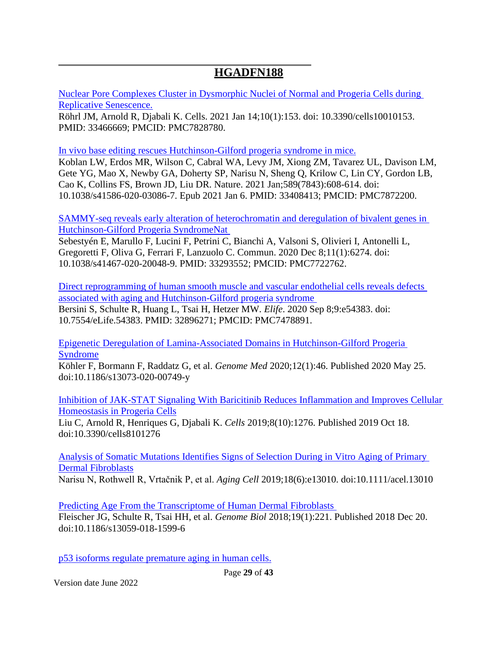## **HGADFN188**

[Nuclear Pore Complexes Cluster in Dysmorphic Nuclei of Normal and Progeria Cells during](https://pubmed.ncbi.nlm.nih.gov/33466669/)  [Replicative Senescence.](https://pubmed.ncbi.nlm.nih.gov/33466669/)

Röhrl JM, Arnold R, Djabali K. Cells. 2021 Jan 14;10(1):153. doi: 10.3390/cells10010153. PMID: 33466669; PMCID: PMC7828780.

[In vivo base editing rescues Hutchinson-Gilford progeria syndrome in mice.](https://pubmed.ncbi.nlm.nih.gov/33408413/)

Koblan LW, Erdos MR, Wilson C, Cabral WA, Levy JM, Xiong ZM, Tavarez UL, Davison LM, Gete YG, Mao X, Newby GA, Doherty SP, Narisu N, Sheng Q, Krilow C, Lin CY, Gordon LB, Cao K, Collins FS, Brown JD, Liu DR. Nature. 2021 Jan;589(7843):608-614. doi: 10.1038/s41586-020-03086-7. Epub 2021 Jan 6. PMID: 33408413; PMCID: PMC7872200.

[SAMMY-seq reveals early alteration of heterochromatin and deregulation of bivalent genes in](https://pubmed.ncbi.nlm.nih.gov/33293552/)  [Hutchinson-Gilford Progeria SyndromeNat](https://pubmed.ncbi.nlm.nih.gov/33293552/) 

Sebestyén E, Marullo F, Lucini F, Petrini C, Bianchi A, Valsoni S, Olivieri I, Antonelli L, Gregoretti F, Oliva G, Ferrari F, Lanzuolo C. Commun. 2020 Dec 8;11(1):6274. doi: 10.1038/s41467-020-20048-9. PMID: 33293552; PMCID: PMC7722762.

[Direct reprogramming of human smooth muscle and vascular endothelial cells reveals defects](https://pubmed.ncbi.nlm.nih.gov/32896271/)  [associated with aging and Hutchinson-Gilford progeria syndrome](https://pubmed.ncbi.nlm.nih.gov/32896271/)  Bersini S, Schulte R, Huang L, Tsai H, Hetzer MW. *Elife*. 2020 Sep 8;9:e54383. doi: 10.7554/eLife.54383. PMID: 32896271; PMCID: PMC7478891.

[Epigenetic Deregulation of Lamina-Associated Domains in Hutchinson-Gilford Progeria](https://pubmed.ncbi.nlm.nih.gov/32450911/)  [Syndrome](https://pubmed.ncbi.nlm.nih.gov/32450911/)

Köhler F, Bormann F, Raddatz G, et al. *Genome Med* 2020;12(1):46. Published 2020 May 25. doi:10.1186/s13073-020-00749-y

[Inhibition of JAK-STAT Signaling With Baricitinib Reduces Inflammation and Improves Cellular](https://pubmed.ncbi.nlm.nih.gov/31635416)  [Homeostasis in Progeria Cells](https://pubmed.ncbi.nlm.nih.gov/31635416)

Liu C, Arnold R, Henriques G, Djabali K. *Cells* 2019;8(10):1276. Published 2019 Oct 18. doi:10.3390/cells8101276

[Analysis of Somatic Mutations Identifies Signs of Selection During in Vitro Aging of Primary](https://pubmed.ncbi.nlm.nih.gov/31385397)  [Dermal Fibroblasts](https://pubmed.ncbi.nlm.nih.gov/31385397)

Narisu N, Rothwell R, Vrtačnik P, et al. *Aging Cell* 2019;18(6):e13010. doi:10.1111/acel.13010

[Predicting Age From the Transcriptome of Human Dermal Fibroblasts](https://pubmed.ncbi.nlm.nih.gov/30567591/)  Fleischer JG, Schulte R, Tsai HH, et al. *Genome Biol* 2018;19(1):221. Published 2018 Dec 20. doi:10.1186/s13059-018-1599-6

[p53 isoforms regulate premature aging in human cells.](https://www.ncbi.nlm.nih.gov/pubmed/29429991)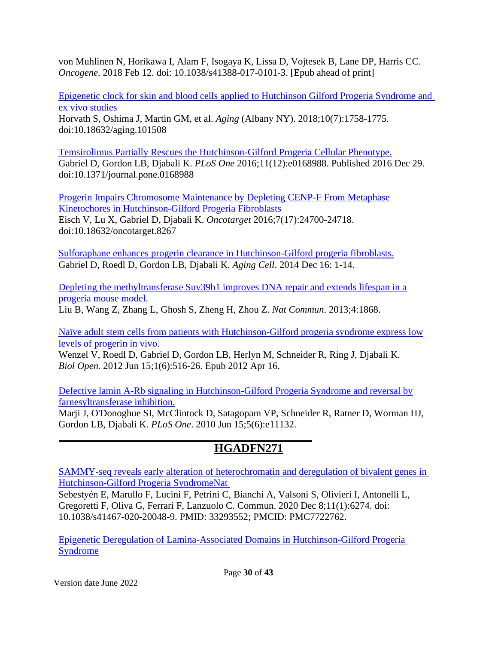von Muhlinen N, Horikawa I, Alam F, Isogaya K, Lissa D, Vojtesek B, Lane DP, Harris CC. *Oncogene*. 2018 Feb 12. doi: 10.1038/s41388-017-0101-3. [Epub ahead of print]

[Epigenetic clock for skin and blood cells applied to Hutchinson Gilford Progeria Syndrome and](https://pubmed.ncbi.nlm.nih.gov/30048243/)  [ex vivo studies](https://pubmed.ncbi.nlm.nih.gov/30048243/)

Horvath S, Oshima J, Martin GM, et al. *Aging* (Albany NY). 2018;10(7):1758-1775. doi:10.18632/aging.101508

[Temsirolimus Partially Rescues the Hutchinson-Gilford Progeria Cellular Phenotype.](https://pubmed.ncbi.nlm.nih.gov/28033363/) Gabriel D, Gordon LB, Djabali K. *PLoS One* 2016;11(12):e0168988. Published 2016 Dec 29. doi:10.1371/journal.pone.0168988

[Progerin Impairs Chromosome Maintenance by Depleting CENP-F From Metaphase](https://pubmed.ncbi.nlm.nih.gov/27015553/)  [Kinetochores in Hutchinson-Gilford Progeria Fibroblasts](https://pubmed.ncbi.nlm.nih.gov/27015553/)  Eisch V, Lu X, Gabriel D, Djabali K. *Oncotarget* 2016;7(17):24700-24718. doi:10.18632/oncotarget.8267

[Sulforaphane enhances progerin clearance in Hutchinson-Gilford progeria fibroblasts.](http://www.ncbi.nlm.nih.gov/pubmed/25510262) Gabriel D, Roedl D, Gordon LB, Djabali K. *Aging Cell*. 2014 Dec 16: 1-14.

[Depleting the methyltransferase Suv39h1 improves DNA repair and extends lifespan in a](http://www.ncbi.nlm.nih.gov/pubmed/23695662) [progeria mouse model.](http://www.ncbi.nlm.nih.gov/pubmed/23695662)

Liu B, Wang Z, Zhang L, Ghosh S, Zheng H, Zhou Z. *Nat Commun*. 2013;4:1868.

[Naïve adult stem cells from patients with Hutchinson-Gilford progeria syndrome express low](http://www.ncbi.nlm.nih.gov/pubmed/23213444) [levels of progerin in vivo.](http://www.ncbi.nlm.nih.gov/pubmed/23213444)

Wenzel V, Roedl D, Gabriel D, Gordon LB, Herlyn M, Schneider R, Ring J, Djabali K. *Biol Open.* 2012 Jun 15;1(6):516-26. Epub 2012 Apr 16.

[Defective lamin A-Rb signaling in Hutchinson-Gilford Progeria Syndrome and reversal by](http://www.ncbi.nlm.nih.gov/pubmed/20559568) [farnesyltransferase inhibition.](http://www.ncbi.nlm.nih.gov/pubmed/20559568)

Marji J, O'Donoghue SI, McClintock D, Satagopam VP, Schneider R, Ratner D, Worman HJ, Gordon LB, Djabali K. *PLoS One*. 2010 Jun 15;5(6):e11132.

# **HGADFN271**

[SAMMY-seq reveals early alteration of heterochromatin](https://pubmed.ncbi.nlm.nih.gov/33293552/) and deregulation of bivalent genes in [Hutchinson-Gilford Progeria SyndromeNat](https://pubmed.ncbi.nlm.nih.gov/33293552/) 

Sebestyén E, Marullo F, Lucini F, Petrini C, Bianchi A, Valsoni S, Olivieri I, Antonelli L, Gregoretti F, Oliva G, Ferrari F, Lanzuolo C. Commun. 2020 Dec 8;11(1):6274. doi: 10.1038/s41467-020-20048-9. PMID: 33293552; PMCID: PMC7722762.

[Epigenetic Deregulation of Lamina-Associated Domains in Hutchinson-Gilford Progeria](https://pubmed.ncbi.nlm.nih.gov/32450911/)  [Syndrome](https://pubmed.ncbi.nlm.nih.gov/32450911/)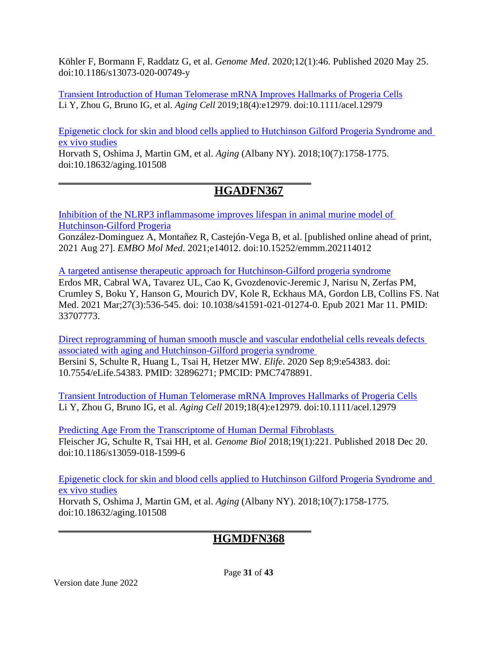Köhler F, Bormann F, Raddatz G, et al. *Genome Med*. 2020;12(1):46. Published 2020 May 25. doi:10.1186/s13073-020-00749-y

[Transient Introduction of Human Telomerase mRNA Improves Hallmarks of Progeria](https://pubmed.ncbi.nlm.nih.gov/31152494) Cells Li Y, Zhou G, Bruno IG, et al. *Aging Cell* 2019;18(4):e12979. doi:10.1111/acel.12979

[Epigenetic clock for skin and blood cells applied to Hutchinson Gilford Progeria Syndrome and](https://pubmed.ncbi.nlm.nih.gov/30048243/)  [ex vivo studies](https://pubmed.ncbi.nlm.nih.gov/30048243/)

Horvath S, Oshima J, Martin GM, et al. *Aging* (Albany NY). 2018;10(7):1758-1775. doi:10.18632/aging.101508

## **HGADFN367**

[Inhibition of the NLRP3 inflammasome improves lifespan in animal murine model of](https://pubmed.ncbi.nlm.nih.gov/34448355/)  [Hutchinson-Gilford Progeria](https://pubmed.ncbi.nlm.nih.gov/34448355/)

González-Dominguez A, Montañez R, Castejón-Vega B, et al. [published online ahead of print, 2021 Aug 27]. *EMBO Mol Med*. 2021;e14012. doi:10.15252/emmm.202114012

[A targeted antisense therapeutic approach for Hutchinson-Gilford progeria syndrome](https://pubmed.ncbi.nlm.nih.gov/33707773/) Erdos MR, Cabral WA, Tavarez UL, Cao K, Gvozdenovic-Jeremic J, Narisu N, Zerfas PM, Crumley S, Boku Y, Hanson G, Mourich DV, Kole R, Eckhaus MA, Gordon LB, Collins FS. Nat Med. 2021 Mar;27(3):536-545. doi: 10.1038/s41591-021-01274-0. Epub 2021 Mar 11. PMID: 33707773.

[Direct reprogramming of human smooth muscle and vascular endothelial cells reveals defects](https://pubmed.ncbi.nlm.nih.gov/32896271/)  [associated with aging and Hutchinson-Gilford progeria syndrome](https://pubmed.ncbi.nlm.nih.gov/32896271/)  Bersini S, Schulte R, Huang L, Tsai H, Hetzer MW. *Elife*. 2020 Sep 8;9:e54383. doi: 10.7554/eLife.54383. PMID: 32896271; PMCID: PMC7478891.

[Transient Introduction of Human Telomerase mRNA Improves Hallmarks of Progeria Cells](https://pubmed.ncbi.nlm.nih.gov/31152494) Li Y, Zhou G, Bruno IG, et al. *Aging Cell* 2019;18(4):e12979. doi:10.1111/acel.12979

[Predicting Age From the Transcriptome of Human Dermal Fibroblasts](https://pubmed.ncbi.nlm.nih.gov/30567591/)  Fleischer JG, Schulte R, Tsai HH, et al. *Genome Biol* 2018;19(1):221. Published 2018 Dec 20. doi:10.1186/s13059-018-1599-6

[Epigenetic clock for skin and blood cells applied to Hutchinson Gilford Progeria Syndrome and](https://pubmed.ncbi.nlm.nih.gov/30048243/)  [ex vivo studies](https://pubmed.ncbi.nlm.nih.gov/30048243/)

Horvath S, Oshima J, Martin GM, et al. *Aging* (Albany NY). 2018;10(7):1758-1775. doi:10.18632/aging.101508

#### **HGMDFN368**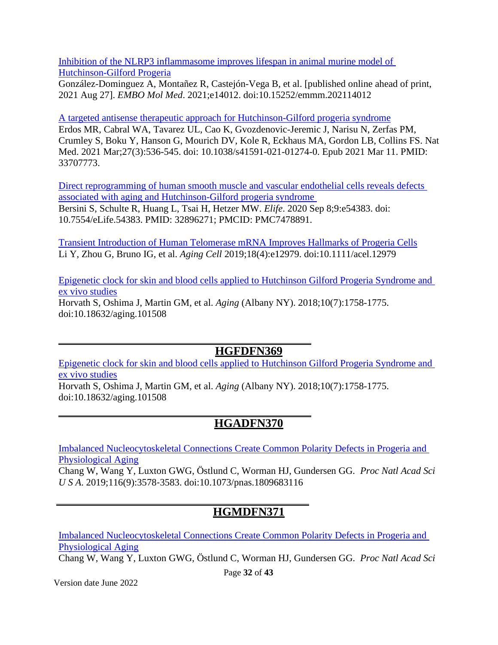[Inhibition of the NLRP3 inflammasome improves lifespan in animal murine model of](https://pubmed.ncbi.nlm.nih.gov/34448355/)  [Hutchinson-Gilford Progeria](https://pubmed.ncbi.nlm.nih.gov/34448355/)

González-Dominguez A, Montañez R, Castejón-Vega B, et al. [published online ahead of print, 2021 Aug 27]. *EMBO Mol Med*. 2021;e14012. doi:10.15252/emmm.202114012

[A targeted antisense therapeutic approach for Hutchinson-Gilford progeria syndrome](https://pubmed.ncbi.nlm.nih.gov/33707773/) Erdos MR, Cabral WA, Tavarez UL, Cao K, Gvozdenovic-Jeremic J, Narisu N, Zerfas PM, Crumley S, Boku Y, Hanson G, Mourich DV, Kole R, Eckhaus MA, Gordon LB, Collins FS. Nat Med. 2021 Mar;27(3):536-545. doi: 10.1038/s41591-021-01274-0. Epub 2021 Mar 11. PMID: 33707773.

[Direct reprogramming of human smooth muscle and vascular endothelial cells reveals defects](https://pubmed.ncbi.nlm.nih.gov/32896271/)  [associated with aging and Hutchinson-Gilford progeria syndrome](https://pubmed.ncbi.nlm.nih.gov/32896271/)  Bersini S, Schulte R, Huang L, Tsai H, Hetzer MW. *Elife*. 2020 Sep 8;9:e54383. doi: 10.7554/eLife.54383. PMID: 32896271; PMCID: PMC7478891.

[Transient Introduction of Human Telomerase mRNA Improves Hallmarks of Progeria Cells](https://pubmed.ncbi.nlm.nih.gov/31152494) Li Y, Zhou G, Bruno IG, et al. *Aging Cell* 2019;18(4):e12979. doi:10.1111/acel.12979

[Epigenetic clock for skin and blood cells applied to Hutchinson Gilford Progeria Syndrome and](https://pubmed.ncbi.nlm.nih.gov/30048243/)  [ex vivo studies](https://pubmed.ncbi.nlm.nih.gov/30048243/) Horvath S, Oshima J, Martin GM, et al. *Aging* (Albany NY). 2018;10(7):1758-1775. doi:10.18632/aging.101508

#### **HGFDFN369**

[Epigenetic clock for skin and blood cells applied to Hutchinson Gilford Progeria Syndrome and](https://pubmed.ncbi.nlm.nih.gov/30048243/)  [ex vivo studies](https://pubmed.ncbi.nlm.nih.gov/30048243/)

Horvath S, Oshima J, Martin GM, et al. *Aging* (Albany NY). 2018;10(7):1758-1775. doi:10.18632/aging.101508

#### **HGADFN370**

[Imbalanced Nucleocytoskeletal Connections Create Common Polarity Defects in Progeria and](https://pubmed.ncbi.nlm.nih.gov/30808750)  [Physiological Aging](https://pubmed.ncbi.nlm.nih.gov/30808750)

Chang W, Wang Y, Luxton GWG, Östlund C, Worman HJ, Gundersen GG. *Proc Natl Acad Sci U S A*. 2019;116(9):3578‐3583. doi:10.1073/pnas.1809683116

## **HGMDFN371**

[Imbalanced Nucleocytoskeletal Connections Create Common Polarity Defects in Progeria and](https://pubmed.ncbi.nlm.nih.gov/30808750)  [Physiological Aging](https://pubmed.ncbi.nlm.nih.gov/30808750)

Chang W, Wang Y, Luxton GWG, Östlund C, Worman HJ, Gundersen GG. *Proc Natl Acad Sci* 

Version date June 2022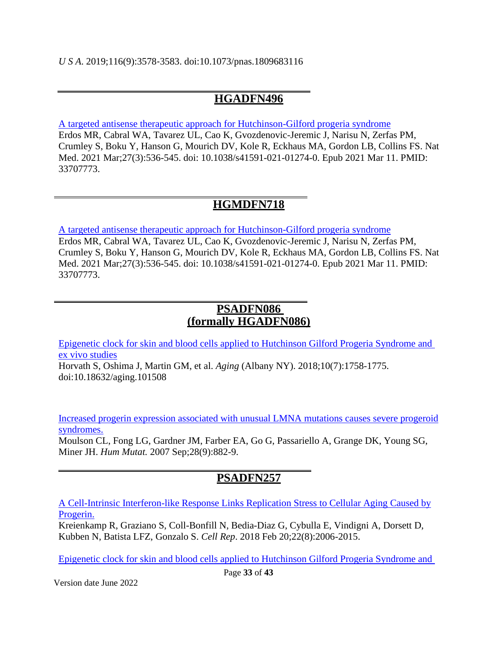#### **HGADFN496**

[A targeted antisense therapeutic approach for Hutchinson-Gilford progeria syndrome](https://pubmed.ncbi.nlm.nih.gov/33707773/) Erdos MR, Cabral WA, Tavarez UL, Cao K, Gvozdenovic-Jeremic J, Narisu N, Zerfas PM, Crumley S, Boku Y, Hanson G, Mourich DV, Kole R, Eckhaus MA, Gordon LB, Collins FS. Nat Med. 2021 Mar;27(3):536-545. doi: 10.1038/s41591-021-01274-0. Epub 2021 Mar 11. PMID: 33707773.

## **HGMDFN718**

[A targeted antisense therapeutic approach for Hutchinson-Gilford progeria syndrome](https://pubmed.ncbi.nlm.nih.gov/33707773/) Erdos MR, Cabral WA, Tavarez UL, Cao K, Gvozdenovic-Jeremic J, Narisu N, Zerfas PM, Crumley S, Boku Y, Hanson G, Mourich DV, Kole R, Eckhaus MA, Gordon LB, Collins FS. Nat Med. 2021 Mar;27(3):536-545. doi: 10.1038/s41591-021-01274-0. Epub 2021 Mar 11. PMID: 33707773.

#### **PSADFN086 (formally HGADFN086)**

[Epigenetic clock for skin and blood cells applied to Hutchinson Gilford Progeria Syndrome and](https://pubmed.ncbi.nlm.nih.gov/30048243/)  [ex vivo studies](https://pubmed.ncbi.nlm.nih.gov/30048243/)

Horvath S, Oshima J, Martin GM, et al. *Aging* (Albany NY). 2018;10(7):1758-1775. doi:10.18632/aging.101508

[Increased progerin expression associated with unusual LMNA mutations causes severe progeroid](http://www.ncbi.nlm.nih.gov/pubmed/17469202) [syndromes.](http://www.ncbi.nlm.nih.gov/pubmed/17469202)

Moulson CL, Fong LG, Gardner JM, Farber EA, Go G, Passariello A, Grange DK, Young SG, Miner JH. *Hum Mutat.* 2007 Sep;28(9):882-9.

## **PSADFN257**

[A Cell-Intrinsic Interferon-like Response Links Replication Stress to Cellular Aging Caused by](https://www.ncbi.nlm.nih.gov/pubmed/29466729) [Progerin.](https://www.ncbi.nlm.nih.gov/pubmed/29466729)

Kreienkamp R, Graziano S, Coll-Bonfill N, Bedia-Diaz G, Cybulla E, Vindigni A, Dorsett D, Kubben N, Batista LFZ, Gonzalo S. *Cell Rep*. 2018 Feb 20;22(8):2006-2015.

[Epigenetic clock for skin and blood cells applied to Hutchinson Gilford Progeria Syndrome and](https://pubmed.ncbi.nlm.nih.gov/30048243/)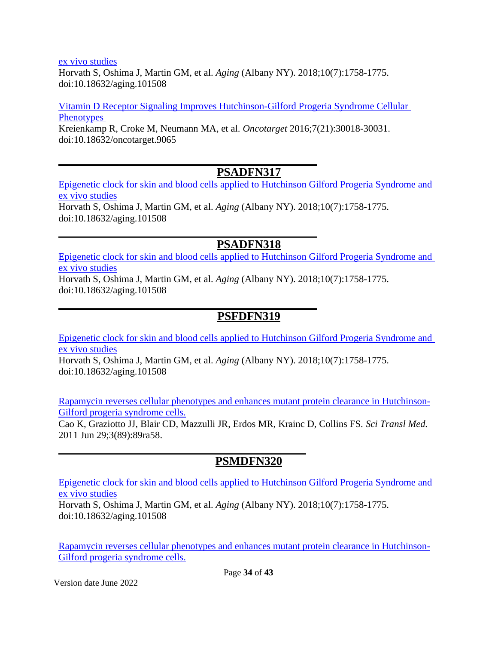#### [ex vivo studies](https://pubmed.ncbi.nlm.nih.gov/30048243/)

Horvath S, Oshima J, Martin GM, et al. *Aging* (Albany NY). 2018;10(7):1758-1775. doi:10.18632/aging.101508

[Vitamin D Receptor Signaling Improves Hutchinson-Gilford Progeria Syndrome Cellular](https://pubmed.ncbi.nlm.nih.gov/27145372/)  **Phenotypes** Kreienkamp R, Croke M, Neumann MA, et al. *Oncotarget* 2016;7(21):30018-30031. doi:10.18632/oncotarget.9065

#### **PSADFN317**

[Epigenetic clock for skin and blood cells applied to Hutchinson Gilford Progeria Syndrome and](https://pubmed.ncbi.nlm.nih.gov/30048243/)  [ex vivo studies](https://pubmed.ncbi.nlm.nih.gov/30048243/) Horvath S, Oshima J, Martin GM, et al. *Aging* (Albany NY). 2018;10(7):1758-1775. doi:10.18632/aging.101508

#### **PSADFN318**

[Epigenetic clock for skin and blood cells applied to Hutchinson Gilford Progeria Syndrome and](https://pubmed.ncbi.nlm.nih.gov/30048243/)  [ex vivo studies](https://pubmed.ncbi.nlm.nih.gov/30048243/)

Horvath S, Oshima J, Martin GM, et al. *Aging* (Albany NY). 2018;10(7):1758-1775. doi:10.18632/aging.101508

#### **PSFDFN319**

[Epigenetic clock for skin and blood cells applied to Hutchinson Gilford Progeria Syndrome and](https://pubmed.ncbi.nlm.nih.gov/30048243/)  [ex vivo studies](https://pubmed.ncbi.nlm.nih.gov/30048243/) Horvath S, Oshima J, Martin GM, et al. *Aging* (Albany NY). 2018;10(7):1758-1775. doi:10.18632/aging.101508

[Rapamycin reverses cellular phenotypes and enhances mutant protein clearance in Hutchinson-](http://www.ncbi.nlm.nih.gov/pubmed/21715679)[Gilford progeria syndrome cells.](http://www.ncbi.nlm.nih.gov/pubmed/21715679)

Cao K, Graziotto JJ, Blair CD, Mazzulli JR, Erdos MR, Krainc D, Collins FS. *Sci Transl Med.* 2011 Jun 29;3(89):89ra58.

#### **PSMDFN320**

[Epigenetic clock for skin and blood cells applied to Hutchinson Gilford Progeria Syndrome and](https://pubmed.ncbi.nlm.nih.gov/30048243/)  [ex vivo studies](https://pubmed.ncbi.nlm.nih.gov/30048243/)

Horvath S, Oshima J, Martin GM, et al. *Aging* (Albany NY). 2018;10(7):1758-1775. doi:10.18632/aging.101508

[Rapamycin reverses cellular phenotypes and enhances mutant protein clearance in Hutchinson-](http://www.ncbi.nlm.nih.gov/pubmed/21715679)[Gilford progeria syndrome cells.](http://www.ncbi.nlm.nih.gov/pubmed/21715679)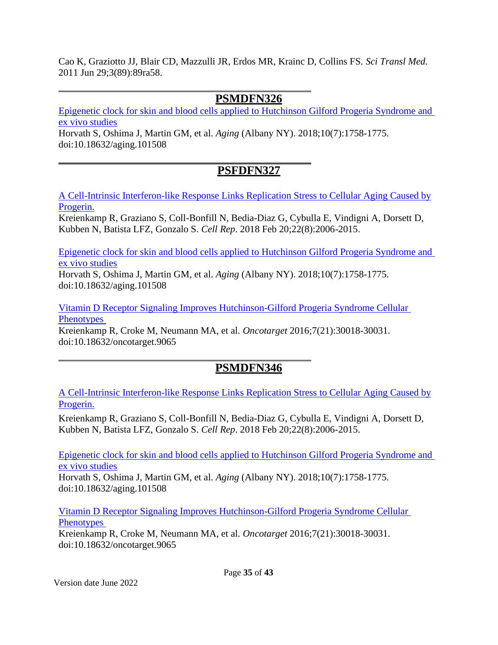Cao K, Graziotto JJ, Blair CD, Mazzulli JR, Erdos MR, Krainc D, Collins FS. *Sci Transl Med.* 2011 Jun 29;3(89):89ra58.

#### **PSMDFN326**

[Epigenetic clock for skin and blood cells applied to Hutchinson Gilford Progeria Syndrome and](https://pubmed.ncbi.nlm.nih.gov/30048243/)  [ex vivo studies](https://pubmed.ncbi.nlm.nih.gov/30048243/)

Horvath S, Oshima J, Martin GM, et al. *Aging* (Albany NY). 2018;10(7):1758-1775. doi:10.18632/aging.101508

## **PSFDFN327**

[A Cell-Intrinsic Interferon-like Response Links Replication Stress to Cellular Aging Caused by](https://www.ncbi.nlm.nih.gov/pubmed/29466729) [Progerin.](https://www.ncbi.nlm.nih.gov/pubmed/29466729)

Kreienkamp R, Graziano S, Coll-Bonfill N, Bedia-Diaz G, Cybulla E, Vindigni A, Dorsett D, Kubben N, Batista LFZ, Gonzalo S. *Cell Rep*. 2018 Feb 20;22(8):2006-2015.

[Epigenetic clock for skin and blood cells applied to Hutchinson Gilford Progeria Syndrome and](https://pubmed.ncbi.nlm.nih.gov/30048243/)  [ex vivo studies](https://pubmed.ncbi.nlm.nih.gov/30048243/)

Horvath S, Oshima J, Martin GM, et al. *Aging* (Albany NY). 2018;10(7):1758-1775. doi:10.18632/aging.101508

[Vitamin D Receptor Signaling Improves Hutchinson-Gilford Progeria Syndrome Cellular](https://pubmed.ncbi.nlm.nih.gov/27145372/)  **Phenotypes** 

Kreienkamp R, Croke M, Neumann MA, et al. *Oncotarget* 2016;7(21):30018-30031. doi:10.18632/oncotarget.9065

## **PSMDFN346**

[A Cell-Intrinsic Interferon-like Response Links Replication Stress to Cellular Aging Caused by](https://www.ncbi.nlm.nih.gov/pubmed/29466729) [Progerin.](https://www.ncbi.nlm.nih.gov/pubmed/29466729)

Kreienkamp R, Graziano S, Coll-Bonfill N, Bedia-Diaz G, Cybulla E, Vindigni A, Dorsett D, Kubben N, Batista LFZ, Gonzalo S. *Cell Rep*. 2018 Feb 20;22(8):2006-2015.

[Epigenetic clock for skin and blood cells applied to Hutchinson Gilford Progeria Syndrome and](https://pubmed.ncbi.nlm.nih.gov/30048243/)  [ex vivo studies](https://pubmed.ncbi.nlm.nih.gov/30048243/)

Horvath S, Oshima J, Martin GM, et al. *Aging* (Albany NY). 2018;10(7):1758-1775. doi:10.18632/aging.101508

[Vitamin D Receptor Signaling Improves Hutchinson-Gilford Progeria Syndrome Cellular](https://pubmed.ncbi.nlm.nih.gov/27145372/)  **Phenotypes** 

Kreienkamp R, Croke M, Neumann MA, et al. *Oncotarget* 2016;7(21):30018-30031. doi:10.18632/oncotarget.9065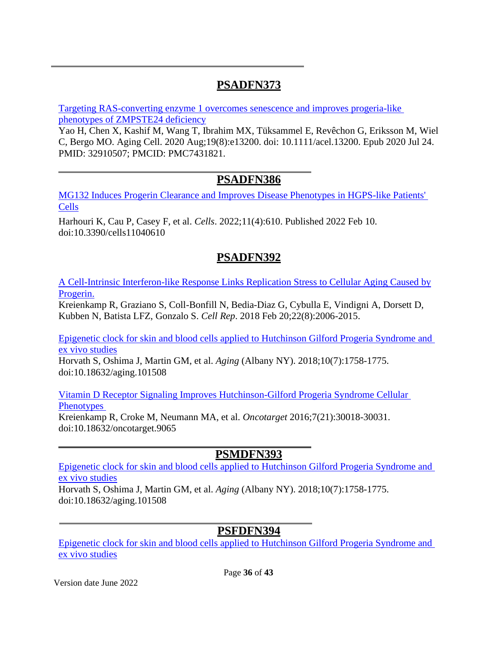## **PSADFN373**

[Targeting RAS-converting enzyme 1 overcomes senescence and improves progeria-like](https://pubmed.ncbi.nlm.nih.gov/32910507/)  [phenotypes of ZMPSTE24 deficiency](https://pubmed.ncbi.nlm.nih.gov/32910507/)

Yao H, Chen X, Kashif M, Wang T, Ibrahim MX, Tüksammel E, Revêchon G, Eriksson M, Wiel C, Bergo MO. Aging Cell. 2020 Aug;19(8):e13200. doi: 10.1111/acel.13200. Epub 2020 Jul 24. PMID: 32910507; PMCID: PMC7431821.

#### **PSADFN386**

[MG132 Induces Progerin Clearance and Improves Disease Phenotypes](https://pubmed.ncbi.nlm.nih.gov/35203262/) in HGPS-like Patients' [Cells](https://pubmed.ncbi.nlm.nih.gov/35203262/)

Harhouri K, Cau P, Casey F, et al. *Cells*. 2022;11(4):610. Published 2022 Feb 10. doi:10.3390/cells11040610

## **PSADFN392**

[A Cell-Intrinsic Interferon-like Response Links Replication Stress to Cellular Aging Caused by](https://www.ncbi.nlm.nih.gov/pubmed/29466729) [Progerin.](https://www.ncbi.nlm.nih.gov/pubmed/29466729)

Kreienkamp R, Graziano S, Coll-Bonfill N, Bedia-Diaz G, Cybulla E, Vindigni A, Dorsett D, Kubben N, Batista LFZ, Gonzalo S. *Cell Rep*. 2018 Feb 20;22(8):2006-2015.

[Epigenetic clock for skin and blood cells applied to Hutchinson Gilford Progeria Syndrome and](https://pubmed.ncbi.nlm.nih.gov/30048243/)  [ex vivo studies](https://pubmed.ncbi.nlm.nih.gov/30048243/)

Horvath S, Oshima J, Martin GM, et al. *Aging* (Albany NY). 2018;10(7):1758-1775. doi:10.18632/aging.101508

[Vitamin D Receptor Signaling Improves Hutchinson-Gilford Progeria Syndrome Cellular](https://pubmed.ncbi.nlm.nih.gov/27145372/) 

**Phenotypes** Kreienkamp R, Croke M, Neumann MA, et al. *Oncotarget* 2016;7(21):30018-30031. doi:10.18632/oncotarget.9065

## **PSMDFN393**

[Epigenetic clock for skin and blood cells applied to Hutchinson Gilford Progeria Syndrome and](https://pubmed.ncbi.nlm.nih.gov/30048243/)  [ex vivo studies](https://pubmed.ncbi.nlm.nih.gov/30048243/)

Horvath S, Oshima J, Martin GM, et al. *Aging* (Albany NY). 2018;10(7):1758-1775. doi:10.18632/aging.101508

## **PSFDFN394**

[Epigenetic clock for skin and blood cells applied to Hutchinson Gilford Progeria Syndrome and](https://pubmed.ncbi.nlm.nih.gov/30048243/)  [ex vivo studies](https://pubmed.ncbi.nlm.nih.gov/30048243/)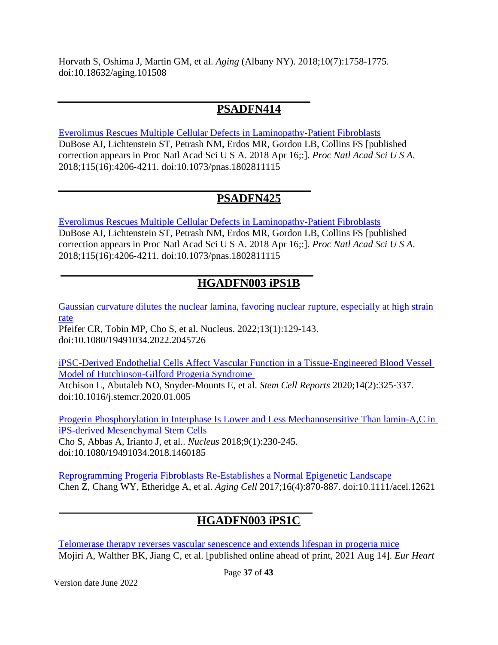Horvath S, Oshima J, Martin GM, et al. *Aging* (Albany NY). 2018;10(7):1758-1775. doi:10.18632/aging.101508

## **PSADFN414**

[Everolimus Rescues Multiple Cellular Defects in Laminopathy-Patient Fibroblasts](https://pubmed.ncbi.nlm.nih.gov/29581305) DuBose AJ, Lichtenstein ST, Petrash NM, Erdos MR, Gordon LB, Collins FS [published correction appears in Proc Natl Acad Sci U S A. 2018 Apr 16;:]. *Proc Natl Acad Sci U S A*. 2018;115(16):4206‐4211. doi:10.1073/pnas.1802811115

## **PSADFN425**

[Everolimus Rescues Multiple Cellular Defects in Laminopathy-Patient Fibroblasts](https://pubmed.ncbi.nlm.nih.gov/29581305) DuBose AJ, Lichtenstein ST, Petrash NM, Erdos MR, Gordon LB, Collins FS [published correction appears in Proc Natl Acad Sci U S A. 2018 Apr 16;:]. *Proc Natl Acad Sci U S A*. 2018;115(16):4206‐4211. doi:10.1073/pnas.1802811115

## **HGADFN003 iPS1B**

[Gaussian curvature dilutes the nuclear lamina, favoring nuclear rupture, especially at high strain](https://pubmed.ncbi.nlm.nih.gov/35293271/)  [rate](https://pubmed.ncbi.nlm.nih.gov/35293271/)

Pfeifer CR, Tobin MP, Cho S, et al. Nucleus. 2022;13(1):129-143. doi:10.1080/19491034.2022.2045726

[iPSC-Derived Endothelial Cells Affect Vascular Function in a Tissue-Engineered Blood Vessel](https://pubmed.ncbi.nlm.nih.gov/32032552)  [Model of Hutchinson-Gilford Progeria Syndrome](https://pubmed.ncbi.nlm.nih.gov/32032552)  Atchison L, Abutaleb NO, Snyder-Mounts E, et al. *Stem Cell Reports* 2020;14(2):325‐337. doi:10.1016/j.stemcr.2020.01.005

[Progerin Phosphorylation in Interphase Is Lower and Less Mechanosensitive Than lamin-A,C in](https://pubmed.ncbi.nlm.nih.gov/29619860)  [iPS-derived Mesenchymal Stem Cells](https://pubmed.ncbi.nlm.nih.gov/29619860)

Cho S, Abbas A, Irianto J, et al.. *Nucleus* 2018;9(1):230-245. doi:10.1080/19491034.2018.1460185

[Reprogramming Progeria Fibroblasts Re-Establishes a Normal Epigenetic Landscape](https://pubmed.ncbi.nlm.nih.gov/28597562) Chen Z, Chang WY, Etheridge A, et al. *Aging Cell* 2017;16(4):870‐887. doi:10.1111/acel.12621

# **HGADFN003 iPS1C**

[Telomerase therapy reverses vascular senescence and extends lifespan in progeria mice](https://pubmed.ncbi.nlm.nih.gov/34389865/) Mojiri A, Walther BK, Jiang C, et al. [published online ahead of print, 2021 Aug 14]. *Eur Heart*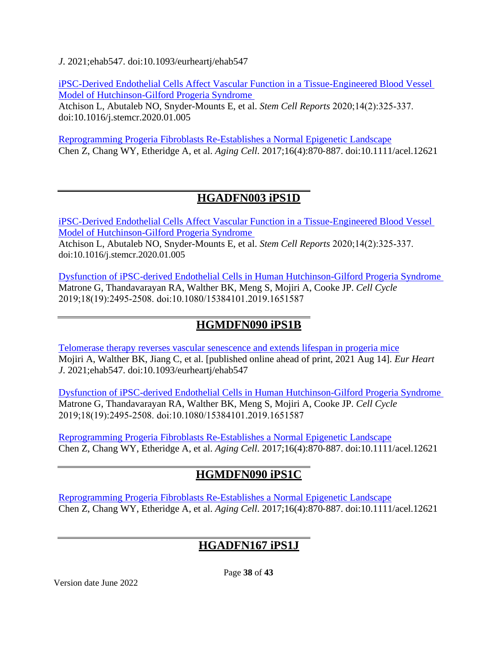*J*. 2021;ehab547. doi:10.1093/eurheartj/ehab547

[iPSC-Derived Endothelial Cells Affect Vascular Function in a Tissue-Engineered Blood Vessel](https://pubmed.ncbi.nlm.nih.gov/32032552)  [Model of Hutchinson-Gilford Progeria Syndrome](https://pubmed.ncbi.nlm.nih.gov/32032552) 

Atchison L, Abutaleb NO, Snyder-Mounts E, et al. *Stem Cell Reports* 2020;14(2):325‐337. doi:10.1016/j.stemcr.2020.01.005

[Reprogramming Progeria Fibroblasts Re-Establishes a Normal Epigenetic Landscape](https://pubmed.ncbi.nlm.nih.gov/28597562) Chen Z, Chang WY, Etheridge A, et al. *Aging Cell*. 2017;16(4):870‐887. doi:10.1111/acel.12621

## **HGADFN003 iPS1D**

[iPSC-Derived Endothelial Cells Affect Vascular Function in a Tissue-Engineered Blood Vessel](https://pubmed.ncbi.nlm.nih.gov/32032552)  [Model of Hutchinson-Gilford Progeria Syndrome](https://pubmed.ncbi.nlm.nih.gov/32032552)  Atchison L, Abutaleb NO, Snyder-Mounts E, et al. *Stem Cell Reports* 2020;14(2):325‐337. doi:10.1016/j.stemcr.2020.01.005

[Dysfunction of iPSC-derived Endothelial Cells in Human Hutchinson-Gilford Progeria Syndrome](https://pubmed.ncbi.nlm.nih.gov/31411525)  Matrone G, Thandavarayan RA, Walther BK, Meng S, Mojiri A, Cooke JP. *Cell Cycle* 2019;18(19):2495‐2508. doi:10.1080/15384101.2019.1651587

#### **HGMDFN090 iPS1B**

[Telomerase therapy reverses vascular senescence and extends lifespan in progeria mice](https://pubmed.ncbi.nlm.nih.gov/34389865/) Mojiri A, Walther BK, Jiang C, et al. [published online ahead of print, 2021 Aug 14]. *Eur Heart J*. 2021;ehab547. doi:10.1093/eurheartj/ehab547

[Dysfunction of iPSC-derived Endothelial Cells in Human Hutchinson-Gilford Progeria Syndrome](https://pubmed.ncbi.nlm.nih.gov/31411525)  Matrone G, Thandavarayan RA, Walther BK, Meng S, Mojiri A, Cooke JP. *Cell Cycle* 2019;18(19):2495‐2508. doi:10.1080/15384101.2019.1651587

[Reprogramming Progeria Fibroblasts Re-Establishes a Normal Epigenetic Landscape](https://pubmed.ncbi.nlm.nih.gov/28597562) Chen Z, Chang WY, Etheridge A, et al. *Aging Cell*. 2017;16(4):870‐887. doi:10.1111/acel.12621

## **HGMDFN090 iPS1C**

[Reprogramming Progeria Fibroblasts Re-Establishes a Normal Epigenetic Landscape](https://pubmed.ncbi.nlm.nih.gov/28597562) Chen Z, Chang WY, Etheridge A, et al. *Aging Cell*. 2017;16(4):870‐887. doi:10.1111/acel.12621

## **HGADFN167 iPS1J**

Page **38** of **43**

Version date June 2022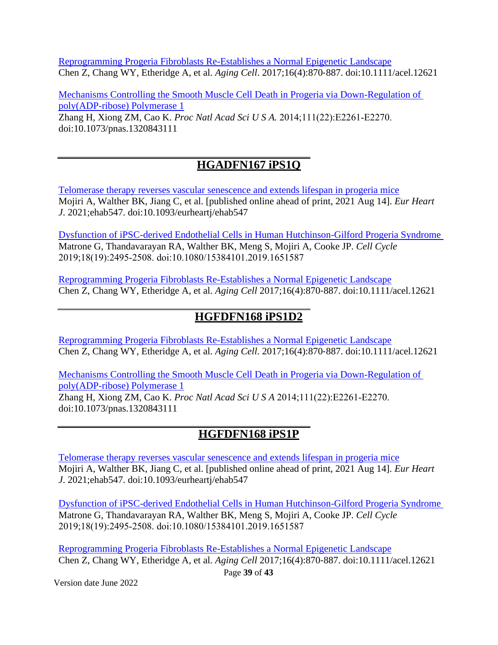[Reprogramming Progeria Fibroblasts Re-Establishes a Normal Epigenetic Landscape](https://pubmed.ncbi.nlm.nih.gov/28597562) Chen Z, Chang WY, Etheridge A, et al. *Aging Cell*. 2017;16(4):870‐887. doi:10.1111/acel.12621

[Mechanisms Controlling the Smooth Muscle Cell Death in Progeria via Down-Regulation of](https://pubmed.ncbi.nlm.nih.gov/24843141/)  [poly\(ADP-ribose\) Polymerase 1](https://pubmed.ncbi.nlm.nih.gov/24843141/)

Zhang H, Xiong ZM, Cao K. *Proc Natl Acad Sci U S A.* 2014;111(22):E2261‐E2270. doi:10.1073/pnas.1320843111

# **HGADFN167 iPS1Q**

[Telomerase therapy reverses vascular senescence and extends lifespan in progeria mice](https://pubmed.ncbi.nlm.nih.gov/34389865/) Mojiri A, Walther BK, Jiang C, et al. [published online ahead of print, 2021 Aug 14]. *Eur Heart J*. 2021;ehab547. doi:10.1093/eurheartj/ehab547

[Dysfunction of iPSC-derived Endothelial Cells in Human Hutchinson-Gilford Progeria Syndrome](https://pubmed.ncbi.nlm.nih.gov/31411525)  Matrone G, Thandavarayan RA, Walther BK, Meng S, Mojiri A, Cooke JP. *Cell Cycle* 2019;18(19):2495‐2508. doi:10.1080/15384101.2019.1651587

[Reprogramming Progeria Fibroblasts Re-Establishes a Normal Epigenetic Landscape](https://pubmed.ncbi.nlm.nih.gov/28597562) Chen Z, Chang WY, Etheridge A, et al. *Aging Cell* 2017;16(4):870‐887. doi:10.1111/acel.12621

## **HGFDFN168 iPS1D2**

[Reprogramming Progeria Fibroblasts Re-Establishes a Normal Epigenetic Landscape](https://pubmed.ncbi.nlm.nih.gov/28597562) Chen Z, Chang WY, Etheridge A, et al. *Aging Cell*. 2017;16(4):870‐887. doi:10.1111/acel.12621

[Mechanisms Controlling the Smooth Muscle Cell Death in Progeria via Down-Regulation of](https://pubmed.ncbi.nlm.nih.gov/24843141/)  [poly\(ADP-ribose\) Polymerase 1](https://pubmed.ncbi.nlm.nih.gov/24843141/)

Zhang H, Xiong ZM, Cao K. *Proc Natl Acad Sci U S A* 2014;111(22):E2261‐E2270. doi:10.1073/pnas.1320843111

## **HGFDFN168 iPS1P**

[Telomerase therapy reverses vascular senescence and extends lifespan in progeria mice](https://pubmed.ncbi.nlm.nih.gov/34389865/) Mojiri A, Walther BK, Jiang C, et al. [published online ahead of print, 2021 Aug 14]. *Eur Heart J*. 2021;ehab547. doi:10.1093/eurheartj/ehab547

[Dysfunction of iPSC-derived Endothelial Cells in Human Hutchinson-Gilford Progeria Syndrome](https://pubmed.ncbi.nlm.nih.gov/31411525)  Matrone G, Thandavarayan RA, Walther BK, Meng S, Mojiri A, Cooke JP. *Cell Cycle* 2019;18(19):2495‐2508. doi:10.1080/15384101.2019.1651587

[Reprogramming Progeria Fibroblasts Re-Establishes a Normal Epigenetic Landscape](https://pubmed.ncbi.nlm.nih.gov/28597562) Chen Z, Chang WY, Etheridge A, et al. *Aging Cell* 2017;16(4):870‐887. doi:10.1111/acel.12621

Version date June 2022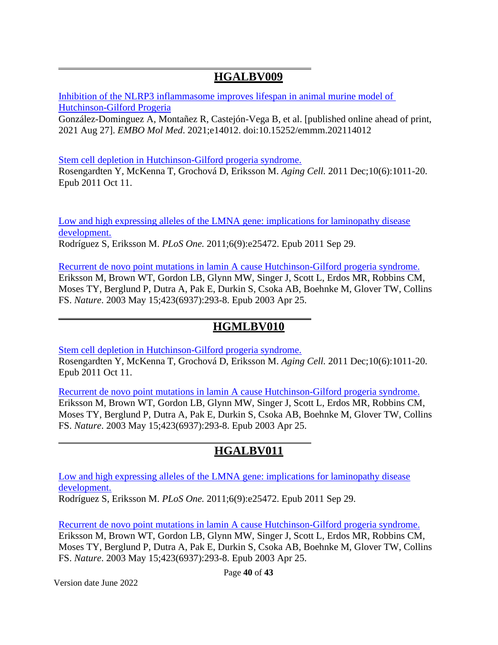#### **HGALBV009**

[Inhibition of the NLRP3 inflammasome improves lifespan in animal murine model of](https://pubmed.ncbi.nlm.nih.gov/34448355/)  [Hutchinson-Gilford Progeria](https://pubmed.ncbi.nlm.nih.gov/34448355/)

González-Dominguez A, Montañez R, Castejón-Vega B, et al. [published online ahead of print, 2021 Aug 27]. *EMBO Mol Med*. 2021;e14012. doi:10.15252/emmm.202114012

[Stem cell depletion in Hutchinson-Gilford progeria syndrome.](http://www.ncbi.nlm.nih.gov/pubmed/21902803)

[Rosengardten Y,](http://www.ncbi.nlm.nih.gov/pubmed?term=%22Rosengardten%20Y%22%5BAuthor%5D) [McKenna T,](http://www.ncbi.nlm.nih.gov/pubmed?term=%22McKenna%20T%22%5BAuthor%5D) [Grochová D,](http://www.ncbi.nlm.nih.gov/pubmed?term=%22Grochov%C3%A1%20D%22%5BAuthor%5D) [Eriksson M.](http://www.ncbi.nlm.nih.gov/pubmed?term=%22Eriksson%20M%22%5BAuthor%5D) *[Aging Cell.](http://www.ncbi.nlm.nih.gov/pubmed/21902803)* 2011 Dec;10(6):1011-20. Epub 2011 Oct 11.

[Low and high expressing alleles of the LMNA gene: implications for laminopathy disease](http://www.ncbi.nlm.nih.gov/pubmed/21980471) [development.](http://www.ncbi.nlm.nih.gov/pubmed/21980471) [Rodríguez S,](http://www.ncbi.nlm.nih.gov/pubmed?term=%22Rodr%C3%ADguez%20S%22%5BAuthor%5D) [Eriksson M.](http://www.ncbi.nlm.nih.gov/pubmed?term=%22Eriksson%20M%22%5BAuthor%5D) *[PLoS One.](http://www.ncbi.nlm.nih.gov/pubmed/21980471)* 2011;6(9):e25472. Epub 2011 Sep 29.

[Recurrent de novo point mutations in lamin A cause Hutchinson-Gilford progeria syndrome.](http://www.ncbi.nlm.nih.gov/pubmed/12714972) [Eriksson M,](http://www.ncbi.nlm.nih.gov/pubmed?term=%22Eriksson%20M%22%5BAuthor%5D) [Brown WT,](http://www.ncbi.nlm.nih.gov/pubmed?term=%22Brown%20WT%22%5BAuthor%5D) [Gordon LB,](http://www.ncbi.nlm.nih.gov/pubmed?term=%22Gordon%20LB%22%5BAuthor%5D) [Glynn MW,](http://www.ncbi.nlm.nih.gov/pubmed?term=%22Glynn%20MW%22%5BAuthor%5D) [Singer J,](http://www.ncbi.nlm.nih.gov/pubmed?term=%22Singer%20J%22%5BAuthor%5D) [Scott L,](http://www.ncbi.nlm.nih.gov/pubmed?term=%22Scott%20L%22%5BAuthor%5D) [Erdos MR,](http://www.ncbi.nlm.nih.gov/pubmed?term=%22Erdos%20MR%22%5BAuthor%5D) [Robbins CM,](http://www.ncbi.nlm.nih.gov/pubmed?term=%22Robbins%20CM%22%5BAuthor%5D) [Moses TY,](http://www.ncbi.nlm.nih.gov/pubmed?term=%22Moses%20TY%22%5BAuthor%5D) [Berglund P,](http://www.ncbi.nlm.nih.gov/pubmed?term=%22Berglund%20P%22%5BAuthor%5D) [Dutra A,](http://www.ncbi.nlm.nih.gov/pubmed?term=%22Dutra%20A%22%5BAuthor%5D) [Pak E,](http://www.ncbi.nlm.nih.gov/pubmed?term=%22Pak%20E%22%5BAuthor%5D) [Durkin S,](http://www.ncbi.nlm.nih.gov/pubmed?term=%22Durkin%20S%22%5BAuthor%5D) [Csoka AB,](http://www.ncbi.nlm.nih.gov/pubmed?term=%22Csoka%20AB%22%5BAuthor%5D) [Boehnke M,](http://www.ncbi.nlm.nih.gov/pubmed?term=%22Boehnke%20M%22%5BAuthor%5D) [Glover TW,](http://www.ncbi.nlm.nih.gov/pubmed?term=%22Glover%20TW%22%5BAuthor%5D) [Collins](http://www.ncbi.nlm.nih.gov/pubmed?term=%22Collins%20FS%22%5BAuthor%5D) [FS.](http://www.ncbi.nlm.nih.gov/pubmed?term=%22Collins%20FS%22%5BAuthor%5D) *[Nature](http://www.ncbi.nlm.nih.gov/pubmed/12714972)*. 2003 May 15;423(6937):293-8. Epub 2003 Apr 25.

## **HGMLBV010**

[Stem cell depletion in Hutchinson-Gilford progeria syndrome.](http://www.ncbi.nlm.nih.gov/pubmed/21902803)

[Rosengardten Y,](http://www.ncbi.nlm.nih.gov/pubmed?term=%22Rosengardten%20Y%22%5BAuthor%5D) [McKenna T,](http://www.ncbi.nlm.nih.gov/pubmed?term=%22McKenna%20T%22%5BAuthor%5D) [Grochová D,](http://www.ncbi.nlm.nih.gov/pubmed?term=%22Grochov%C3%A1%20D%22%5BAuthor%5D) [Eriksson M.](http://www.ncbi.nlm.nih.gov/pubmed?term=%22Eriksson%20M%22%5BAuthor%5D) *[Aging Cell.](http://www.ncbi.nlm.nih.gov/pubmed/21902803)* 2011 Dec;10(6):1011-20. Epub 2011 Oct 11.

[Recurrent de novo point mutations in lamin A cause Hutchinson-Gilford progeria syndrome.](http://www.ncbi.nlm.nih.gov/pubmed/12714972) [Eriksson M,](http://www.ncbi.nlm.nih.gov/pubmed?term=%22Eriksson%20M%22%5BAuthor%5D) [Brown WT,](http://www.ncbi.nlm.nih.gov/pubmed?term=%22Brown%20WT%22%5BAuthor%5D) [Gordon LB,](http://www.ncbi.nlm.nih.gov/pubmed?term=%22Gordon%20LB%22%5BAuthor%5D) [Glynn MW,](http://www.ncbi.nlm.nih.gov/pubmed?term=%22Glynn%20MW%22%5BAuthor%5D) [Singer J,](http://www.ncbi.nlm.nih.gov/pubmed?term=%22Singer%20J%22%5BAuthor%5D) [Scott L,](http://www.ncbi.nlm.nih.gov/pubmed?term=%22Scott%20L%22%5BAuthor%5D) [Erdos MR,](http://www.ncbi.nlm.nih.gov/pubmed?term=%22Erdos%20MR%22%5BAuthor%5D) [Robbins CM,](http://www.ncbi.nlm.nih.gov/pubmed?term=%22Robbins%20CM%22%5BAuthor%5D) [Moses TY,](http://www.ncbi.nlm.nih.gov/pubmed?term=%22Moses%20TY%22%5BAuthor%5D) [Berglund P,](http://www.ncbi.nlm.nih.gov/pubmed?term=%22Berglund%20P%22%5BAuthor%5D) [Dutra A,](http://www.ncbi.nlm.nih.gov/pubmed?term=%22Dutra%20A%22%5BAuthor%5D) [Pak E,](http://www.ncbi.nlm.nih.gov/pubmed?term=%22Pak%20E%22%5BAuthor%5D) [Durkin S,](http://www.ncbi.nlm.nih.gov/pubmed?term=%22Durkin%20S%22%5BAuthor%5D) [Csoka AB,](http://www.ncbi.nlm.nih.gov/pubmed?term=%22Csoka%20AB%22%5BAuthor%5D) [Boehnke M,](http://www.ncbi.nlm.nih.gov/pubmed?term=%22Boehnke%20M%22%5BAuthor%5D) [Glover TW,](http://www.ncbi.nlm.nih.gov/pubmed?term=%22Glover%20TW%22%5BAuthor%5D) [Collins](http://www.ncbi.nlm.nih.gov/pubmed?term=%22Collins%20FS%22%5BAuthor%5D) [FS.](http://www.ncbi.nlm.nih.gov/pubmed?term=%22Collins%20FS%22%5BAuthor%5D) *[Nature](http://www.ncbi.nlm.nih.gov/pubmed/12714972)*. 2003 May 15;423(6937):293-8. Epub 2003 Apr 25.

## **HGALBV011**

[Low and high expressing alleles of the LMNA gene: implications for laminopathy disease](http://www.ncbi.nlm.nih.gov/pubmed/21980471) [development.](http://www.ncbi.nlm.nih.gov/pubmed/21980471)

[Rodríguez S,](http://www.ncbi.nlm.nih.gov/pubmed?term=%22Rodr%C3%ADguez%20S%22%5BAuthor%5D) [Eriksson M.](http://www.ncbi.nlm.nih.gov/pubmed?term=%22Eriksson%20M%22%5BAuthor%5D) *[PLoS One.](http://www.ncbi.nlm.nih.gov/pubmed/21980471)* 2011;6(9):e25472. Epub 2011 Sep 29.

[Recurrent de novo point mutations in lamin A cause Hutchinson-Gilford progeria syndrome.](http://www.ncbi.nlm.nih.gov/pubmed/12714972) [Eriksson M,](http://www.ncbi.nlm.nih.gov/pubmed?term=%22Eriksson%20M%22%5BAuthor%5D) [Brown WT,](http://www.ncbi.nlm.nih.gov/pubmed?term=%22Brown%20WT%22%5BAuthor%5D) [Gordon LB,](http://www.ncbi.nlm.nih.gov/pubmed?term=%22Gordon%20LB%22%5BAuthor%5D) [Glynn MW,](http://www.ncbi.nlm.nih.gov/pubmed?term=%22Glynn%20MW%22%5BAuthor%5D) [Singer J,](http://www.ncbi.nlm.nih.gov/pubmed?term=%22Singer%20J%22%5BAuthor%5D) [Scott L,](http://www.ncbi.nlm.nih.gov/pubmed?term=%22Scott%20L%22%5BAuthor%5D) [Erdos MR,](http://www.ncbi.nlm.nih.gov/pubmed?term=%22Erdos%20MR%22%5BAuthor%5D) [Robbins CM,](http://www.ncbi.nlm.nih.gov/pubmed?term=%22Robbins%20CM%22%5BAuthor%5D) [Moses TY,](http://www.ncbi.nlm.nih.gov/pubmed?term=%22Moses%20TY%22%5BAuthor%5D) [Berglund P,](http://www.ncbi.nlm.nih.gov/pubmed?term=%22Berglund%20P%22%5BAuthor%5D) [Dutra A,](http://www.ncbi.nlm.nih.gov/pubmed?term=%22Dutra%20A%22%5BAuthor%5D) [Pak E,](http://www.ncbi.nlm.nih.gov/pubmed?term=%22Pak%20E%22%5BAuthor%5D) [Durkin S,](http://www.ncbi.nlm.nih.gov/pubmed?term=%22Durkin%20S%22%5BAuthor%5D) [Csoka AB,](http://www.ncbi.nlm.nih.gov/pubmed?term=%22Csoka%20AB%22%5BAuthor%5D) [Boehnke M,](http://www.ncbi.nlm.nih.gov/pubmed?term=%22Boehnke%20M%22%5BAuthor%5D) [Glover TW,](http://www.ncbi.nlm.nih.gov/pubmed?term=%22Glover%20TW%22%5BAuthor%5D) [Collins](http://www.ncbi.nlm.nih.gov/pubmed?term=%22Collins%20FS%22%5BAuthor%5D) [FS.](http://www.ncbi.nlm.nih.gov/pubmed?term=%22Collins%20FS%22%5BAuthor%5D) *[Nature](http://www.ncbi.nlm.nih.gov/pubmed/12714972)*. 2003 May 15;423(6937):293-8. Epub 2003 Apr 25.

Page **40** of **43**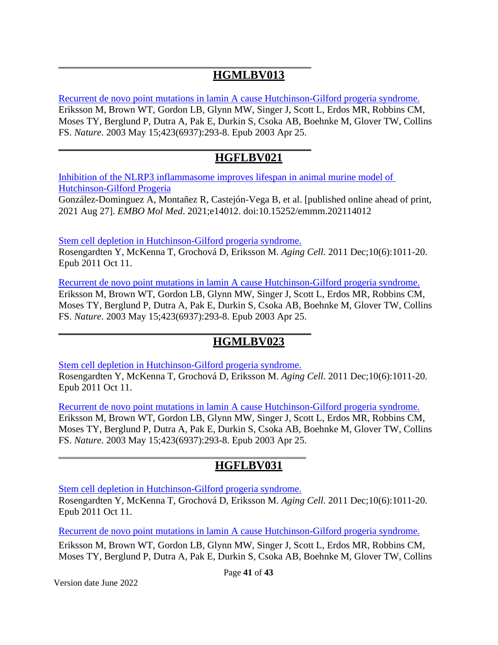## **HGMLBV013**

[Recurrent de novo point mutations in lamin A cause Hutchinson-Gilford progeria syndrome.](http://www.ncbi.nlm.nih.gov/pubmed/12714972) [Eriksson M,](http://www.ncbi.nlm.nih.gov/pubmed?term=%22Eriksson%20M%22%5BAuthor%5D) [Brown WT,](http://www.ncbi.nlm.nih.gov/pubmed?term=%22Brown%20WT%22%5BAuthor%5D) [Gordon LB,](http://www.ncbi.nlm.nih.gov/pubmed?term=%22Gordon%20LB%22%5BAuthor%5D) [Glynn MW,](http://www.ncbi.nlm.nih.gov/pubmed?term=%22Glynn%20MW%22%5BAuthor%5D) [Singer J,](http://www.ncbi.nlm.nih.gov/pubmed?term=%22Singer%20J%22%5BAuthor%5D) [Scott L,](http://www.ncbi.nlm.nih.gov/pubmed?term=%22Scott%20L%22%5BAuthor%5D) [Erdos MR,](http://www.ncbi.nlm.nih.gov/pubmed?term=%22Erdos%20MR%22%5BAuthor%5D) [Robbins CM,](http://www.ncbi.nlm.nih.gov/pubmed?term=%22Robbins%20CM%22%5BAuthor%5D) [Moses TY,](http://www.ncbi.nlm.nih.gov/pubmed?term=%22Moses%20TY%22%5BAuthor%5D) [Berglund P,](http://www.ncbi.nlm.nih.gov/pubmed?term=%22Berglund%20P%22%5BAuthor%5D) [Dutra A,](http://www.ncbi.nlm.nih.gov/pubmed?term=%22Dutra%20A%22%5BAuthor%5D) [Pak E,](http://www.ncbi.nlm.nih.gov/pubmed?term=%22Pak%20E%22%5BAuthor%5D) [Durkin S,](http://www.ncbi.nlm.nih.gov/pubmed?term=%22Durkin%20S%22%5BAuthor%5D) [Csoka AB,](http://www.ncbi.nlm.nih.gov/pubmed?term=%22Csoka%20AB%22%5BAuthor%5D) [Boehnke M,](http://www.ncbi.nlm.nih.gov/pubmed?term=%22Boehnke%20M%22%5BAuthor%5D) [Glover TW,](http://www.ncbi.nlm.nih.gov/pubmed?term=%22Glover%20TW%22%5BAuthor%5D) [Collins](http://www.ncbi.nlm.nih.gov/pubmed?term=%22Collins%20FS%22%5BAuthor%5D) [FS.](http://www.ncbi.nlm.nih.gov/pubmed?term=%22Collins%20FS%22%5BAuthor%5D) *[Nature](http://www.ncbi.nlm.nih.gov/pubmed/12714972)*. 2003 May 15;423(6937):293-8. Epub 2003 Apr 25.

#### **HGFLBV021**

[Inhibition of the NLRP3 inflammasome improves lifespan in animal murine model of](https://pubmed.ncbi.nlm.nih.gov/34448355/)  [Hutchinson-Gilford Progeria](https://pubmed.ncbi.nlm.nih.gov/34448355/)

González-Dominguez A, Montañez R, Castejón-Vega B, et al. [published online ahead of print, 2021 Aug 27]. *EMBO Mol Med*. 2021;e14012. doi:10.15252/emmm.202114012

[Stem cell depletion in Hutchinson-Gilford progeria syndrome.](http://www.ncbi.nlm.nih.gov/pubmed/21902803)

[Rosengardten Y,](http://www.ncbi.nlm.nih.gov/pubmed?term=%22Rosengardten%20Y%22%5BAuthor%5D) [McKenna T,](http://www.ncbi.nlm.nih.gov/pubmed?term=%22McKenna%20T%22%5BAuthor%5D) [Grochová D,](http://www.ncbi.nlm.nih.gov/pubmed?term=%22Grochov%C3%A1%20D%22%5BAuthor%5D) [Eriksson M.](http://www.ncbi.nlm.nih.gov/pubmed?term=%22Eriksson%20M%22%5BAuthor%5D) *[Aging Cell.](http://www.ncbi.nlm.nih.gov/pubmed/21902803)* 2011 Dec;10(6):1011-20. Epub 2011 Oct 11.

[Recurrent de novo point mutations in lamin A cause Hutchinson-Gilford progeria syndrome.](http://www.ncbi.nlm.nih.gov/pubmed/12714972) [Eriksson M,](http://www.ncbi.nlm.nih.gov/pubmed?term=%22Eriksson%20M%22%5BAuthor%5D) [Brown WT,](http://www.ncbi.nlm.nih.gov/pubmed?term=%22Brown%20WT%22%5BAuthor%5D) [Gordon LB,](http://www.ncbi.nlm.nih.gov/pubmed?term=%22Gordon%20LB%22%5BAuthor%5D) [Glynn MW,](http://www.ncbi.nlm.nih.gov/pubmed?term=%22Glynn%20MW%22%5BAuthor%5D) [Singer J,](http://www.ncbi.nlm.nih.gov/pubmed?term=%22Singer%20J%22%5BAuthor%5D) [Scott L,](http://www.ncbi.nlm.nih.gov/pubmed?term=%22Scott%20L%22%5BAuthor%5D) [Erdos MR,](http://www.ncbi.nlm.nih.gov/pubmed?term=%22Erdos%20MR%22%5BAuthor%5D) [Robbins CM,](http://www.ncbi.nlm.nih.gov/pubmed?term=%22Robbins%20CM%22%5BAuthor%5D) [Moses TY,](http://www.ncbi.nlm.nih.gov/pubmed?term=%22Moses%20TY%22%5BAuthor%5D) [Berglund P,](http://www.ncbi.nlm.nih.gov/pubmed?term=%22Berglund%20P%22%5BAuthor%5D) [Dutra A,](http://www.ncbi.nlm.nih.gov/pubmed?term=%22Dutra%20A%22%5BAuthor%5D) [Pak E,](http://www.ncbi.nlm.nih.gov/pubmed?term=%22Pak%20E%22%5BAuthor%5D) [Durkin S,](http://www.ncbi.nlm.nih.gov/pubmed?term=%22Durkin%20S%22%5BAuthor%5D) [Csoka AB,](http://www.ncbi.nlm.nih.gov/pubmed?term=%22Csoka%20AB%22%5BAuthor%5D) [Boehnke M,](http://www.ncbi.nlm.nih.gov/pubmed?term=%22Boehnke%20M%22%5BAuthor%5D) [Glover TW,](http://www.ncbi.nlm.nih.gov/pubmed?term=%22Glover%20TW%22%5BAuthor%5D) [Collins](http://www.ncbi.nlm.nih.gov/pubmed?term=%22Collins%20FS%22%5BAuthor%5D) [FS.](http://www.ncbi.nlm.nih.gov/pubmed?term=%22Collins%20FS%22%5BAuthor%5D) *[Nature](http://www.ncbi.nlm.nih.gov/pubmed/12714972)*. 2003 May 15;423(6937):293-8. Epub 2003 Apr 25.

## **HGMLBV023**

[Stem cell depletion in Hutchinson-Gilford progeria syndrome.](http://www.ncbi.nlm.nih.gov/pubmed/21902803)

[Rosengardten Y,](http://www.ncbi.nlm.nih.gov/pubmed?term=%22Rosengardten%20Y%22%5BAuthor%5D) [McKenna T,](http://www.ncbi.nlm.nih.gov/pubmed?term=%22McKenna%20T%22%5BAuthor%5D) [Grochová D,](http://www.ncbi.nlm.nih.gov/pubmed?term=%22Grochov%C3%A1%20D%22%5BAuthor%5D) [Eriksson M.](http://www.ncbi.nlm.nih.gov/pubmed?term=%22Eriksson%20M%22%5BAuthor%5D) *[Aging Cell.](http://www.ncbi.nlm.nih.gov/pubmed/21902803)* 2011 Dec;10(6):1011-20. Epub 2011 Oct 11.

[Recurrent de novo point mutations in lamin A cause Hutchinson-Gilford progeria syndrome.](http://www.ncbi.nlm.nih.gov/pubmed/12714972) [Eriksson M,](http://www.ncbi.nlm.nih.gov/pubmed?term=%22Eriksson%20M%22%5BAuthor%5D) [Brown WT,](http://www.ncbi.nlm.nih.gov/pubmed?term=%22Brown%20WT%22%5BAuthor%5D) [Gordon LB,](http://www.ncbi.nlm.nih.gov/pubmed?term=%22Gordon%20LB%22%5BAuthor%5D) [Glynn MW,](http://www.ncbi.nlm.nih.gov/pubmed?term=%22Glynn%20MW%22%5BAuthor%5D) [Singer J,](http://www.ncbi.nlm.nih.gov/pubmed?term=%22Singer%20J%22%5BAuthor%5D) [Scott L,](http://www.ncbi.nlm.nih.gov/pubmed?term=%22Scott%20L%22%5BAuthor%5D) [Erdos MR,](http://www.ncbi.nlm.nih.gov/pubmed?term=%22Erdos%20MR%22%5BAuthor%5D) [Robbins CM,](http://www.ncbi.nlm.nih.gov/pubmed?term=%22Robbins%20CM%22%5BAuthor%5D) [Moses TY,](http://www.ncbi.nlm.nih.gov/pubmed?term=%22Moses%20TY%22%5BAuthor%5D) [Berglund P,](http://www.ncbi.nlm.nih.gov/pubmed?term=%22Berglund%20P%22%5BAuthor%5D) [Dutra A,](http://www.ncbi.nlm.nih.gov/pubmed?term=%22Dutra%20A%22%5BAuthor%5D) [Pak E,](http://www.ncbi.nlm.nih.gov/pubmed?term=%22Pak%20E%22%5BAuthor%5D) [Durkin S,](http://www.ncbi.nlm.nih.gov/pubmed?term=%22Durkin%20S%22%5BAuthor%5D) [Csoka AB,](http://www.ncbi.nlm.nih.gov/pubmed?term=%22Csoka%20AB%22%5BAuthor%5D) [Boehnke M,](http://www.ncbi.nlm.nih.gov/pubmed?term=%22Boehnke%20M%22%5BAuthor%5D) [Glover TW,](http://www.ncbi.nlm.nih.gov/pubmed?term=%22Glover%20TW%22%5BAuthor%5D) [Collins](http://www.ncbi.nlm.nih.gov/pubmed?term=%22Collins%20FS%22%5BAuthor%5D) [FS.](http://www.ncbi.nlm.nih.gov/pubmed?term=%22Collins%20FS%22%5BAuthor%5D) *[Nature](http://www.ncbi.nlm.nih.gov/pubmed/12714972)*. 2003 May 15;423(6937):293-8. Epub 2003 Apr 25.

## **HGFLBV031**

[Stem cell depletion in Hutchinson-Gilford progeria syndrome.](http://www.ncbi.nlm.nih.gov/pubmed/21902803)

[Rosengardten Y,](http://www.ncbi.nlm.nih.gov/pubmed?term=%22Rosengardten%20Y%22%5BAuthor%5D) [McKenna T,](http://www.ncbi.nlm.nih.gov/pubmed?term=%22McKenna%20T%22%5BAuthor%5D) [Grochová D,](http://www.ncbi.nlm.nih.gov/pubmed?term=%22Grochov%C3%A1%20D%22%5BAuthor%5D) [Eriksson M.](http://www.ncbi.nlm.nih.gov/pubmed?term=%22Eriksson%20M%22%5BAuthor%5D) *[Aging Cell.](http://www.ncbi.nlm.nih.gov/pubmed/21902803)* 2011 Dec;10(6):1011-20. Epub 2011 Oct 11.

[Recurrent de novo point mutations in lamin A cause Hutchinson-Gilford progeria syndrome.](http://www.ncbi.nlm.nih.gov/pubmed/12714972)

[Eriksson M,](http://www.ncbi.nlm.nih.gov/pubmed?term=%22Eriksson%20M%22%5BAuthor%5D) [Brown WT,](http://www.ncbi.nlm.nih.gov/pubmed?term=%22Brown%20WT%22%5BAuthor%5D) [Gordon LB,](http://www.ncbi.nlm.nih.gov/pubmed?term=%22Gordon%20LB%22%5BAuthor%5D) [Glynn MW,](http://www.ncbi.nlm.nih.gov/pubmed?term=%22Glynn%20MW%22%5BAuthor%5D) [Singer J,](http://www.ncbi.nlm.nih.gov/pubmed?term=%22Singer%20J%22%5BAuthor%5D) [Scott L,](http://www.ncbi.nlm.nih.gov/pubmed?term=%22Scott%20L%22%5BAuthor%5D) [Erdos MR,](http://www.ncbi.nlm.nih.gov/pubmed?term=%22Erdos%20MR%22%5BAuthor%5D) [Robbins CM,](http://www.ncbi.nlm.nih.gov/pubmed?term=%22Robbins%20CM%22%5BAuthor%5D) [Moses TY,](http://www.ncbi.nlm.nih.gov/pubmed?term=%22Moses%20TY%22%5BAuthor%5D) [Berglund P,](http://www.ncbi.nlm.nih.gov/pubmed?term=%22Berglund%20P%22%5BAuthor%5D) [Dutra A,](http://www.ncbi.nlm.nih.gov/pubmed?term=%22Dutra%20A%22%5BAuthor%5D) [Pak E,](http://www.ncbi.nlm.nih.gov/pubmed?term=%22Pak%20E%22%5BAuthor%5D) [Durkin S,](http://www.ncbi.nlm.nih.gov/pubmed?term=%22Durkin%20S%22%5BAuthor%5D) [Csoka AB,](http://www.ncbi.nlm.nih.gov/pubmed?term=%22Csoka%20AB%22%5BAuthor%5D) [Boehnke M,](http://www.ncbi.nlm.nih.gov/pubmed?term=%22Boehnke%20M%22%5BAuthor%5D) [Glover TW,](http://www.ncbi.nlm.nih.gov/pubmed?term=%22Glover%20TW%22%5BAuthor%5D) [Collins](http://www.ncbi.nlm.nih.gov/pubmed?term=%22Collins%20FS%22%5BAuthor%5D)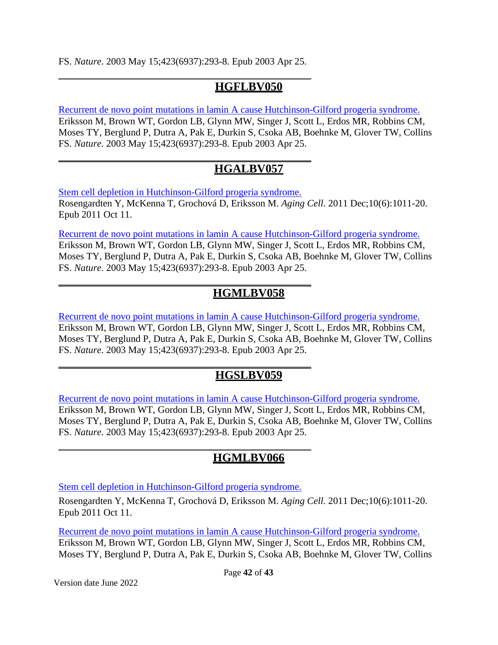[FS.](http://www.ncbi.nlm.nih.gov/pubmed?term=%22Collins%20FS%22%5BAuthor%5D) *[Nature](http://www.ncbi.nlm.nih.gov/pubmed/12714972)*. 2003 May 15;423(6937):293-8. Epub 2003 Apr 25.

#### **HGFLBV050**

[Recurrent de novo point mutations in lamin A cause Hutchinson-Gilford progeria syndrome.](http://www.ncbi.nlm.nih.gov/pubmed/12714972) [Eriksson M,](http://www.ncbi.nlm.nih.gov/pubmed?term=%22Eriksson%20M%22%5BAuthor%5D) [Brown WT,](http://www.ncbi.nlm.nih.gov/pubmed?term=%22Brown%20WT%22%5BAuthor%5D) [Gordon LB,](http://www.ncbi.nlm.nih.gov/pubmed?term=%22Gordon%20LB%22%5BAuthor%5D) [Glynn MW,](http://www.ncbi.nlm.nih.gov/pubmed?term=%22Glynn%20MW%22%5BAuthor%5D) [Singer J,](http://www.ncbi.nlm.nih.gov/pubmed?term=%22Singer%20J%22%5BAuthor%5D) [Scott L,](http://www.ncbi.nlm.nih.gov/pubmed?term=%22Scott%20L%22%5BAuthor%5D) [Erdos MR,](http://www.ncbi.nlm.nih.gov/pubmed?term=%22Erdos%20MR%22%5BAuthor%5D) [Robbins CM,](http://www.ncbi.nlm.nih.gov/pubmed?term=%22Robbins%20CM%22%5BAuthor%5D) [Moses TY,](http://www.ncbi.nlm.nih.gov/pubmed?term=%22Moses%20TY%22%5BAuthor%5D) [Berglund P,](http://www.ncbi.nlm.nih.gov/pubmed?term=%22Berglund%20P%22%5BAuthor%5D) [Dutra A,](http://www.ncbi.nlm.nih.gov/pubmed?term=%22Dutra%20A%22%5BAuthor%5D) [Pak E,](http://www.ncbi.nlm.nih.gov/pubmed?term=%22Pak%20E%22%5BAuthor%5D) [Durkin S,](http://www.ncbi.nlm.nih.gov/pubmed?term=%22Durkin%20S%22%5BAuthor%5D) [Csoka AB,](http://www.ncbi.nlm.nih.gov/pubmed?term=%22Csoka%20AB%22%5BAuthor%5D) [Boehnke M,](http://www.ncbi.nlm.nih.gov/pubmed?term=%22Boehnke%20M%22%5BAuthor%5D) [Glover TW,](http://www.ncbi.nlm.nih.gov/pubmed?term=%22Glover%20TW%22%5BAuthor%5D) [Collins](http://www.ncbi.nlm.nih.gov/pubmed?term=%22Collins%20FS%22%5BAuthor%5D) [FS.](http://www.ncbi.nlm.nih.gov/pubmed?term=%22Collins%20FS%22%5BAuthor%5D) *[Nature](http://www.ncbi.nlm.nih.gov/pubmed/12714972)*. 2003 May 15;423(6937):293-8. Epub 2003 Apr 25.

## **HGALBV057**

[Stem cell depletion in Hutchinson-Gilford progeria syndrome.](http://www.ncbi.nlm.nih.gov/pubmed/21902803) [Rosengardten Y,](http://www.ncbi.nlm.nih.gov/pubmed?term=%22Rosengardten%20Y%22%5BAuthor%5D) [McKenna T,](http://www.ncbi.nlm.nih.gov/pubmed?term=%22McKenna%20T%22%5BAuthor%5D) [Grochová D,](http://www.ncbi.nlm.nih.gov/pubmed?term=%22Grochov%C3%A1%20D%22%5BAuthor%5D) [Eriksson M.](http://www.ncbi.nlm.nih.gov/pubmed?term=%22Eriksson%20M%22%5BAuthor%5D) *[Aging Cell.](http://www.ncbi.nlm.nih.gov/pubmed/21902803)* 2011 Dec;10(6):1011-20. Epub 2011 Oct 11.

[Recurrent de novo point mutations in lamin A cause Hutchinson-Gilford progeria syndrome.](http://www.ncbi.nlm.nih.gov/pubmed/12714972) [Eriksson M,](http://www.ncbi.nlm.nih.gov/pubmed?term=%22Eriksson%20M%22%5BAuthor%5D) [Brown WT,](http://www.ncbi.nlm.nih.gov/pubmed?term=%22Brown%20WT%22%5BAuthor%5D) [Gordon LB,](http://www.ncbi.nlm.nih.gov/pubmed?term=%22Gordon%20LB%22%5BAuthor%5D) [Glynn MW,](http://www.ncbi.nlm.nih.gov/pubmed?term=%22Glynn%20MW%22%5BAuthor%5D) [Singer J,](http://www.ncbi.nlm.nih.gov/pubmed?term=%22Singer%20J%22%5BAuthor%5D) [Scott L,](http://www.ncbi.nlm.nih.gov/pubmed?term=%22Scott%20L%22%5BAuthor%5D) [Erdos MR,](http://www.ncbi.nlm.nih.gov/pubmed?term=%22Erdos%20MR%22%5BAuthor%5D) [Robbins CM,](http://www.ncbi.nlm.nih.gov/pubmed?term=%22Robbins%20CM%22%5BAuthor%5D) [Moses TY,](http://www.ncbi.nlm.nih.gov/pubmed?term=%22Moses%20TY%22%5BAuthor%5D) [Berglund P,](http://www.ncbi.nlm.nih.gov/pubmed?term=%22Berglund%20P%22%5BAuthor%5D) [Dutra A,](http://www.ncbi.nlm.nih.gov/pubmed?term=%22Dutra%20A%22%5BAuthor%5D) [Pak E,](http://www.ncbi.nlm.nih.gov/pubmed?term=%22Pak%20E%22%5BAuthor%5D) [Durkin S,](http://www.ncbi.nlm.nih.gov/pubmed?term=%22Durkin%20S%22%5BAuthor%5D) [Csoka AB,](http://www.ncbi.nlm.nih.gov/pubmed?term=%22Csoka%20AB%22%5BAuthor%5D) [Boehnke M,](http://www.ncbi.nlm.nih.gov/pubmed?term=%22Boehnke%20M%22%5BAuthor%5D) [Glover TW,](http://www.ncbi.nlm.nih.gov/pubmed?term=%22Glover%20TW%22%5BAuthor%5D) [Collins](http://www.ncbi.nlm.nih.gov/pubmed?term=%22Collins%20FS%22%5BAuthor%5D) [FS.](http://www.ncbi.nlm.nih.gov/pubmed?term=%22Collins%20FS%22%5BAuthor%5D) *[Nature](http://www.ncbi.nlm.nih.gov/pubmed/12714972)*. 2003 May 15;423(6937):293-8. Epub 2003 Apr 25.

## **HGMLBV058**

[Recurrent de novo point mutations in lamin A cause Hutchinson-Gilford progeria syndrome.](http://www.ncbi.nlm.nih.gov/pubmed/12714972) [Eriksson M,](http://www.ncbi.nlm.nih.gov/pubmed?term=%22Eriksson%20M%22%5BAuthor%5D) [Brown WT,](http://www.ncbi.nlm.nih.gov/pubmed?term=%22Brown%20WT%22%5BAuthor%5D) [Gordon LB,](http://www.ncbi.nlm.nih.gov/pubmed?term=%22Gordon%20LB%22%5BAuthor%5D) [Glynn MW,](http://www.ncbi.nlm.nih.gov/pubmed?term=%22Glynn%20MW%22%5BAuthor%5D) [Singer J,](http://www.ncbi.nlm.nih.gov/pubmed?term=%22Singer%20J%22%5BAuthor%5D) [Scott L,](http://www.ncbi.nlm.nih.gov/pubmed?term=%22Scott%20L%22%5BAuthor%5D) [Erdos MR,](http://www.ncbi.nlm.nih.gov/pubmed?term=%22Erdos%20MR%22%5BAuthor%5D) [Robbins CM,](http://www.ncbi.nlm.nih.gov/pubmed?term=%22Robbins%20CM%22%5BAuthor%5D) [Moses TY,](http://www.ncbi.nlm.nih.gov/pubmed?term=%22Moses%20TY%22%5BAuthor%5D) [Berglund P,](http://www.ncbi.nlm.nih.gov/pubmed?term=%22Berglund%20P%22%5BAuthor%5D) [Dutra A,](http://www.ncbi.nlm.nih.gov/pubmed?term=%22Dutra%20A%22%5BAuthor%5D) [Pak E,](http://www.ncbi.nlm.nih.gov/pubmed?term=%22Pak%20E%22%5BAuthor%5D) [Durkin S,](http://www.ncbi.nlm.nih.gov/pubmed?term=%22Durkin%20S%22%5BAuthor%5D) [Csoka AB,](http://www.ncbi.nlm.nih.gov/pubmed?term=%22Csoka%20AB%22%5BAuthor%5D) [Boehnke M,](http://www.ncbi.nlm.nih.gov/pubmed?term=%22Boehnke%20M%22%5BAuthor%5D) [Glover TW,](http://www.ncbi.nlm.nih.gov/pubmed?term=%22Glover%20TW%22%5BAuthor%5D) [Collins](http://www.ncbi.nlm.nih.gov/pubmed?term=%22Collins%20FS%22%5BAuthor%5D) [FS.](http://www.ncbi.nlm.nih.gov/pubmed?term=%22Collins%20FS%22%5BAuthor%5D) *[Nature](http://www.ncbi.nlm.nih.gov/pubmed/12714972)*. 2003 May 15;423(6937):293-8. Epub 2003 Apr 25.

## **HGSLBV059**

[Recurrent de novo point mutations in lamin A cause Hutchinson-Gilford progeria syndrome.](http://www.ncbi.nlm.nih.gov/pubmed/12714972) [Eriksson M,](http://www.ncbi.nlm.nih.gov/pubmed?term=%22Eriksson%20M%22%5BAuthor%5D) [Brown WT,](http://www.ncbi.nlm.nih.gov/pubmed?term=%22Brown%20WT%22%5BAuthor%5D) [Gordon LB,](http://www.ncbi.nlm.nih.gov/pubmed?term=%22Gordon%20LB%22%5BAuthor%5D) [Glynn MW,](http://www.ncbi.nlm.nih.gov/pubmed?term=%22Glynn%20MW%22%5BAuthor%5D) [Singer J,](http://www.ncbi.nlm.nih.gov/pubmed?term=%22Singer%20J%22%5BAuthor%5D) [Scott L,](http://www.ncbi.nlm.nih.gov/pubmed?term=%22Scott%20L%22%5BAuthor%5D) [Erdos MR,](http://www.ncbi.nlm.nih.gov/pubmed?term=%22Erdos%20MR%22%5BAuthor%5D) [Robbins CM,](http://www.ncbi.nlm.nih.gov/pubmed?term=%22Robbins%20CM%22%5BAuthor%5D) [Moses TY,](http://www.ncbi.nlm.nih.gov/pubmed?term=%22Moses%20TY%22%5BAuthor%5D) [Berglund P,](http://www.ncbi.nlm.nih.gov/pubmed?term=%22Berglund%20P%22%5BAuthor%5D) [Dutra A,](http://www.ncbi.nlm.nih.gov/pubmed?term=%22Dutra%20A%22%5BAuthor%5D) [Pak E,](http://www.ncbi.nlm.nih.gov/pubmed?term=%22Pak%20E%22%5BAuthor%5D) [Durkin S,](http://www.ncbi.nlm.nih.gov/pubmed?term=%22Durkin%20S%22%5BAuthor%5D) [Csoka AB,](http://www.ncbi.nlm.nih.gov/pubmed?term=%22Csoka%20AB%22%5BAuthor%5D) [Boehnke M,](http://www.ncbi.nlm.nih.gov/pubmed?term=%22Boehnke%20M%22%5BAuthor%5D) [Glover TW,](http://www.ncbi.nlm.nih.gov/pubmed?term=%22Glover%20TW%22%5BAuthor%5D) [Collins](http://www.ncbi.nlm.nih.gov/pubmed?term=%22Collins%20FS%22%5BAuthor%5D) [FS.](http://www.ncbi.nlm.nih.gov/pubmed?term=%22Collins%20FS%22%5BAuthor%5D) *[Nature](http://www.ncbi.nlm.nih.gov/pubmed/12714972)*. 2003 May 15;423(6937):293-8. Epub 2003 Apr 25.

## **HGMLBV066**

[Stem cell depletion in Hutchinson-Gilford progeria syndrome.](http://www.ncbi.nlm.nih.gov/pubmed/21902803)

[Rosengardten Y,](http://www.ncbi.nlm.nih.gov/pubmed?term=%22Rosengardten%20Y%22%5BAuthor%5D) [McKenna T,](http://www.ncbi.nlm.nih.gov/pubmed?term=%22McKenna%20T%22%5BAuthor%5D) [Grochová D,](http://www.ncbi.nlm.nih.gov/pubmed?term=%22Grochov%C3%A1%20D%22%5BAuthor%5D) [Eriksson M.](http://www.ncbi.nlm.nih.gov/pubmed?term=%22Eriksson%20M%22%5BAuthor%5D) *[Aging Cell.](http://www.ncbi.nlm.nih.gov/pubmed/21902803)* 2011 Dec;10(6):1011-20. Epub 2011 Oct 11.

[Recurrent de novo point mutations in lamin A cause Hutchinson-Gilford progeria syndrome.](http://www.ncbi.nlm.nih.gov/pubmed/12714972) [Eriksson M,](http://www.ncbi.nlm.nih.gov/pubmed?term=%22Eriksson%20M%22%5BAuthor%5D) [Brown WT,](http://www.ncbi.nlm.nih.gov/pubmed?term=%22Brown%20WT%22%5BAuthor%5D) [Gordon LB,](http://www.ncbi.nlm.nih.gov/pubmed?term=%22Gordon%20LB%22%5BAuthor%5D) [Glynn MW,](http://www.ncbi.nlm.nih.gov/pubmed?term=%22Glynn%20MW%22%5BAuthor%5D) [Singer J,](http://www.ncbi.nlm.nih.gov/pubmed?term=%22Singer%20J%22%5BAuthor%5D) [Scott L,](http://www.ncbi.nlm.nih.gov/pubmed?term=%22Scott%20L%22%5BAuthor%5D) [Erdos MR,](http://www.ncbi.nlm.nih.gov/pubmed?term=%22Erdos%20MR%22%5BAuthor%5D) [Robbins CM,](http://www.ncbi.nlm.nih.gov/pubmed?term=%22Robbins%20CM%22%5BAuthor%5D) [Moses TY,](http://www.ncbi.nlm.nih.gov/pubmed?term=%22Moses%20TY%22%5BAuthor%5D) [Berglund P,](http://www.ncbi.nlm.nih.gov/pubmed?term=%22Berglund%20P%22%5BAuthor%5D) [Dutra A,](http://www.ncbi.nlm.nih.gov/pubmed?term=%22Dutra%20A%22%5BAuthor%5D) [Pak E,](http://www.ncbi.nlm.nih.gov/pubmed?term=%22Pak%20E%22%5BAuthor%5D) [Durkin S,](http://www.ncbi.nlm.nih.gov/pubmed?term=%22Durkin%20S%22%5BAuthor%5D) [Csoka AB,](http://www.ncbi.nlm.nih.gov/pubmed?term=%22Csoka%20AB%22%5BAuthor%5D) [Boehnke M,](http://www.ncbi.nlm.nih.gov/pubmed?term=%22Boehnke%20M%22%5BAuthor%5D) [Glover TW,](http://www.ncbi.nlm.nih.gov/pubmed?term=%22Glover%20TW%22%5BAuthor%5D) [Collins](http://www.ncbi.nlm.nih.gov/pubmed?term=%22Collins%20FS%22%5BAuthor%5D)